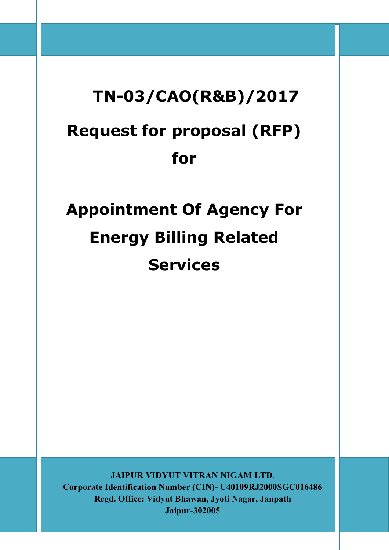# **TN-03/CAO(R&B)/2017 Request for proposal (RFP) for**

# **Appointment Of Agency For Energy Billing Related Services**

**JAIPUR VIDYUT VITRAN NIGAM LTD. Corporate Identification Number (CIN)- U40109RJ2000SGC016486 Regd. Office: Vidyut Bhawan, Jyoti Nagar, Janpath Jaipur-302005**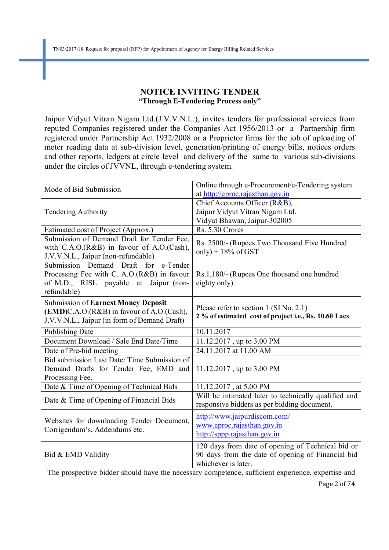#### **NOTICE INVITING TENDER "Through E-Tendering Process only"**

Jaipur Vidyut Vitran Nigam Ltd.(J.V.V.N.L.), invites tenders for professional services from reputed Companies registered under the Companies Act 1956/2013 or a Partnership firm registered under Partnership Act 1932/2008 or a Proprietor firms for the job of uploading of meter reading data at sub-division level, generation/printing of energy bills, notices orders and other reports, ledgers at circle level and delivery of the same to various sub-divisions under the circles of JVVNL, through e-tendering system.

| Mode of Bid Submission                                                                                                                        | Online through e-Procurement/e-Tendering system<br>at http://eproc.rajasthan.gov.in                                           |
|-----------------------------------------------------------------------------------------------------------------------------------------------|-------------------------------------------------------------------------------------------------------------------------------|
| <b>Tendering Authority</b>                                                                                                                    | Chief Accounts Officer (R&B),<br>Jaipur Vidyut Vitran Nigam Ltd.<br>Vidyut Bhawan, Jaipur-302005<br>Rs. 5.30 Crores           |
| Estimated cost of Project (Approx.)                                                                                                           |                                                                                                                               |
| Submission of Demand Draft for Tender Fee,<br>with C.A.O.(R&B) in favour of A.O.(Cash),<br>J.V.V.N.L., Jaipur (non-refundable)                | Rs. 2500/- (Rupees Two Thousand Five Hundred<br>only) + $18\%$ of GST                                                         |
| Submission Demand Draft for<br>e-Tender<br>Processing Fee with C. A.O.(R&B) in favour<br>of M.D., RISL payable at Jaipur (non-<br>refundable) | Rs.1,180/- (Rupees One thousand one hundred<br>eighty only)                                                                   |
| <b>Submission of Earnest Money Deposit</b><br>(EMD)C.A.O.(R&B) in favour of A.O.(Cash),<br>J.V.V.N.L., Jaipur (in form of Demand Draft)       | Please refer to section 1 (SI No. 2.1)<br>2 % of estimated cost of project i.e., Rs. 10.60 Lacs                               |
| <b>Publishing Date</b>                                                                                                                        | 10.11.2017                                                                                                                    |
| Document Download / Sale End Date/Time                                                                                                        | 11.12.2017, up to 3.00 PM                                                                                                     |
| Date of Pre-bid meeting                                                                                                                       | 24.11.2017 at 11.00 AM                                                                                                        |
| Bid submission Last Date/Time Submission of<br>Demand Drafts for Tender Fee, EMD and<br>Processing Fee.                                       | 11.12.2017, up to 3.00 PM                                                                                                     |
| Date & Time of Opening of Technical Bids                                                                                                      | $11.12.2017$ , at 5.00 PM                                                                                                     |
| Date & Time of Opening of Financial Bids                                                                                                      | Will be intimated later to technically qualified and<br>responsive bidders as per bidding document.                           |
| Websites for downloading Tender Document,<br>Corrigendum's, Addendums etc.                                                                    | http://www.jaipurdiscom.com/<br>www.eproc.rajasthan.gov.in<br>http://sppp.rajasthan.gov.in                                    |
| Bid & EMD Validity                                                                                                                            | 120 days from date of opening of Technical bid or<br>90 days from the date of opening of Financial bid<br>whichever is later. |

The prospective bidder should have the necessary competence, sufficient experience, expertise and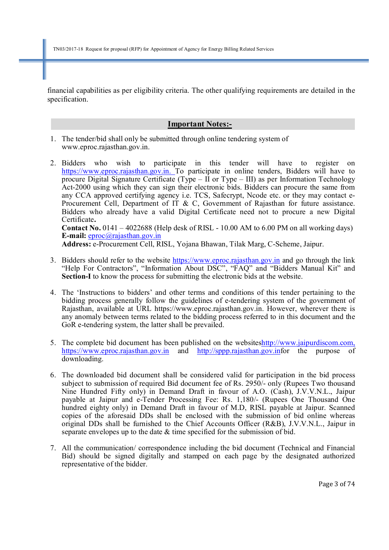financial capabilities as per eligibility criteria. The other qualifying requirements are detailed in the specification.

#### **Important Notes:-**

- 1. The tender/bid shall only be submitted through online tendering system of www.eproc.rajasthan.gov.in.
- 2. Bidders who wish to participate in this tender will have to register on https://www.eproc.rajasthan.gov.in. To participate in online tenders, Bidders will have to procure Digital Signature Certificate (Type –  $\overline{\text{II}}$  or Type – III) as per Information Technology Act-2000 using which they can sign their electronic bids. Bidders can procure the same from any CCA approved certifying agency i.e. TCS, Safecrypt, Ncode etc. or they may contact e-Procurement Cell, Department of IT & C, Government of Rajasthan for future assistance. Bidders who already have a valid Digital Certificate need not to procure a new Digital Certificate**. Contact No.** 0141 – 4022688 (Help desk of RISL - 10.00 AM to 6.00 PM on all working days)

**E-mail:** eproc@rajasthan.gov.in **Address:** e-Procurement Cell, RISL, Yojana Bhawan, Tilak Marg, C-Scheme, Jaipur.

- 3. Bidders should refer to the website https://www.eproc.rajasthan.gov.in and go through the link "Help For Contractors", "Information About DSC", "FAQ" and "Bidders Manual Kit" and **Section-I** to know the process for submitting the electronic bids at the website.
- 4. The 'Instructions to bidders' and other terms and conditions of this tender pertaining to the bidding process generally follow the guidelines of e-tendering system of the government of Rajasthan, available at URL https://www.eproc.rajasthan.gov.in. However, wherever there is any anomaly between terms related to the bidding process referred to in this document and the GoR e-tendering system, the latter shall be prevailed.
- 5. The complete bid document has been published on the websiteshttp://www.jaipurdiscom.com, https://www.eproc.rajasthan.gov.in and http://sppp.rajasthan.gov.infor the purpose of downloading.
- 6. The downloaded bid document shall be considered valid for participation in the bid process subject to submission of required Bid document fee of Rs. 2950/- only (Rupees Two thousand Nine Hundred Fifty only) in Demand Draft in favour of A.O. (Cash), J.V.V.N.L., Jaipur payable at Jaipur and e-Tender Processing Fee: Rs. 1,180/- (Rupees One Thousand One hundred eighty only) in Demand Draft in favour of M.D, RISL payable at Jaipur. Scanned copies of the aforesaid DDs shall be enclosed with the submission of bid online whereas original DDs shall be furnished to the Chief Accounts Officer (R&B), J.V.V.N.L., Jaipur in separate envelopes up to the date & time specified for the submission of bid.
- 7. All the communication/ correspondence including the bid document (Technical and Financial Bid) should be signed digitally and stamped on each page by the designated authorized representative of the bidder.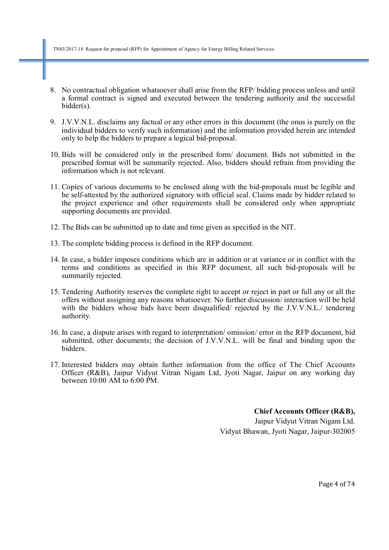TN03/2017-18 Request for proposal (RFP) for Appointment of Agency for Energy Billing Related Services

- 8. No contractual obligation whatsoever shall arise from the RFP/ bidding process unless and until a formal contract is signed and executed between the tendering authority and the successful bidder(s).
- 9. J.V.V.N.L. disclaims any factual or any other errors in this document (the onus is purely on the individual bidders to verify such information) and the information provided herein are intended only to help the bidders to prepare a logical bid-proposal.
- 10. Bids will be considered only in the prescribed form/ document. Bids not submitted in the prescribed format will be summarily rejected. Also, bidders should refrain from providing the information which is not relevant.
- 11. Copies of various documents to be enclosed along with the bid-proposals must be legible and be self-attested by the authorized signatory with official seal. Claims made by bidder related to the project experience and other requirements shall be considered only when appropriate supporting documents are provided.
- 12. The Bids can be submitted up to date and time given as specified in the NIT.
- 13. The complete bidding process is defined in the RFP document.
- 14. In case, a bidder imposes conditions which are in addition or at variance or in conflict with the terms and conditions as specified in this RFP document, all such bid-proposals will be summarily rejected.
- 15. Tendering Authority reserves the complete right to accept or reject in part or full any or all the offers without assigning any reasons whatsoever. No further discussion/ interaction will be held with the bidders whose bids have been disqualified/ rejected by the J.V.V.N.L./ tendering authority.
- 16. In case, a dispute arises with regard to interpretation/ omission/ error in the RFP document, bid submitted, other documents; the decision of J.V.V.N.L. will be final and binding upon the bidders.
- 17. Interested bidders may obtain further information from the office of The Chief Accounts Officer (R&B), Jaipur Vidyut Vitran Nigam Ltd, Jyoti Nagar, Jaipur on any working day between 10:00 AM to 6:00 PM.

**Chief Accounts Officer (R&B),**  Jaipur Vidyut Vitran Nigam Ltd.

Vidyut Bhawan, Jyoti Nagar, Jaipur-302005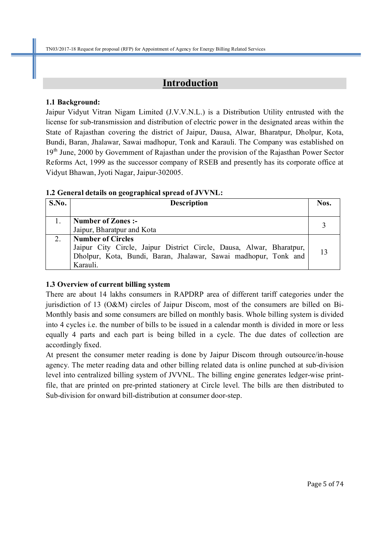# **Introduction**

#### **1.1 Background:**

Jaipur Vidyut Vitran Nigam Limited (J.V.V.N.L.) is a Distribution Utility entrusted with the license for sub-transmission and distribution of electric power in the designated areas within the State of Rajasthan covering the district of Jaipur, Dausa, Alwar, Bharatpur, Dholpur, Kota, Bundi, Baran, Jhalawar, Sawai madhopur, Tonk and Karauli. The Company was established on 19<sup>th</sup> June, 2000 by Government of Rajasthan under the provision of the Rajasthan Power Sector Reforms Act, 1999 as the successor company of RSEB and presently has its corporate office at Vidyut Bhawan, Jyoti Nagar, Jaipur-302005.

#### **1.2 General details on geographical spread of JVVNL:**

| S.No. | <b>Description</b>                                                   | Nos. |
|-------|----------------------------------------------------------------------|------|
|       | <b>Number of Zones:-</b>                                             |      |
|       | Jaipur, Bharatpur and Kota                                           |      |
| 2.    | <b>Number of Circles</b>                                             |      |
|       | Jaipur City Circle, Jaipur District Circle, Dausa, Alwar, Bharatpur, | 13   |
|       | Dholpur, Kota, Bundi, Baran, Jhalawar, Sawai madhopur, Tonk and      |      |
|       | Karauli.                                                             |      |

# **1.3 Overview of current billing system**

There are about 14 lakhs consumers in RAPDRP area of different tariff categories under the jurisdiction of 13 (O&M) circles of Jaipur Discom, most of the consumers are billed on Bi-Monthly basis and some consumers are billed on monthly basis. Whole billing system is divided into 4 cycles i.e. the number of bills to be issued in a calendar month is divided in more or less equally 4 parts and each part is being billed in a cycle. The due dates of collection are accordingly fixed.

At present the consumer meter reading is done by Jaipur Discom through outsource/in-house agency. The meter reading data and other billing related data is online punched at sub-division level into centralized billing system of JVVNL. The billing engine generates ledger-wise printfile, that are printed on pre-printed stationery at Circle level. The bills are then distributed to Sub-division for onward bill-distribution at consumer door-step.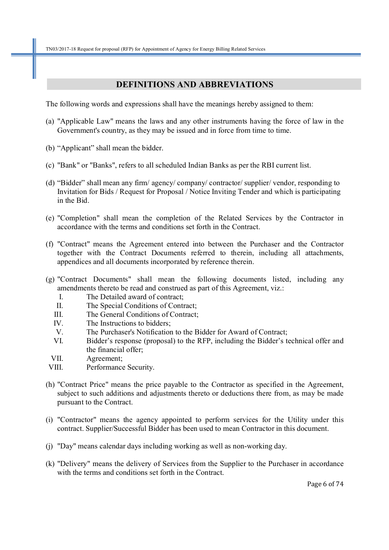#### **DEFINITIONS AND ABBREVIATIONS**

The following words and expressions shall have the meanings hereby assigned to them:

- (a) "Applicable Law" means the laws and any other instruments having the force of law in the Government's country, as they may be issued and in force from time to time.
- (b) "Applicant" shall mean the bidder.
- (c) "Bank" or "Banks", refers to all scheduled Indian Banks as per the RBI current list.
- (d) "Bidder" shall mean any firm/ agency/ company/ contractor/ supplier/ vendor, responding to Invitation for Bids / Request for Proposal / Notice Inviting Tender and which is participating in the Bid.
- (e) "Completion" shall mean the completion of the Related Services by the Contractor in accordance with the terms and conditions set forth in the Contract.
- (f) "Contract" means the Agreement entered into between the Purchaser and the Contractor together with the Contract Documents referred to therein, including all attachments, appendices and all documents incorporated by reference therein.
- (g) "Contract Documents" shall mean the following documents listed, including any amendments thereto be read and construed as part of this Agreement, viz.:
	- I. The Detailed award of contract;
	- II. The Special Conditions of Contract;
	- III. The General Conditions of Contract;
	- IV. The Instructions to bidders;
	- V. The Purchaser's Notification to the Bidder for Award of Contract;
	- VI. Bidder's response (proposal) to the RFP, including the Bidder's technical offer and the financial offer;
	- VII. Agreement;
- VIII. Performance Security.
- (h) "Contract Price" means the price payable to the Contractor as specified in the Agreement, subject to such additions and adjustments thereto or deductions there from, as may be made pursuant to the Contract.
- (i) "Contractor" means the agency appointed to perform services for the Utility under this contract. Supplier/Successful Bidder has been used to mean Contractor in this document.
- (j) "Day" means calendar days including working as well as non-working day.
- (k) "Delivery" means the delivery of Services from the Supplier to the Purchaser in accordance with the terms and conditions set forth in the Contract.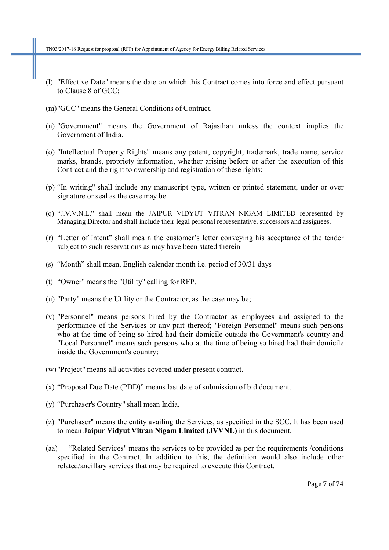- (l) "Effective Date" means the date on which this Contract comes into force and effect pursuant to Clause 8 of GCC;
- (m)"GCC" means the General Conditions of Contract.
- (n) "Government" means the Government of Rajasthan unless the context implies the Government of India.
- (o) "Intellectual Property Rights" means any patent, copyright, trademark, trade name, service marks, brands, propriety information, whether arising before or after the execution of this Contract and the right to ownership and registration of these rights;
- (p) "In writing" shall include any manuscript type, written or printed statement, under or over signature or seal as the case may be.
- (q) "J.V.V.N.L." shall mean the JAIPUR VIDYUT VITRAN NIGAM LIMITED represented by Managing Director and shall include their legal personal representative, successors and assignees.
- (r) "Letter of Intent" shall mea n the customer's letter conveying his acceptance of the tender subject to such reservations as may have been stated therein
- (s) "Month" shall mean, English calendar month i.e. period of 30/31 days
- (t) "Owner" means the "Utility" calling for RFP.
- (u) "Party" means the Utility or the Contractor, as the case may be;
- (v) "Personnel" means persons hired by the Contractor as employees and assigned to the performance of the Services or any part thereof; "Foreign Personnel" means such persons who at the time of being so hired had their domicile outside the Government's country and "Local Personnel" means such persons who at the time of being so hired had their domicile inside the Government's country;
- (w) "Project" means all activities covered under present contract.
- (x) "Proposal Due Date (PDD)" means last date of submission of bid document.
- (y) "Purchaser's Country" shall mean India.
- (z) "Purchaser" means the entity availing the Services, as specified in the SCC. It has been used to mean **Jaipur Vidyut Vitran Nigam Limited (JVVNL)** in this document.
- (aa) "Related Services" means the services to be provided as per the requirements /conditions specified in the Contract. In addition to this, the definition would also include other related/ancillary services that may be required to execute this Contract.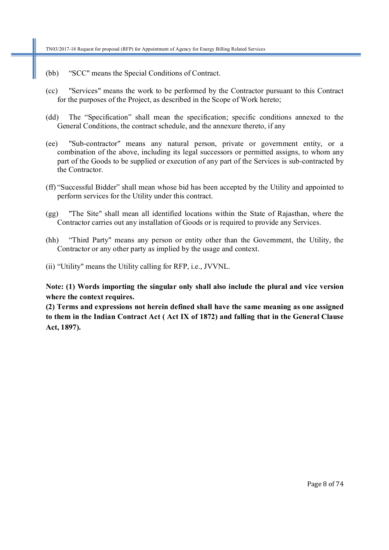- (bb) "SCC" means the Special Conditions of Contract.
- (cc) "Services" means the work to be performed by the Contractor pursuant to this Contract for the purposes of the Project, as described in the Scope of Work hereto;
- (dd) The "Specification" shall mean the specification; specific conditions annexed to the General Conditions, the contract schedule, and the annexure thereto, if any
- (ee) "Sub-contractor" means any natural person, private or government entity, or a combination of the above, including its legal successors or permitted assigns, to whom any part of the Goods to be supplied or execution of any part of the Services is sub-contracted by the Contractor.
- (ff) "Successful Bidder" shall mean whose bid has been accepted by the Utility and appointed to perform services for the Utility under this contract.
- (gg) "The Site" shall mean all identified locations within the State of Rajasthan, where the Contractor carries out any installation of Goods or is required to provide any Services.
- (hh) "Third Party" means any person or entity other than the Government, the Utility, the Contractor or any other party as implied by the usage and context.
- (ii) "Utility" means the Utility calling for RFP, i.e., JVVNL.

**Note: (1) Words importing the singular only shall also include the plural and vice version where the context requires.** 

**(2) Terms and expressions not herein defined shall have the same meaning as one assigned to them in the Indian Contract Act ( Act IX of 1872) and falling that in the General Clause Act, 1897).**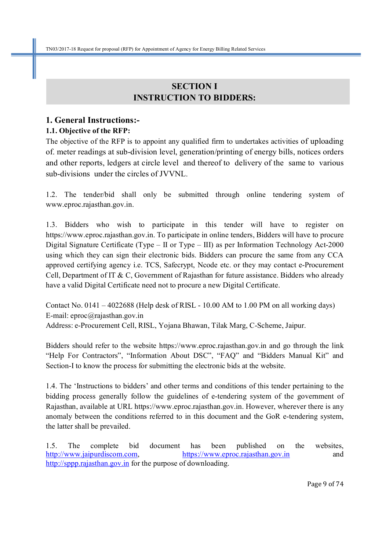# **SECTION I INSTRUCTION TO BIDDERS:**

# **1. General Instructions:-**

# **1.1. Objective of the RFP:**

The objective of the RFP is to appoint any qualified firm to undertakes activities of uploading of. meter readings at sub-division level, generation/printing of energy bills, notices orders and other reports, ledgers at circle level and thereof to delivery of the same to various sub-divisions under the circles of JVVNL.

1.2. The tender/bid shall only be submitted through online tendering system of www.eproc.rajasthan.gov.in.

1.3. Bidders who wish to participate in this tender will have to register on https://www.eproc.rajasthan.gov.in. To participate in online tenders, Bidders will have to procure Digital Signature Certificate (Type – II or Type – III) as per Information Technology Act-2000 using which they can sign their electronic bids. Bidders can procure the same from any CCA approved certifying agency i.e. TCS, Safecrypt, Ncode etc. or they may contact e-Procurement Cell, Department of IT & C, Government of Rajasthan for future assistance. Bidders who already have a valid Digital Certificate need not to procure a new Digital Certificate.

Contact No. 0141 – 4022688 (Help desk of RISL - 10.00 AM to 1.00 PM on all working days) E-mail: eproc@rajasthan.gov.in Address: e-Procurement Cell, RISL, Yojana Bhawan, Tilak Marg, C-Scheme, Jaipur.

Bidders should refer to the website https://www.eproc.rajasthan.gov.in and go through the link "Help For Contractors", "Information About DSC", "FAQ" and "Bidders Manual Kit" and Section-I to know the process for submitting the electronic bids at the website.

1.4. The 'Instructions to bidders' and other terms and conditions of this tender pertaining to the bidding process generally follow the guidelines of e-tendering system of the government of Rajasthan, available at URL https://www.eproc.rajasthan.gov.in. However, wherever there is any anomaly between the conditions referred to in this document and the GoR e-tendering system, the latter shall be prevailed.

1.5. The complete bid document has been published on the websites, http://www.jaipurdiscom.com, https://www.eproc.rajasthan.gov.in and http://sppp.rajasthan.gov.in for the purpose of downloading.

Page 9 of 74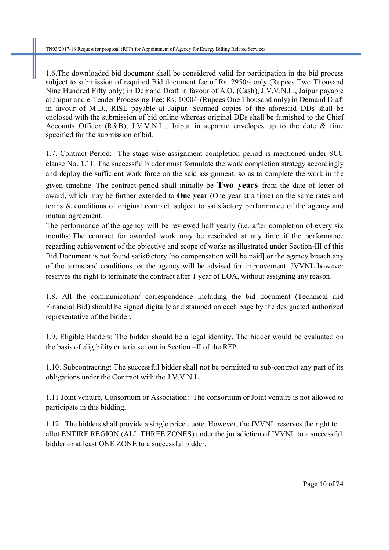1.6.The downloaded bid document shall be considered valid for participation in the bid process subject to submission of required Bid document fee of Rs. 2950/- only (Rupees Two Thousand Nine Hundred Fifty only) in Demand Draft in favour of A.O. (Cash), J.V.V.N.L., Jaipur payable at Jaipur and e-Tender Processing Fee: Rs. 1000/- (Rupees One Thousand only) in Demand Draft in favour of M.D., RISL payable at Jaipur. Scanned copies of the aforesaid DDs shall be enclosed with the submission of bid online whereas original DDs shall be furnished to the Chief Accounts Officer (R&B), J.V.V.N.L., Jaipur in separate envelopes up to the date & time specified for the submission of bid.

1.7. Contract Period: The stage-wise assignment completion period is mentioned under SCC clause No. 1.11. The successful bidder must formulate the work completion strategy accordingly and deploy the sufficient work force on the said assignment, so as to complete the work in the given timeline. The contract period shall initially be **Two years** from the date of letter of award, which may be further extended to **One year** (One year at a time) on the same rates and terms & conditions of original contract, subject to satisfactory performance of the agency and mutual agreement.

The performance of the agency will be reviewed half yearly (i.e. after completion of every six months).The contract for awarded work may be rescinded at any time if the performance regarding achievement of the objective and scope of works as illustrated under Section-III of this Bid Document is not found satisfactory [no compensation will be paid] or the agency breach any of the terms and conditions, or the agency will be advised for improvement. JVVNL however reserves the right to terminate the contract after 1 year of LOA, without assigning any reason.

1.8. All the communication/ correspondence including the bid document (Technical and Financial Bid) should be signed digitally and stamped on each page by the designated authorized representative of the bidder.

1.9. Eligible Bidders: The bidder should be a legal identity. The bidder would be evaluated on the basis of eligibility criteria set out in Section –II of the RFP.

1.10. Subcontracting: The successful bidder shall not be permitted to sub-contract any part of its obligations under the Contract with the J.V.V.N.L.

1.11 Joint venture, Consortium or Association: The consortium or Joint venture is not allowed to participate in this bidding.

1.12 The bidders shall provide a single price quote. However, the JVVNL reserves the right to allot ENTIRE REGION (ALL THREE ZONES) under the jurisdiction of JVVNL to a successful bidder or at least ONE ZONE to a successful bidder.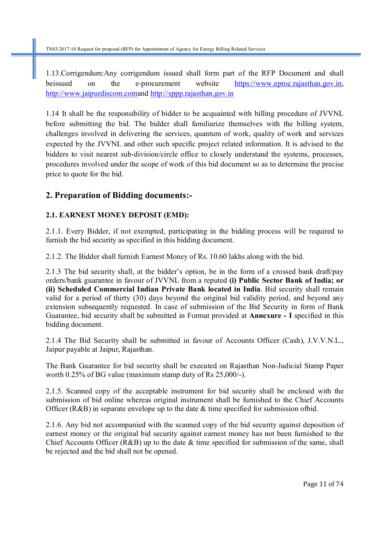1.13.Corrigendum:Any corrigendum issued shall form part of the RFP Document and shall beissued on the e-procurement website https://www.eproc.rajasthan.gov.in, http://www.jaipurdiscom.comand http://sppp.rajasthan.gov.in

1.14 It shall be the responsibility of bidder to be acquainted with billing procedure of JVVNL before submitting the bid. The bidder shall familiarize themselves with the billing system, challenges involved in delivering the services, quantum of work, quality of work and services expected by the JVVNL and other such specific project related information. It is advised to the bidders to visit nearest sub-division/circle office to closely understand the systems, processes, procedures involved under the scope of work of this bid document so as to determine the precise price to quote for the bid.

# **2. Preparation of Bidding documents:-**

# **2.1. EARNEST MONEY DEPOSIT (EMD):**

2.1.1. Every Bidder, if not exempted, participating in the bidding process will be required to furnish the bid security as specified in this bidding document.

2.1.2. The Bidder shall furnish Earnest Money of Rs. 10.60 lakhs along with the bid.

2.1.3 The bid security shall, at the bidder's option, be in the form of a crossed bank draft/pay orders/bank guarantee in favour of JVVNL from a reputed **(i) Public Sector Bank of India; or (ii) Scheduled Commercial Indian Private Bank located in India**. Bid security shall remain valid for a period of thirty (30) days beyond the original bid validity period, and beyond any extension subsequently requested. In case of submission of the Bid Security in form of Bank Guarantee, bid security shall be submitted in Format provided at **Annexure - I** specified in this bidding document.

2.1.4 The Bid Security shall be submitted in favour of Accounts Officer (Cash), J.V.V.N.L., Jaipur payable at Jaipur, Rajasthan.

The Bank Guarantee for bid security shall be executed on Rajasthan Non-Judicial Stamp Paper worth 0.25% of BG value (maximum stamp duty of Rs 25,000/-).

2.1.5. Scanned copy of the acceptable instrument for bid security shall be enclosed with the submission of bid online whereas original instrument shall be furnished to the Chief Accounts Officer (R&B) in separate envelope up to the date & time specified for submission ofbid.

2.1.6. Any bid not accompanied with the scanned copy of the bid security against deposition of earnest money or the original bid security against earnest money has not been furnished to the Chief Accounts Officer (R&B) up to the date & time specified for submission of the same, shall be rejected and the bid shall not be opened.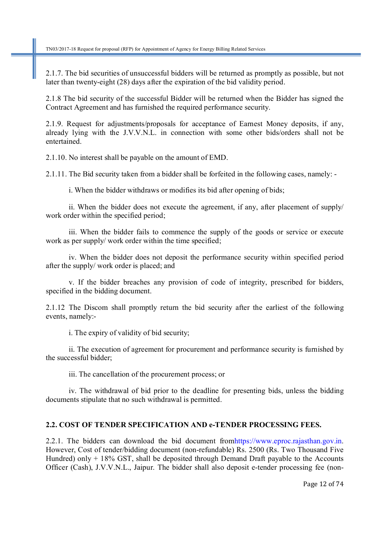2.1.7. The bid securities of unsuccessful bidders will be returned as promptly as possible, but not later than twenty-eight (28) days after the expiration of the bid validity period.

2.1.8 The bid security of the successful Bidder will be returned when the Bidder has signed the Contract Agreement and has furnished the required performance security.

2.1.9. Request for adjustments/proposals for acceptance of Earnest Money deposits, if any, already lying with the J.V.V.N.L. in connection with some other bids/orders shall not be entertained.

2.1.10. No interest shall be payable on the amount of EMD.

2.1.11. The Bid security taken from a bidder shall be forfeited in the following cases, namely: -

i. When the bidder withdraws or modifies its bid after opening of bids;

ii. When the bidder does not execute the agreement, if any, after placement of supply/ work order within the specified period;

iii. When the bidder fails to commence the supply of the goods or service or execute work as per supply/ work order within the time specified;

iv. When the bidder does not deposit the performance security within specified period after the supply/ work order is placed; and

v. If the bidder breaches any provision of code of integrity, prescribed for bidders, specified in the bidding document.

2.1.12 The Discom shall promptly return the bid security after the earliest of the following events, namely:-

i. The expiry of validity of bid security;

ii. The execution of agreement for procurement and performance security is furnished by the successful bidder;

iii. The cancellation of the procurement process; or

iv. The withdrawal of bid prior to the deadline for presenting bids, unless the bidding documents stipulate that no such withdrawal is permitted.

#### **2.2. COST OF TENDER SPECIFICATION AND e-TENDER PROCESSING FEES.**

2.2.1. The bidders can download the bid document fromhttps://www.eproc.rajasthan.gov.in. However, Cost of tender/bidding document (non-refundable) Rs. 2500 (Rs. Two Thousand Five Hundred) only  $+ 18\%$  GST, shall be deposited through Demand Draft payable to the Accounts Officer (Cash), J.V.V.N.L., Jaipur. The bidder shall also deposit e-tender processing fee (non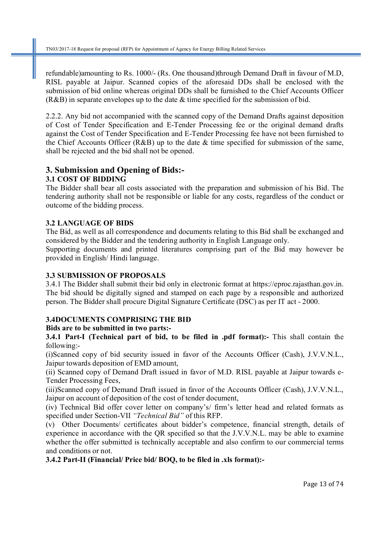refundable)amounting to Rs. 1000/- (Rs. One thousand)through Demand Draft in favour of M.D, RISL payable at Jaipur. Scanned copies of the aforesaid DDs shall be enclosed with the submission of bid online whereas original DDs shall be furnished to the Chief Accounts Officer (R&B) in separate envelopes up to the date & time specified for the submission of bid.

2.2.2. Any bid not accompanied with the scanned copy of the Demand Drafts against deposition of Cost of Tender Specification and E-Tender Processing fee or the original demand drafts against the Cost of Tender Specification and E-Tender Processing fee have not been furnished to the Chief Accounts Officer (R&B) up to the date & time specified for submission of the same, shall be rejected and the bid shall not be opened.

#### **3. Submission and Opening of Bids:- 3.1 COST OF BIDDING**

The Bidder shall bear all costs associated with the preparation and submission of his Bid. The tendering authority shall not be responsible or liable for any costs, regardless of the conduct or outcome of the bidding process.

# **3.2 LANGUAGE OF BIDS**

The Bid, as well as all correspondence and documents relating to this Bid shall be exchanged and considered by the Bidder and the tendering authority in English Language only.

Supporting documents and printed literatures comprising part of the Bid may however be provided in English/ Hindi language.

# **3.3 SUBMISSION OF PROPOSALS**

3.4.1 The Bidder shall submit their bid only in electronic format at https://eproc.rajasthan.gov.in. The bid should be digitally signed and stamped on each page by a responsible and authorized person. The Bidder shall procure Digital Signature Certificate (DSC) as per IT act - 2000.

# **3.4DOCUMENTS COMPRISING THE BID**

# **Bids are to be submitted in two parts:-**

**3.4.1 Part-I (Technical part of bid, to be filed in .pdf format):-** This shall contain the following:-

(i)Scanned copy of bid security issued in favor of the Accounts Officer (Cash), J.V.V.N.L., Jaipur towards deposition of EMD amount,

(ii) Scanned copy of Demand Draft issued in favor of M.D. RISL payable at Jaipur towards e-Tender Processing Fees,

(iii)Scanned copy of Demand Draft issued in favor of the Accounts Officer (Cash), J.V.V.N.L., Jaipur on account of deposition of the cost of tender document,

(iv) Technical Bid offer cover letter on company's/ firm's letter head and related formats as specified under Section-VII *"Technical Bid"* of this RFP.

(v) Other Documents/ certificates about bidder's competence, financial strength, details of experience in accordance with the QR specified so that the J.V.V.N.L. may be able to examine whether the offer submitted is technically acceptable and also confirm to our commercial terms and conditions or not.

**3.4.2 Part-II (Financial/ Price bid/ BOQ, to be filed in .xls format):-**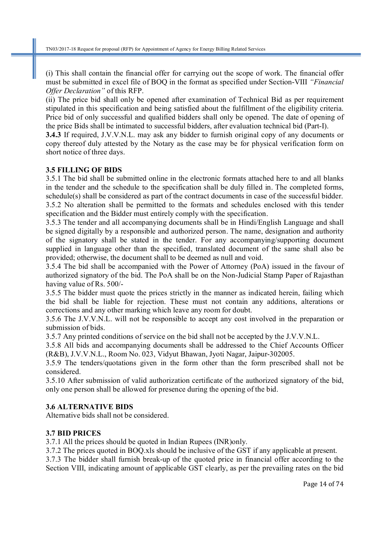(i) This shall contain the financial offer for carrying out the scope of work. The financial offer must be submitted in excel file of BOQ in the format as specified under Section-VIII *"Financial Offer Declaration"* of this RFP.

(ii) The price bid shall only be opened after examination of Technical Bid as per requirement stipulated in this specification and being satisfied about the fulfillment of the eligibility criteria. Price bid of only successful and qualified bidders shall only be opened. The date of opening of the price Bids shall be intimated to successful bidders, after evaluation technical bid (Part-I).

**3.4.3** If required, J.V.V.N.L. may ask any bidder to furnish original copy of any documents or copy thereof duly attested by the Notary as the case may be for physical verification form on short notice of three days.

#### **3.5 FILLING OF BIDS**

3.5.1 The bid shall be submitted online in the electronic formats attached here to and all blanks in the tender and the schedule to the specification shall be duly filled in. The completed forms, schedule(s) shall be considered as part of the contract documents in case of the successful bidder. 3.5.2 No alteration shall be permitted to the formats and schedules enclosed with this tender specification and the Bidder must entirely comply with the specification.

3.5.3 The tender and all accompanying documents shall be in Hindi/English Language and shall be signed digitally by a responsible and authorized person. The name, designation and authority of the signatory shall be stated in the tender. For any accompanying/supporting document supplied in language other than the specified, translated document of the same shall also be provided; otherwise, the document shall to be deemed as null and void.

3.5.4 The bid shall be accompanied with the Power of Attorney (PoA) issued in the favour of authorized signatory of the bid. The PoA shall be on the Non-Judicial Stamp Paper of Rajasthan having value of Rs. 500/-

3.5.5 The bidder must quote the prices strictly in the manner as indicated herein, failing which the bid shall be liable for rejection. These must not contain any additions, alterations or corrections and any other marking which leave any room for doubt.

3.5.6 The J.V.V.N.L. will not be responsible to accept any cost involved in the preparation or submission of bids.

3.5.7 Any printed conditions of service on the bid shall not be accepted by the J.V.V.N.L.

3.5.8 All bids and accompanying documents shall be addressed to the Chief Accounts Officer (R&B), J.V.V.N.L., Room No. 023, Vidyut Bhawan, Jyoti Nagar, Jaipur-302005.

3.5.9 The tenders/quotations given in the form other than the form prescribed shall not be considered.

3.5.10 After submission of valid authorization certificate of the authorized signatory of the bid, only one person shall be allowed for presence during the opening of the bid.

#### **3.6 ALTERNATIVE BIDS**

Alternative bids shall not be considered.

#### **3.7 BID PRICES**

3.7.1 All the prices should be quoted in Indian Rupees (INR)only.

3.7.2 The prices quoted in BOQ.xls should be inclusive of the GST if any applicable at present.

3.7.3 The bidder shall furnish break-up of the quoted price in financial offer according to the Section VIII, indicating amount of applicable GST clearly, as per the prevailing rates on the bid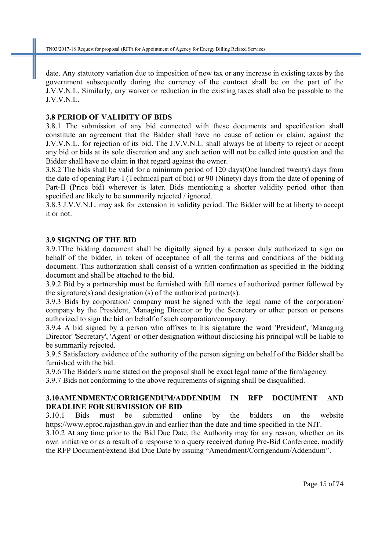date. Any statutory variation due to imposition of new tax or any increase in existing taxes by the government subsequently during the currency of the contract shall be on the part of the J.V.V.N.L. Similarly, any waiver or reduction in the existing taxes shall also be passable to the J.V.V.N.L.

#### **3.8 PERIOD OF VALIDITY OF BIDS**

3.8.1 The submission of any bid connected with these documents and specification shall constitute an agreement that the Bidder shall have no cause of action or claim, against the J.V.V.N.L. for rejection of its bid. The J.V.V.N.L. shall always be at liberty to reject or accept any bid or bids at its sole discretion and any such action will not be called into question and the Bidder shall have no claim in that regard against the owner.

3.8.2 The bids shall be valid for a minimum period of 120 days(One hundred twenty) days from the date of opening Part-I (Technical part of bid) or 90 (Ninety) days from the date of opening of Part-II (Price bid) wherever is later. Bids mentioning a shorter validity period other than specified are likely to be summarily rejected / ignored.

3.8.3 J.V.V.N.L. may ask for extension in validity period. The Bidder will be at liberty to accept it or not.

#### **3.9 SIGNING OF THE BID**

3.9.1The bidding document shall be digitally signed by a person duly authorized to sign on behalf of the bidder, in token of acceptance of all the terms and conditions of the bidding document. This authorization shall consist of a written confirmation as specified in the bidding document and shall be attached to the bid.

3.9.2 Bid by a partnership must be furnished with full names of authorized partner followed by the signature(s) and designation (s) of the authorized partner(s).

3.9.3 Bids by corporation/ company must be signed with the legal name of the corporation/ company by the President, Managing Director or by the Secretary or other person or persons authorized to sign the bid on behalf of such corporation/company.

3.9.4 A bid signed by a person who affixes to his signature the word 'President', 'Managing Director' 'Secretary', 'Agent' or other designation without disclosing his principal will be liable to be summarily rejected.

3.9.5 Satisfactory evidence of the authority of the person signing on behalf of the Bidder shall be furnished with the bid.

3.9.6 The Bidder's name stated on the proposal shall be exact legal name of the firm/agency.

3.9.7 Bids not conforming to the above requirements of signing shall be disqualified.

#### **3.10AMENDMENT/CORRIGENDUM/ADDENDUM IN RFP DOCUMENT AND DEADLINE FOR SUBMISSION OF BID**

3.10.1 Bids must be submitted online by the bidders on the website https://www.eproc.rajasthan.gov.in and earlier than the date and time specified in the NIT.

3.10.2 At any time prior to the Bid Due Date, the Authority may for any reason, whether on its own initiative or as a result of a response to a query received during Pre-Bid Conference, modify the RFP Document/extend Bid Due Date by issuing "Amendment/Corrigendum/Addendum".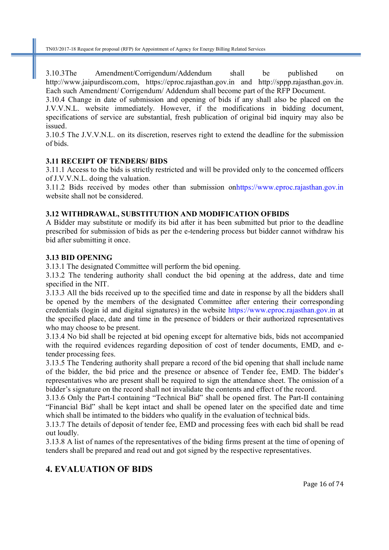3.10.3The Amendment/Corrigendum/Addendum shall be published on http://www.jaipurdiscom.com, https://eproc.rajasthan.gov.in and http://sppp.rajasthan.gov.in. Each such Amendment/ Corrigendum/ Addendum shall become part of the RFP Document.

3.10.4 Change in date of submission and opening of bids if any shall also be placed on the J.V.V.N.L. website immediately. However, if the modifications in bidding document, specifications of service are substantial, fresh publication of original bid inquiry may also be issued.

3.10.5 The J.V.V.N.L. on its discretion, reserves right to extend the deadline for the submission of bids.

#### **3.11 RECEIPT OF TENDERS/ BIDS**

3.11.1 Access to the bids is strictly restricted and will be provided only to the concerned officers of J.V.V.N.L. doing the valuation.

3.11.2 Bids received by modes other than submission onhttps://www.eproc.rajasthan.gov.in website shall not be considered.

#### **3.12 WITHDRAWAL, SUBSTITUTION AND MODIFICATION OFBIDS**

A Bidder may substitute or modify its bid after it has been submitted but prior to the deadline prescribed for submission of bids as per the e-tendering process but bidder cannot withdraw his bid after submitting it once.

#### **3.13 BID OPENING**

3.13.1 The designated Committee will perform the bid opening.

3.13.2 The tendering authority shall conduct the bid opening at the address, date and time specified in the NIT.

3.13.3 All the bids received up to the specified time and date in response by all the bidders shall be opened by the members of the designated Committee after entering their corresponding credentials (login id and digital signatures) in the website https://www.eproc.rajasthan.gov.in at the specified place, date and time in the presence of bidders or their authorized representatives who may choose to be present.

3.13.4 No bid shall be rejected at bid opening except for alternative bids, bids not accompanied with the required evidences regarding deposition of cost of tender documents, EMD, and etender processing fees.

3.13.5 The Tendering authority shall prepare a record of the bid opening that shall include name of the bidder, the bid price and the presence or absence of Tender fee, EMD. The bidder's representatives who are present shall be required to sign the attendance sheet. The omission of a bidder's signature on the record shall not invalidate the contents and effect of the record.

3.13.6 Only the Part-I containing "Technical Bid" shall be opened first. The Part-II containing "Financial Bid" shall be kept intact and shall be opened later on the specified date and time which shall be intimated to the bidders who qualify in the evaluation of technical bids.

3.13.7 The details of deposit of tender fee, EMD and processing fees with each bid shall be read out loudly.

3.13.8 A list of names of the representatives of the biding firms present at the time of opening of tenders shall be prepared and read out and got signed by the respective representatives.

# **4. EVALUATION OF BIDS**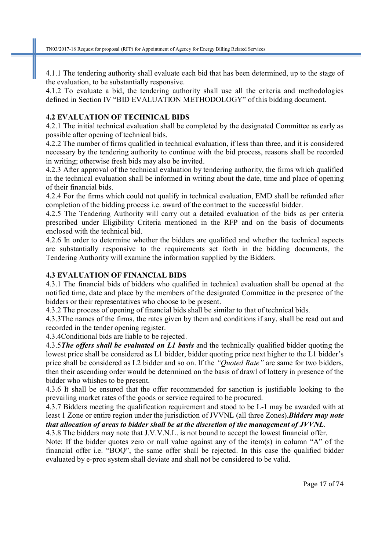4.1.1 The tendering authority shall evaluate each bid that has been determined, up to the stage of the evaluation, to be substantially responsive.

4.1.2 To evaluate a bid, the tendering authority shall use all the criteria and methodologies defined in Section IV "BID EVALUATION METHODOLOGY" of this bidding document.

#### **4.2 EVALUATION OF TECHNICAL BIDS**

4.2.1 The initial technical evaluation shall be completed by the designated Committee as early as possible after opening of technical bids.

4.2.2 The number of firms qualified in technical evaluation, if less than three, and it is considered necessary by the tendering authority to continue with the bid process, reasons shall be recorded in writing; otherwise fresh bids may also be invited.

4.2.3 After approval of the technical evaluation by tendering authority, the firms which qualified in the technical evaluation shall be informed in writing about the date, time and place of opening of their financial bids.

4.2.4 For the firms which could not qualify in technical evaluation, EMD shall be refunded after completion of the bidding process i.e. award of the contract to the successful bidder.

4.2.5 The Tendering Authority will carry out a detailed evaluation of the bids as per criteria prescribed under Eligibility Criteria mentioned in the RFP and on the basis of documents enclosed with the technical bid.

4.2.6 In order to determine whether the bidders are qualified and whether the technical aspects are substantially responsive to the requirements set forth in the bidding documents, the Tendering Authority will examine the information supplied by the Bidders.

#### **4.3 EVALUATION OF FINANCIAL BIDS**

4.3.1 The financial bids of bidders who qualified in technical evaluation shall be opened at the notified time, date and place by the members of the designated Committee in the presence of the bidders or their representatives who choose to be present.

4.3.2 The process of opening of financial bids shall be similar to that of technical bids.

4.3.3The names of the firms, the rates given by them and conditions if any, shall be read out and recorded in the tender opening register.

4.3.4Conditional bids are liable to be rejected.

4.3.5*The offers shall be evaluated on L1 basis* and the technically qualified bidder quoting the lowest price shall be considered as L1 bidder, bidder quoting price next higher to the L1 bidder's price shall be considered as L2 bidder and so on. If the *"Quoted Rate"* are same for two bidders, then their ascending order would be determined on the basis of drawl of lottery in presence of the bidder who whishes to be present.

4.3.6 It shall be ensured that the offer recommended for sanction is justifiable looking to the prevailing market rates of the goods or service required to be procured.

4.3.7 Bidders meeting the qualification requirement and stood to be L-1 may be awarded with at least 1 Zone or entire region under the jurisdiction of JVVNL (all three Zones).*Bidders may note* 

*that allocation of areas to bidder shall be at the discretion of the management of JVVNL*.

4.3.8 The bidders may note that J.V.V.N.L. is not bound to accept the lowest financial offer. Note: If the bidder quotes zero or null value against any of the item(s) in column "A" of the financial offer i.e. "BOQ", the same offer shall be rejected. In this case the qualified bidder evaluated by e-proc system shall deviate and shall not be considered to be valid.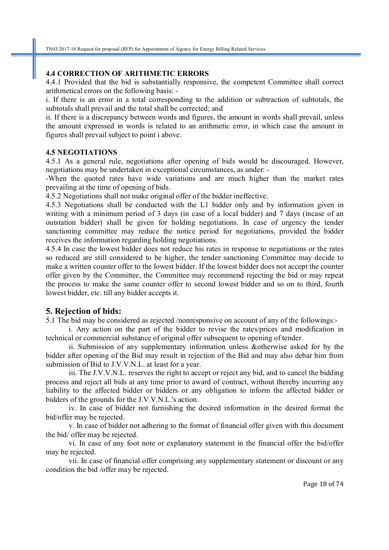#### **4.4 CORRECTION OF ARITHMETIC ERRORS**

4.4.1 Provided that the bid is substantially responsive, the competent Committee shall correct arithmetical errors on the following basis: -

i. If there is an error in a total corresponding to the addition or subtraction of subtotals, the subtotals shall prevail and the total shall be corrected; and

ii. If there is a discrepancy between words and figures, the amount in words shall prevail, unless the amount expressed in words is related to an arithmetic error, in which case the amount in figures shall prevail subject to point i above.

#### **4.5 NEGOTIATIONS**

4.5.1 As a general rule, negotiations after opening of bids would be discouraged. However, negotiations may be undertaken in exceptional circumstances, as under: -

-When the quoted rates have wide variations and are much higher than the market rates prevailing at the time of opening of bids.

4.5.2 Negotiations shall not make original offer of the bidder ineffective.

4.5.3 Negotiations shall be conducted with the L1 bidder only and by information given in writing with a minimum period of 3 days (in case of a local bidder) and 7 days (incase of an outstation bidder) shall be given for holding negotiations. In case of urgency the tender sanctioning committee may reduce the notice period for negotiations, provided the bidder receives the information regarding holding negotiations.

4.5.4 In case the lowest bidder does not reduce his rates in response to negotiations or the rates so reduced are still considered to be higher, the tender sanctioning Committee may decide to make a written counter offer to the lowest bidder. If the lowest bidder does not accept the counter offer given by the Committee, the Committee may recommend rejecting the bid or may repeat the process to make the same counter offer to second lowest bidder and so on to third, fourth lowest bidder, etc. till any bidder accepts it.

#### **5. Rejection of bids:**

5.1 The bid may be considered as rejected /nonresponsive on account of any of the followings:-

i. Any action on the part of the bidder to revise the rates/prices and modification in technical or commercial substance of original offer subsequent to opening of tender.

ii. Submission of any supplementary information unless &otherwise asked for by the bidder after opening of the Bid may result in rejection of the Bid and may also debar him from submission of Bid to J.V.V.N.L. at least for a year.

iii. The J.V.V.N.L. reserves the right to accept or reject any bid, and to cancel the bidding process and reject all bids at any time prior to award of contract, without thereby incurring any liability to the affected bidder or bidders or any obligation to inform the affected bidder or bidders of the grounds for the J.V.V.N.L.'s action.

iv. In case of bidder not furnishing the desired information in the desired format the bid/offer may be rejected.

v. In case of bidder not adhering to the format of financial offer given with this document the bid/ offer may be rejected.

vi. In case of any foot note or explanatory statement in the financial offer the bid/offer may be rejected.

vii. In case of financial offer comprising any supplementary statement or discount or any condition the bid /offer may be rejected.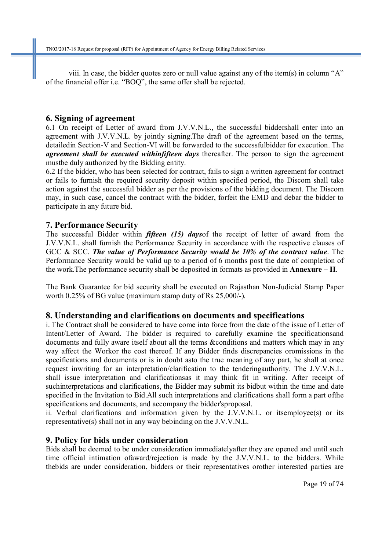viii. In case, the bidder quotes zero or null value against any of the item(s) in column "A" of the financial offer i.e. "BOQ", the same offer shall be rejected.

#### **6. Signing of agreement**

6.1 On receipt of Letter of award from J.V.V.N.L., the successful biddershall enter into an agreement with J.V.V.N.L. by jointly signing.The draft of the agreement based on the terms, detailedin Section-V and Section-VI will be forwarded to the successfulbidder for execution. The *agreement shall be executed withinfifteen days* thereafter. The person to sign the agreement mustbe duly authorized by the Bidding entity.

6.2 If the bidder, who has been selected for contract, fails to sign a written agreement for contract or fails to furnish the required security deposit within specified period, the Discom shall take action against the successful bidder as per the provisions of the bidding document. The Discom may, in such case, cancel the contract with the bidder, forfeit the EMD and debar the bidder to participate in any future bid.

# **7. Performance Security**

The successful Bidder within *fifteen (15) days*of the receipt of letter of award from the J.V.V.N.L. shall furnish the Performance Security in accordance with the respective clauses of GCC & SCC. *The value of Performance Security would be 10% of the contract value*. The Performance Security would be valid up to a period of 6 months post the date of completion of the work.The performance security shall be deposited in formats as provided in **Annexure – II**.

The Bank Guarantee for bid security shall be executed on Rajasthan Non-Judicial Stamp Paper worth 0.25% of BG value (maximum stamp duty of Rs 25,000/-).

# **8. Understanding and clarifications on documents and specifications**

i. The Contract shall be considered to have come into force from the date of the issue of Letter of Intent/Letter of Award. The bidder is required to carefully examine the specificationsand documents and fully aware itself about all the terms &conditions and matters which may in any way affect the Workor the cost thereof. If any Bidder finds discrepancies oromissions in the specifications and documents or is in doubt asto the true meaning of any part, he shall at once request inwriting for an interpretation/clarification to the tenderingauthority. The J.V.V.N.L. shall issue interpretation and clarificationsas it may think fit in writing. After receipt of suchinterpretations and clarifications, the Bidder may submit its bidbut within the time and date specified in the Invitation to Bid.All such interpretations and clarifications shall form a part ofthe specifications and documents, and accompany the bidder'sproposal.

ii. Verbal clarifications and information given by the J.V.V.N.L. or itsemployee(s) or its representative(s) shall not in any way bebinding on the J.V.V.N.L.

# **9. Policy for bids under consideration**

Bids shall be deemed to be under consideration immediatelyafter they are opened and until such time official intimation ofaward/rejection is made by the J.V.V.N.L. to the bidders. While thebids are under consideration, bidders or their representatives orother interested parties are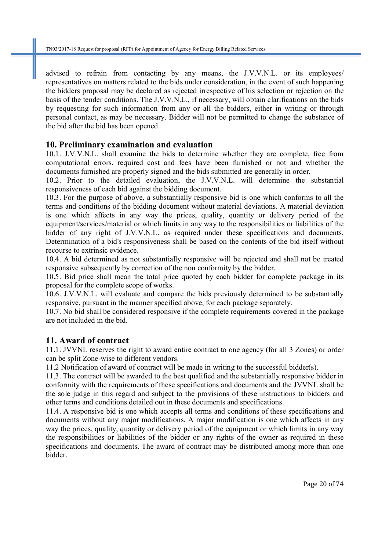advised to refrain from contacting by any means, the J.V.V.N.L. or its employees/ representatives on matters related to the bids under consideration, in the event of such happening the bidders proposal may be declared as rejected irrespective of his selection or rejection on the basis of the tender conditions. The J.V.V.N.L., if necessary, will obtain clarifications on the bids by requesting for such information from any or all the bidders, either in writing or through personal contact, as may be necessary. Bidder will not be permitted to change the substance of the bid after the bid has been opened.

# **10. Preliminary examination and evaluation**

10.1. J.V.V.N.L. shall examine the bids to determine whether they are complete, free from computational errors, required cost and fees have been furnished or not and whether the documents furnished are properly signed and the bids submitted are generally in order.

10.2. Prior to the detailed evaluation, the J.V.V.N.L. will determine the substantial responsiveness of each bid against the bidding document.

10.3. For the purpose of above, a substantially responsive bid is one which conforms to all the terms and conditions of the bidding document without material deviations. A material deviation is one which affects in any way the prices, quality, quantity or delivery period of the equipment/services/material or which limits in any way to the responsibilities or liabilities of the bidder of any right of J.V.V.N.L. as required under these specifications and documents. Determination of a bid's responsiveness shall be based on the contents of the bid itself without recourse to extrinsic evidence.

10.4. A bid determined as not substantially responsive will be rejected and shall not be treated responsive subsequently by correction of the non conformity by the bidder.

10.5. Bid price shall mean the total price quoted by each bidder for complete package in its proposal for the complete scope of works.

10.6. J.V.V.N.L. will evaluate and compare the bids previously determined to be substantially responsive, pursuant in the manner specified above, for each package separately.

10.7. No bid shall be considered responsive if the complete requirements covered in the package are not included in the bid.

# **11. Award of contract**

11.1. JVVNL reserves the right to award entire contract to one agency (for all 3 Zones) or order can be split Zone-wise to different vendors.

11.2 Notification of award of contract will be made in writing to the successful bidder(s).

11.3. The contract will be awarded to the best qualified and the substantially responsive bidder in conformity with the requirements of these specifications and documents and the JVVNL shall be the sole judge in this regard and subject to the provisions of these instructions to bidders and other terms and conditions detailed out in these documents and specifications.

11.4. A responsive bid is one which accepts all terms and conditions of these specifications and documents without any major modifications. A major modification is one which affects in any way the prices, quality, quantity or delivery period of the equipment or which limits in any way the responsibilities or liabilities of the bidder or any rights of the owner as required in these specifications and documents. The award of contract may be distributed among more than one bidder.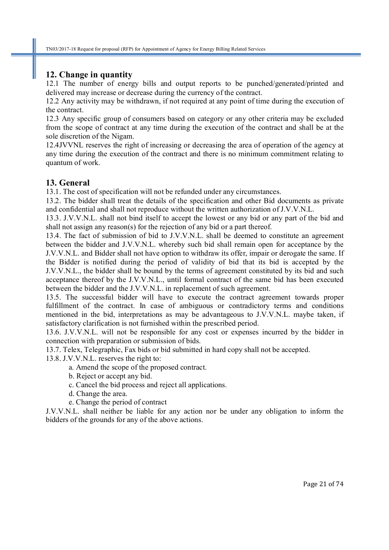# **12. Change in quantity**

12.1 The number of energy bills and output reports to be punched/generated/printed and delivered may increase or decrease during the currency of the contract.

12.2 Any activity may be withdrawn, if not required at any point of time during the execution of the contract.

12.3 Any specific group of consumers based on category or any other criteria may be excluded from the scope of contract at any time during the execution of the contract and shall be at the sole discretion of the Nigam.

12.4JVVNL reserves the right of increasing or decreasing the area of operation of the agency at any time during the execution of the contract and there is no minimum commitment relating to quantum of work.

# **13. General**

13.1. The cost of specification will not be refunded under any circumstances.

13.2. The bidder shall treat the details of the specification and other Bid documents as private and confidential and shall not reproduce without the written authorization of J.V.V.N.L.

13.3. J.V.V.N.L. shall not bind itself to accept the lowest or any bid or any part of the bid and shall not assign any reason(s) for the rejection of any bid or a part thereof.

13.4. The fact of submission of bid to J.V.V.N.L. shall be deemed to constitute an agreement between the bidder and J.V.V.N.L. whereby such bid shall remain open for acceptance by the J.V.V.N.L. and Bidder shall not have option to withdraw its offer, impair or derogate the same. If the Bidder is notified during the period of validity of bid that its bid is accepted by the J.V.V.N.L., the bidder shall be bound by the terms of agreement constituted by its bid and such acceptance thereof by the J.V.V.N.L., until formal contract of the same bid has been executed between the bidder and the J.V.V.N.L. in replacement of such agreement.

13.5. The successful bidder will have to execute the contract agreement towards proper fulfillment of the contract. In case of ambiguous or contradictory terms and conditions mentioned in the bid, interpretations as may be advantageous to J.V.V.N.L. maybe taken, if satisfactory clarification is not furnished within the prescribed period.

13.6. J.V.V.N.L. will not be responsible for any cost or expenses incurred by the bidder in connection with preparation or submission of bids.

13.7. Telex, Telegraphic, Fax bids or bid submitted in hard copy shall not be accepted.

13.8. J.V.V.N.L. reserves the right to:

- a. Amend the scope of the proposed contract.
- b. Reject or accept any bid.
- c. Cancel the bid process and reject all applications.
- d. Change the area.
- e. Change the period of contract

J.V.V.N.L. shall neither be liable for any action nor be under any obligation to inform the bidders of the grounds for any of the above actions.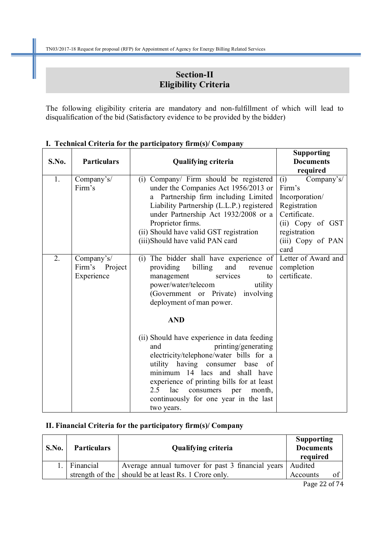# **Section-II Eligibility Criteria**

The following eligibility criteria are mandatory and non-fulfillment of which will lead to disqualification of the bid (Satisfactory evidence to be provided by the bidder)

|       |                                            |                                                                                                                                                                                                                                                                                                                                              | <b>Supporting</b>                                 |
|-------|--------------------------------------------|----------------------------------------------------------------------------------------------------------------------------------------------------------------------------------------------------------------------------------------------------------------------------------------------------------------------------------------------|---------------------------------------------------|
| S.No. | <b>Particulars</b>                         | <b>Qualifying criteria</b>                                                                                                                                                                                                                                                                                                                   | <b>Documents</b>                                  |
|       |                                            |                                                                                                                                                                                                                                                                                                                                              | required                                          |
| 1.    | Company's/                                 | (i) Company/ Firm should be registered                                                                                                                                                                                                                                                                                                       | (i)<br>Company's/                                 |
|       | Firm's                                     | under the Companies Act 1956/2013 or                                                                                                                                                                                                                                                                                                         | Firm's                                            |
|       |                                            | Partnership firm including Limited<br>a                                                                                                                                                                                                                                                                                                      | Incorporation/                                    |
|       |                                            | Liability Partnership (L.L.P.) registered                                                                                                                                                                                                                                                                                                    | Registration                                      |
|       |                                            | under Partnership Act 1932/2008 or a                                                                                                                                                                                                                                                                                                         | Certificate.                                      |
|       |                                            | Proprietor firms.                                                                                                                                                                                                                                                                                                                            | (ii) Copy of GST                                  |
|       |                                            | (ii) Should have valid GST registration                                                                                                                                                                                                                                                                                                      | registration                                      |
|       |                                            | (iii)Should have valid PAN card                                                                                                                                                                                                                                                                                                              | (iii) Copy of PAN                                 |
|       |                                            |                                                                                                                                                                                                                                                                                                                                              | card                                              |
| 2.    | Company's/<br>Firm's Project<br>Experience | (i) The bidder shall have experience of<br>providing<br>billing<br>and<br>revenue<br>management<br>services<br>to<br>power/water/telecom<br>utility<br>(Government or Private) involving<br>deployment of man power.<br><b>AND</b>                                                                                                           | Letter of Award and<br>completion<br>certificate. |
|       |                                            | (ii) Should have experience in data feeding<br>printing/generating<br>and<br>electricity/telephone/water bills for a<br>utility having consumer<br>base<br>of<br>minimum 14 lacs and shall have<br>experience of printing bills for at least<br>2.5<br>lac<br>consumers per<br>month,<br>continuously for one year in the last<br>two years. |                                                   |

#### **I. Technical Criteria for the participatory firm(s)/ Company**

# **II. Financial Criteria for the participatory firm(s)/ Company**

| S.No. | <b>Particulars</b> | <b>Qualifying criteria</b>                                   | <b>Supporting</b><br><b>Documents</b><br>required |  |
|-------|--------------------|--------------------------------------------------------------|---------------------------------------------------|--|
|       | Financial          | Average annual turnover for past 3 financial years   Audited |                                                   |  |
|       |                    | strength of the   should be at least Rs. 1 Crore only.       | Accounts                                          |  |

Page 22 of 74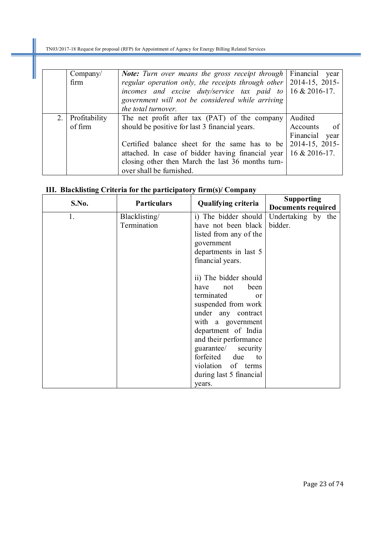|     | Company/<br>firm | <b>Note:</b> Turn over means the gross receipt through<br>regular operation only, the receipts through other<br>incomes and excise duty/service tax paid to $\vert$ 16 & 2016-17.<br>government will not be considered while arriving | Financial year<br>2014-15, 2015- |
|-----|------------------|---------------------------------------------------------------------------------------------------------------------------------------------------------------------------------------------------------------------------------------|----------------------------------|
|     |                  | the total turnover.                                                                                                                                                                                                                   |                                  |
| 2.1 | Profitability    | The net profit after tax (PAT) of the company                                                                                                                                                                                         | Audited                          |
|     | of firm          | should be positive for last 3 financial years.                                                                                                                                                                                        | Accounts<br>- of                 |
|     |                  |                                                                                                                                                                                                                                       | Financial<br>year                |
|     |                  | Certified balance sheet for the same has to be                                                                                                                                                                                        | 2014-15, 2015-                   |
|     |                  | attached. In case of bidder having financial year   $16 \& 2016-17$ .                                                                                                                                                                 |                                  |
|     |                  | closing other then March the last 36 months turn-                                                                                                                                                                                     |                                  |
|     |                  | over shall be furnished.                                                                                                                                                                                                              |                                  |

# **III. Blacklisting Criteria for the participatory firm(s)/ Company**

| S.No. | <b>Particulars</b> | <b>Qualifying criteria</b> | <b>Supporting</b>  |  |
|-------|--------------------|----------------------------|--------------------|--|
|       |                    |                            | Documents required |  |
| 1.    | Blacklisting/      | i) The bidder should       | Undertaking by the |  |
|       | Termination        | have not been black        | bidder.            |  |
|       |                    | listed from any of the     |                    |  |
|       |                    | government                 |                    |  |
|       |                    | departments in last 5      |                    |  |
|       |                    | financial years.           |                    |  |
|       |                    |                            |                    |  |
|       |                    | ii) The bidder should      |                    |  |
|       |                    | have<br>been<br>not        |                    |  |
|       |                    | terminated<br>$\alpha$     |                    |  |
|       |                    | suspended from work        |                    |  |
|       |                    | under any contract         |                    |  |
|       |                    | with a government          |                    |  |
|       |                    | department of India        |                    |  |
|       |                    | and their performance      |                    |  |
|       |                    | guarantee/<br>security     |                    |  |
|       |                    | forfeited due<br>to        |                    |  |
|       |                    | violation of terms         |                    |  |
|       |                    | during last 5 financial    |                    |  |
|       |                    | years.                     |                    |  |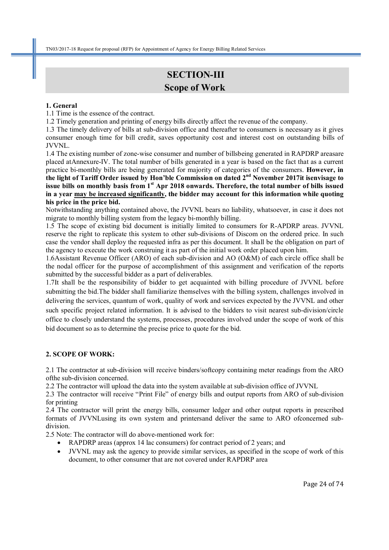# **SECTION-III Scope of Work**

#### **1. General**

1.1 Time is the essence of the contract.

1.2 Timely generation and printing of energy bills directly affect the revenue of the company.

1.3 The timely delivery of bills at sub-division office and thereafter to consumers is necessary as it gives consumer enough time for bill credit, saves opportunity cost and interest cost on outstanding bills of JVVNL.

1.4 The existing number of zone-wise consumer and number of billsbeing generated in RAPDRP areasare placed atAnnexure-IV. The total number of bills generated in a year is based on the fact that as a current practice bi-monthly bills are being generated for majority of categories of the consumers. **However, in the light of Tariff Order issued by Hon'ble Commission on dated 2nd November 2017it isenvisage to issue bills on monthly basis from 1st Apr 2018 onwards. Therefore, the total number of bills issued in a year may be increased significantly, the bidder may account for this information while quoting his price in the price bid.** 

Notwithstanding anything contained above, the JVVNL bears no liability, whatsoever, in case it does not migrate to monthly billing system from the legacy bi-monthly billing.

1.5 The scope of existing bid document is initially limited to consumers for R-APDRP areas. JVVNL reserve the right to replicate this system to other sub-divisions of Discom on the ordered price. In such case the vendor shall deploy the requested infra as per this document. It shall be the obligation on part of the agency to execute the work construing it as part of the initial work order placed upon him.

1.6Assistant Revenue Officer (ARO) of each sub-division and AO (O&M) of each circle office shall be the nodal officer for the purpose of accomplishment of this assignment and verification of the reports submitted by the successful bidder as a part of deliverables.

1.7It shall be the responsibility of bidder to get acquainted with billing procedure of JVVNL before submitting the bid.The bidder shall familiarize themselves with the billing system, challenges involved in delivering the services, quantum of work, quality of work and services expected by the JVVNL and other such specific project related information. It is advised to the bidders to visit nearest sub-division/circle office to closely understand the systems, processes, procedures involved under the scope of work of this bid document so as to determine the precise price to quote for the bid.

#### **2. SCOPE OF WORK:**

2.1 The contractor at sub-division will receive binders/softcopy containing meter readings from the ARO ofthe sub-division concerned.

2.2 The contractor will upload the data into the system available at sub-division office of JVVNL

2.3 The contractor will receive "Print File" of energy bills and output reports from ARO of sub-division for printing

2.4 The contractor will print the energy bills, consumer ledger and other output reports in prescribed formats of JVVNLusing its own system and printersand deliver the same to ARO ofconcerned subdivision.

2.5 Note: The contractor will do above-mentioned work for:

- RAPDRP areas (approx 14 lac consumers) for contract period of 2 years; and
- JVVNL may ask the agency to provide similar services, as specified in the scope of work of this document, to other consumer that are not covered under RAPDRP area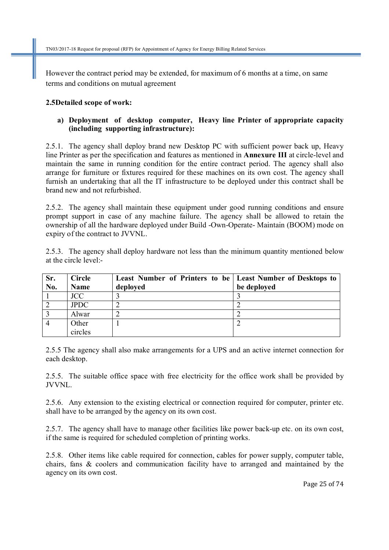However the contract period may be extended, for maximum of 6 months at a time, on same terms and conditions on mutual agreement

#### **2.5Detailed scope of work:**

#### **a) Deployment of desktop computer, Heavy line Printer of appropriate capacity (including supporting infrastructure):**

2.5.1. The agency shall deploy brand new Desktop PC with sufficient power back up, Heavy line Printer as per the specification and features as mentioned in **Annexure III** at circle-level and maintain the same in running condition for the entire contract period. The agency shall also arrange for furniture or fixtures required for these machines on its own cost. The agency shall furnish an undertaking that all the IT infrastructure to be deployed under this contract shall be brand new and not refurbished.

2.5.2. The agency shall maintain these equipment under good running conditions and ensure prompt support in case of any machine failure. The agency shall be allowed to retain the ownership of all the hardware deployed under Build -Own-Operate- Maintain (BOOM) mode on expiry of the contract to JVVNL.

2.5.3. The agency shall deploy hardware not less than the minimum quantity mentioned below at the circle level:-

| Sr. | <b>Circle</b> | Least Number of Printers to be   Least Number of Desktops to |             |
|-----|---------------|--------------------------------------------------------------|-------------|
| No. | <b>Name</b>   | deployed                                                     | be deployed |
|     | <b>JCC</b>    |                                                              |             |
|     | <b>JPDC</b>   |                                                              |             |
|     | Alwar         |                                                              |             |
|     | Other         |                                                              |             |
|     | circles       |                                                              |             |

2.5.5 The agency shall also make arrangements for a UPS and an active internet connection for each desktop.

2.5.5. The suitable office space with free electricity for the office work shall be provided by JVVNL.

2.5.6. Any extension to the existing electrical or connection required for computer, printer etc. shall have to be arranged by the agency on its own cost.

2.5.7. The agency shall have to manage other facilities like power back-up etc. on its own cost, if the same is required for scheduled completion of printing works.

2.5.8. Other items like cable required for connection, cables for power supply, computer table, chairs, fans & coolers and communication facility have to arranged and maintained by the agency on its own cost.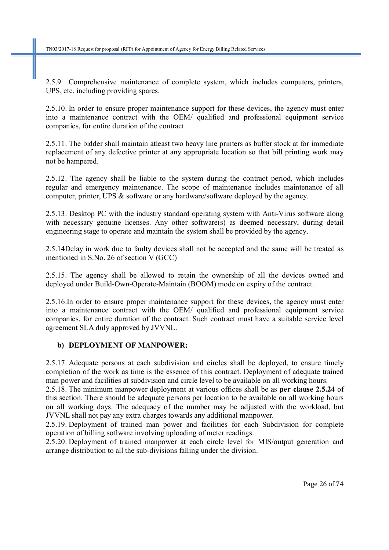2.5.9. Comprehensive maintenance of complete system, which includes computers, printers, UPS, etc. including providing spares.

2.5.10. In order to ensure proper maintenance support for these devices, the agency must enter into a maintenance contract with the OEM/ qualified and professional equipment service companies, for entire duration of the contract.

2.5.11. The bidder shall maintain atleast two heavy line printers as buffer stock at for immediate replacement of any defective printer at any appropriate location so that bill printing work may not be hampered.

2.5.12. The agency shall be liable to the system during the contract period, which includes regular and emergency maintenance. The scope of maintenance includes maintenance of all computer, printer, UPS & software or any hardware/software deployed by the agency.

2.5.13. Desktop PC with the industry standard operating system with Anti-Virus software along with necessary genuine licenses. Any other software(s) as deemed necessary, during detail engineering stage to operate and maintain the system shall be provided by the agency.

2.5.14Delay in work due to faulty devices shall not be accepted and the same will be treated as mentioned in S.No. 26 of section V (GCC)

2.5.15. The agency shall be allowed to retain the ownership of all the devices owned and deployed under Build-Own-Operate-Maintain (BOOM) mode on expiry of the contract.

2.5.16.In order to ensure proper maintenance support for these devices, the agency must enter into a maintenance contract with the OEM/ qualified and professional equipment service companies, for entire duration of the contract. Such contract must have a suitable service level agreement SLA duly approved by JVVNL.

#### **b) DEPLOYMENT OF MANPOWER:**

2.5.17. Adequate persons at each subdivision and circles shall be deployed, to ensure timely completion of the work as time is the essence of this contract. Deployment of adequate trained man power and facilities at subdivision and circle level to be available on all working hours.

2.5.18. The minimum manpower deployment at various offices shall be as **per clause 2.5.24** of this section. There should be adequate persons per location to be available on all working hours on all working days. The adequacy of the number may be adjusted with the workload, but JVVNL shall not pay any extra charges towards any additional manpower.

2.5.19. Deployment of trained man power and facilities for each Subdivision for complete operation of billing software involving uploading of meter readings.

2.5.20. Deployment of trained manpower at each circle level for MIS/output generation and arrange distribution to all the sub-divisions falling under the division.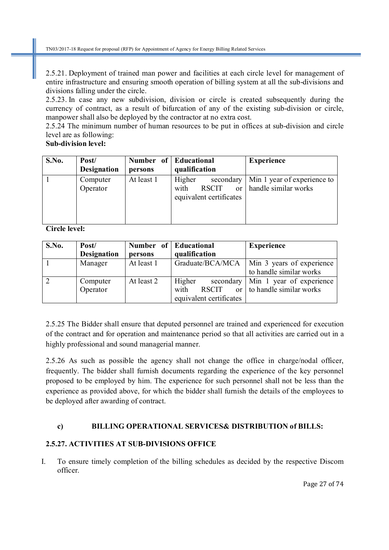2.5.21. Deployment of trained man power and facilities at each circle level for management of entire infrastructure and ensuring smooth operation of billing system at all the sub-divisions and divisions falling under the circle.

2.5.23. In case any new subdivision, division or circle is created subsequently during the currency of contract, as a result of bifurcation of any of the existing sub-division or circle, manpower shall also be deployed by the contractor at no extra cost.

2.5.24 The minimum number of human resources to be put in offices at sub-division and circle level are as following:

# **Sub-division level:**

| S.No. | Post/<br><b>Designation</b> | Number of Educational<br>persons | qualification                                                                      | <b>Experience</b>                                   |
|-------|-----------------------------|----------------------------------|------------------------------------------------------------------------------------|-----------------------------------------------------|
|       | Computer<br>Operator        | At least 1                       | Higher<br>secondary<br>with<br><b>RSCIT</b><br>$\alpha$<br>equivalent certificates | Min 1 year of experience to<br>handle similar works |

**Circle level:** 

| S.No. | Post/              | <b>Number</b><br>of | Educational                      | <b>Experience</b>         |
|-------|--------------------|---------------------|----------------------------------|---------------------------|
|       | <b>Designation</b> | persons             | qualification                    |                           |
|       | Manager            | At least 1          | Graduate/BCA/MCA                 | Min 3 years of experience |
|       |                    |                     |                                  | to handle similar works   |
|       | Computer           | At least 2          | Higher<br>secondary              | Min 1 year of experience  |
|       | Operator           |                     | with<br><b>RSCIT</b><br>$\alpha$ | to handle similar works   |
|       |                    |                     | equivalent certificates          |                           |

2.5.25 The Bidder shall ensure that deputed personnel are trained and experienced for execution of the contract and for operation and maintenance period so that all activities are carried out in a highly professional and sound managerial manner.

2.5.26 As such as possible the agency shall not change the office in charge/nodal officer, frequently. The bidder shall furnish documents regarding the experience of the key personnel proposed to be employed by him. The experience for such personnel shall not be less than the experience as provided above, for which the bidder shall furnish the details of the employees to be deployed after awarding of contract.

# **c) BILLING OPERATIONAL SERVICES& DISTRIBUTION of BILLS:**

# **2.5.27. ACTIVITIES AT SUB-DIVISIONS OFFICE**

I. To ensure timely completion of the billing schedules as decided by the respective Discom officer.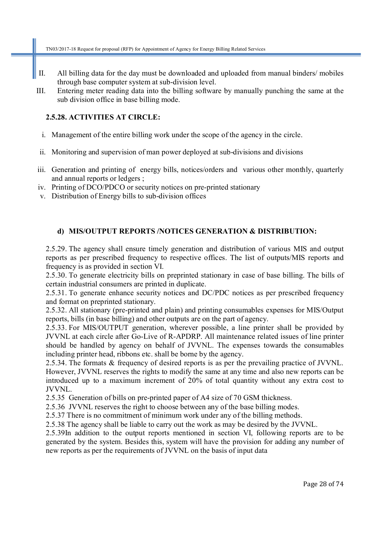- II. All billing data for the day must be downloaded and uploaded from manual binders/ mobiles through base computer system at sub-division level.
- III. Entering meter reading data into the billing software by manually punching the same at the sub division office in base billing mode.

#### **2.5.28. ACTIVITIES AT CIRCLE:**

- i. Management of the entire billing work under the scope of the agency in the circle.
- ii. Monitoring and supervision of man power deployed at sub-divisions and divisions
- iii. Generation and printing of energy bills, notices/orders and various other monthly, quarterly and annual reports or ledgers ;
- iv. Printing of DCO/PDCO or security notices on pre-printed stationary
- v. Distribution of Energy bills to sub-division offices

### **d) MIS/OUTPUT REPORTS /NOTICES GENERATION & DISTRIBUTION:**

2.5.29. The agency shall ensure timely generation and distribution of various MIS and output reports as per prescribed frequency to respective offices. The list of outputs/MIS reports and frequency is as provided in section VI.

2.5.30. To generate electricity bills on preprinted stationary in case of base billing. The bills of certain industrial consumers are printed in duplicate.

2.5.31. To generate enhance security notices and DC/PDC notices as per prescribed frequency and format on preprinted stationary.

2.5.32. All stationary (pre-printed and plain) and printing consumables expenses for MIS/Output reports, bills (in base billing) and other outputs are on the part of agency.

2.5.33. For MIS/OUTPUT generation, wherever possible, a line printer shall be provided by JVVNL at each circle after Go-Live of R-APDRP. All maintenance related issues of line printer should be handled by agency on behalf of JVVNL. The expenses towards the consumables including printer head, ribbons etc. shall be borne by the agency.

2.5.34. The formats & frequency of desired reports is as per the prevailing practice of JVVNL. However, JVVNL reserves the rights to modify the same at any time and also new reports can be introduced up to a maximum increment of 20% of total quantity without any extra cost to JVVNL.

2.5.35 Generation of bills on pre-printed paper of A4 size of 70 GSM thickness.

2.5.36 JVVNL reserves the right to choose between any of the base billing modes.

2.5.37 There is no commitment of minimum work under any of the billing methods.

2.5.38 The agency shall be liable to carry out the work as may be desired by the JVVNL.

2.5.39In addition to the output reports mentioned in section VI, following reports are to be generated by the system. Besides this, system will have the provision for adding any number of new reports as per the requirements of JVVNL on the basis of input data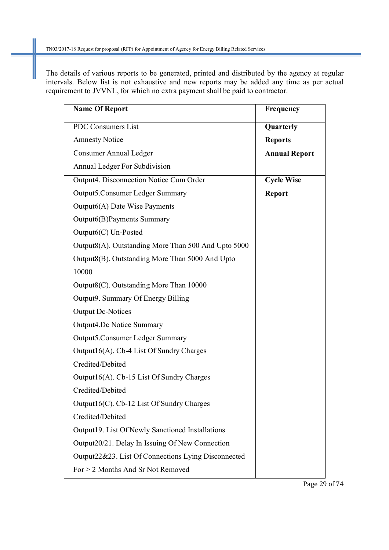The details of various reports to be generated, printed and distributed by the agency at regular intervals. Below list is not exhaustive and new reports may be added any time as per actual requirement to JVVNL, for which no extra payment shall be paid to contractor.

| <b>Name Of Report</b>                               | Frequency            |
|-----------------------------------------------------|----------------------|
| <b>PDC Consumers List</b>                           | Quarterly            |
| <b>Amnesty Notice</b>                               | <b>Reports</b>       |
| Consumer Annual Ledger                              | <b>Annual Report</b> |
| Annual Ledger For Subdivision                       |                      |
| Output4. Disconnection Notice Cum Order             | <b>Cycle Wise</b>    |
| <b>Output5.Consumer Ledger Summary</b>              | <b>Report</b>        |
| Output6(A) Date Wise Payments                       |                      |
| Output6(B)Payments Summary                          |                      |
| $Output6(C)$ Un-Posted                              |                      |
| Output8(A). Outstanding More Than 500 And Upto 5000 |                      |
| Output8(B). Outstanding More Than 5000 And Upto     |                      |
| 10000                                               |                      |
| Output8(C). Outstanding More Than 10000             |                      |
| Output9. Summary Of Energy Billing                  |                      |
| <b>Output Dc-Notices</b>                            |                      |
| <b>Output4.Dc Notice Summary</b>                    |                      |
| <b>Output5.Consumer Ledger Summary</b>              |                      |
| Output16(A). Cb-4 List Of Sundry Charges            |                      |
| Credited/Debited                                    |                      |
| Output16(A). Cb-15 List Of Sundry Charges           |                      |
| Credited/Debited                                    |                      |
| Output16(C). Cb-12 List Of Sundry Charges           |                      |
| Credited/Debited                                    |                      |
| Output19. List Of Newly Sanctioned Installations    |                      |
| Output20/21. Delay In Issuing Of New Connection     |                      |
| Output22&23. List Of Connections Lying Disconnected |                      |
| For > 2 Months And Sr Not Removed                   |                      |

Page 29 of 74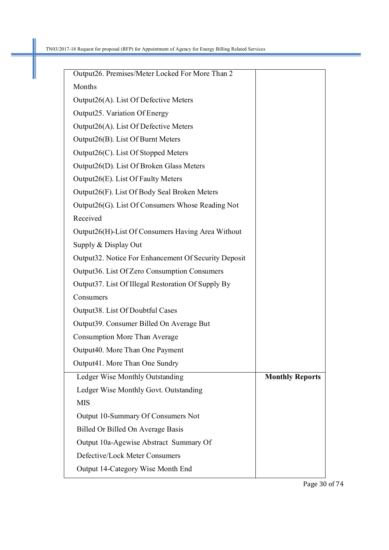П

| Output26. Premises/Meter Locked For More Than 2      |                        |
|------------------------------------------------------|------------------------|
| Months                                               |                        |
| Output26(A). List Of Defective Meters                |                        |
| Output25. Variation Of Energy                        |                        |
| Output26(A). List Of Defective Meters                |                        |
| Output26(B). List Of Burnt Meters                    |                        |
| Output26(C). List Of Stopped Meters                  |                        |
| Output26(D). List Of Broken Glass Meters             |                        |
| Output26(E). List Of Faulty Meters                   |                        |
| Output26(F). List Of Body Seal Broken Meters         |                        |
| Output26(G). List Of Consumers Whose Reading Not     |                        |
| Received                                             |                        |
| Output26(H)-List Of Consumers Having Area Without    |                        |
| Supply & Display Out                                 |                        |
| Output32. Notice For Enhancement Of Security Deposit |                        |
| Output36. List Of Zero Consumption Consumers         |                        |
| Output 37. List Of Illegal Restoration Of Supply By  |                        |
| Consumers                                            |                        |
| Output38. List Of Doubtful Cases                     |                        |
| Output 39. Consumer Billed On Average But            |                        |
| <b>Consumption More Than Average</b>                 |                        |
| Output40. More Than One Payment                      |                        |
| Output41. More Than One Sundry                       |                        |
| Ledger Wise Monthly Outstanding                      | <b>Monthly Reports</b> |
| Ledger Wise Monthly Govt. Outstanding                |                        |
| <b>MIS</b>                                           |                        |
| Output 10-Summary Of Consumers Not                   |                        |
| Billed Or Billed On Average Basis                    |                        |
| Output 10a-Agewise Abstract Summary Of               |                        |
| Defective/Lock Meter Consumers                       |                        |
|                                                      |                        |

Page 30 of 74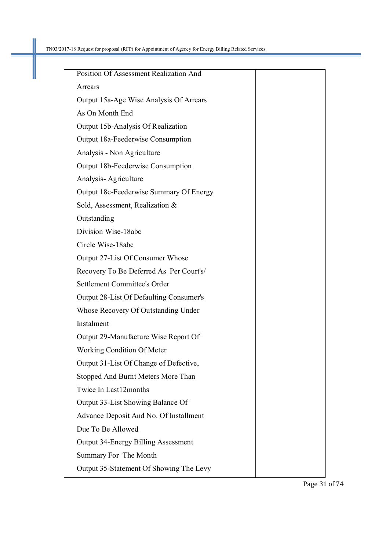П

| Position Of Assessment Realization And     |  |
|--------------------------------------------|--|
| Arrears                                    |  |
| Output 15a-Age Wise Analysis Of Arrears    |  |
| As On Month End                            |  |
| Output 15b-Analysis Of Realization         |  |
| Output 18a-Feederwise Consumption          |  |
| Analysis - Non Agriculture                 |  |
| Output 18b-Feederwise Consumption          |  |
| Analysis-Agriculture                       |  |
| Output 18c-Feederwise Summary Of Energy    |  |
| Sold, Assessment, Realization &            |  |
| Outstanding                                |  |
| Division Wise-18abc                        |  |
| Circle Wise-18abc                          |  |
| Output 27-List Of Consumer Whose           |  |
| Recovery To Be Deferred As Per Court's/    |  |
| Settlement Committee's Order               |  |
| Output 28-List Of Defaulting Consumer's    |  |
| Whose Recovery Of Outstanding Under        |  |
| Instalment                                 |  |
| Output 29-Manufacture Wise Report Of       |  |
| <b>Working Condition Of Meter</b>          |  |
| Output 31-List Of Change of Defective,     |  |
| Stopped And Burnt Meters More Than         |  |
| Twice In Last12months                      |  |
| Output 33-List Showing Balance Of          |  |
| Advance Deposit And No. Of Installment     |  |
| Due To Be Allowed                          |  |
| <b>Output 34-Energy Billing Assessment</b> |  |
| Summary For The Month                      |  |
| Output 35-Statement Of Showing The Levy    |  |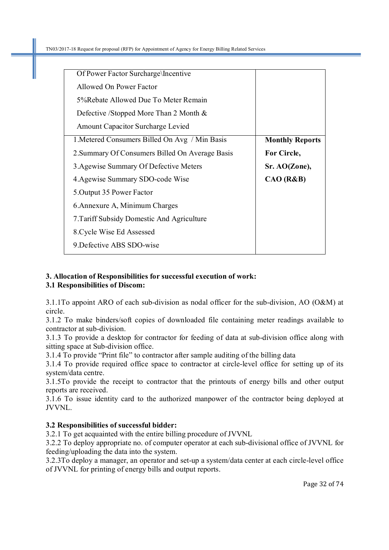| Of Power Factor Surcharge\Incentive             |                        |
|-------------------------------------------------|------------------------|
| Allowed On Power Factor                         |                        |
| 5% Rebate Allowed Due To Meter Remain           |                        |
| Defective /Stopped More Than 2 Month &          |                        |
| Amount Capacitor Surcharge Levied               |                        |
| 1. Metered Consumers Billed On Avg / Min Basis  | <b>Monthly Reports</b> |
| 2. Summary Of Consumers Billed On Average Basis | For Circle,            |
| 3. Agewise Summary Of Defective Meters          | Sr. AO(Zone),          |
| 4. Agewise Summary SDO-code Wise                | CAO (R&B)              |
| 5. Output 35 Power Factor                       |                        |
| 6. Annexure A, Minimum Charges                  |                        |
| 7. Tariff Subsidy Domestic And Agriculture      |                        |
| 8. Cycle Wise Ed Assessed                       |                        |
| 9. Defective ABS SDO-wise                       |                        |

# **3. Allocation of Responsibilities for successful execution of work:**

# **3.1 Responsibilities of Discom:**

3.1.1To appoint ARO of each sub-division as nodal officer for the sub-division, AO (O&M) at circle.

3.1.2 To make binders/soft copies of downloaded file containing meter readings available to contractor at sub-division.

3.1.3 To provide a desktop for contractor for feeding of data at sub-division office along with sitting space at Sub-division office.

3.1.4 To provide "Print file" to contractor after sample auditing of the billing data

3.1.4 To provide required office space to contractor at circle-level office for setting up of its system/data centre.

3.1.5To provide the receipt to contractor that the printouts of energy bills and other output reports are received.

3.1.6 To issue identity card to the authorized manpower of the contractor being deployed at JVVNL.

# **3.2 Responsibilities of successful bidder:**

3.2.1 To get acquainted with the entire billing procedure of JVVNL

3.2.2 To deploy appropriate no. of computer operator at each sub-divisional office of JVVNL for feeding/uploading the data into the system.

3.2.3To deploy a manager, an operator and set-up a system/data center at each circle-level office of JVVNL for printing of energy bills and output reports.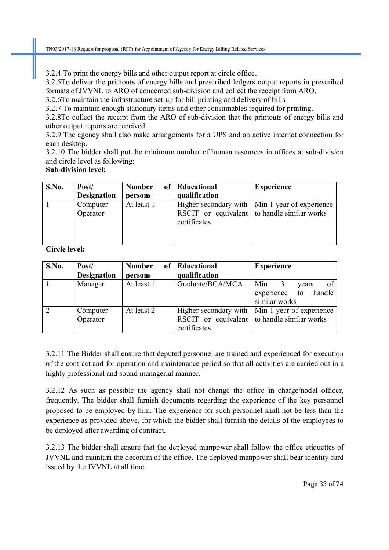3.2.4 To print the energy bills and other output report at circle office.

3.2.5To deliver the printouts of energy bills and prescribed ledgers output reports in prescribed formats of JVVNL to ARO of concerned sub-division and collect the receipt from ARO. 3.2.6To maintain the infrastructure set-up for bill printing and delivery of bills

3.2.7 To maintain enough stationary items and other consumables required for printing.

3.2.8To collect the receipt from the ARO of sub-division that the printouts of energy bills and other output reports are received.

3.2.9 The agency shall also make arrangements for a UPS and an active internet connection for each desktop.

3.2.10 The bidder shall put the minimum number of human resources in offices at sub-division and circle level as following:

#### **Sub-division level:**

| S.No. | Post/              | <b>Number</b> | of Educational | <b>Experience</b>                                |
|-------|--------------------|---------------|----------------|--------------------------------------------------|
|       | <b>Designation</b> | persons       | qualification  |                                                  |
|       | Computer           | At least 1    |                | Higher secondary with   Min 1 year of experience |
|       | Operator           |               |                | RSCIT or equivalent to handle similar works      |
|       |                    |               | certificates   |                                                  |
|       |                    |               |                |                                                  |
|       |                    |               |                |                                                  |

**Circle level:** 

| S.No. | Post/              | <b>Number</b> | of   Educational | <b>Experience</b>                                |
|-------|--------------------|---------------|------------------|--------------------------------------------------|
|       | <b>Designation</b> | persons       | qualification    |                                                  |
|       | Manager            | At least 1    | Graduate/BCA/MCA | of<br>Min<br>vears                               |
|       |                    |               |                  | handle<br>experience<br>to                       |
|       |                    |               |                  | similar works                                    |
| 2     | Computer           | At least 2    |                  | Higher secondary with   Min 1 year of experience |
|       | Operator           |               |                  | RSCIT or equivalent to handle similar works      |
|       |                    |               | certificates     |                                                  |

3.2.11 The Bidder shall ensure that deputed personnel are trained and experienced for execution of the contract and for operation and maintenance period so that all activities are carried out in a highly professional and sound managerial manner.

3.2.12 As such as possible the agency shall not change the office in charge/nodal officer, frequently. The bidder shall furnish documents regarding the experience of the key personnel proposed to be employed by him. The experience for such personnel shall not be less than the experience as provided above, for which the bidder shall furnish the details of the employees to be deployed after awarding of contract.

3.2.13 The bidder shall ensure that the deployed manpower shall follow the office etiquettes of JVVNL and maintain the decorum of the office. The deployed manpower shall bear identity card issued by the JVVNL at all time.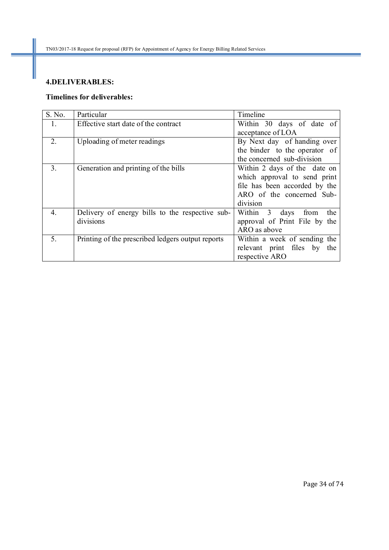# **4.DELIVERABLES:**

# **Timelines for deliverables:**

| S. No.         | Particular                                        | Timeline                        |
|----------------|---------------------------------------------------|---------------------------------|
| $\mathbf{1}$ . | Effective start date of the contract              | Within 30 days of date of       |
|                |                                                   | acceptance of LOA               |
| 2.             | Uploading of meter readings                       | By Next day of handing over     |
|                |                                                   | the binder to the operator of   |
|                |                                                   | the concerned sub-division      |
| 3.             | Generation and printing of the bills              | Within 2 days of the date on    |
|                |                                                   | which approval to send print    |
|                |                                                   | file has been accorded by the   |
|                |                                                   | ARO of the concerned Sub-       |
|                |                                                   | division                        |
| 4              | Delivery of energy bills to the respective sub-   | Within 3<br>days<br>from<br>the |
|                | divisions                                         | approval of Print File by the   |
|                |                                                   | ARO as above                    |
| 5.             | Printing of the prescribed ledgers output reports | Within a week of sending the    |
|                |                                                   | relevant print files by the     |
|                |                                                   | respective ARO                  |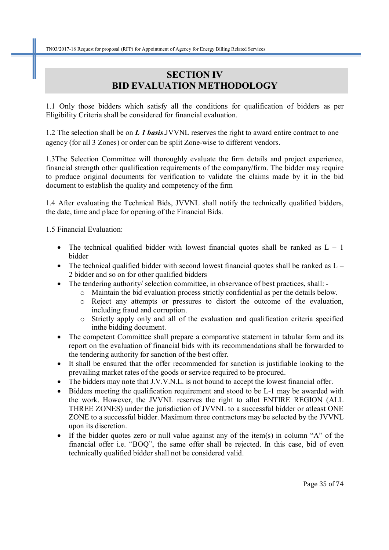# **SECTION IV BID EVALUATION METHODOLOGY**

1.1 Only those bidders which satisfy all the conditions for qualification of bidders as per Eligibility Criteria shall be considered for financial evaluation.

1.2 The selection shall be on *L 1 basis*.JVVNL reserves the right to award entire contract to one agency (for all 3 Zones) or order can be split Zone-wise to different vendors.

1.3The Selection Committee will thoroughly evaluate the firm details and project experience, financial strength other qualification requirements of the company/firm. The bidder may require to produce original documents for verification to validate the claims made by it in the bid document to establish the quality and competency of the firm

1.4 After evaluating the Technical Bids, JVVNL shall notify the technically qualified bidders, the date, time and place for opening of the Financial Bids.

1.5 Financial Evaluation:

- The technical qualified bidder with lowest financial quotes shall be ranked as  $L 1$ bidder
- The technical qualified bidder with second lowest financial quotes shall be ranked as  $L -$ 2 bidder and so on for other qualified bidders
- The tendering authority/ selection committee, in observance of best practices, shall:
	- o Maintain the bid evaluation process strictly confidential as per the details below.
		- o Reject any attempts or pressures to distort the outcome of the evaluation, including fraud and corruption.
		- o Strictly apply only and all of the evaluation and qualification criteria specified inthe bidding document.
- The competent Committee shall prepare a comparative statement in tabular form and its report on the evaluation of financial bids with its recommendations shall be forwarded to the tendering authority for sanction of the best offer.
- It shall be ensured that the offer recommended for sanction is justifiable looking to the prevailing market rates of the goods or service required to be procured.
- The bidders may note that J.V.V.N.L. is not bound to accept the lowest financial offer.
- Bidders meeting the qualification requirement and stood to be L-1 may be awarded with the work. However, the JVVNL reserves the right to allot ENTIRE REGION (ALL THREE ZONES) under the jurisdiction of JVVNL to a successful bidder or atleast ONE ZONE to a successful bidder. Maximum three contractors may be selected by the JVVNL upon its discretion.
- If the bidder quotes zero or null value against any of the item(s) in column "A" of the financial offer i.e. "BOQ", the same offer shall be rejected. In this case, bid of even technically qualified bidder shall not be considered valid.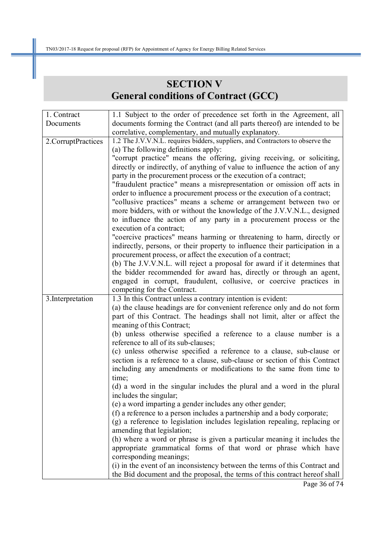# **SECTION V General conditions of Contract (GCC)**

| 1. Contract        | 1.1 Subject to the order of precedence set forth in the Agreement, all         |  |
|--------------------|--------------------------------------------------------------------------------|--|
| Documents          | documents forming the Contract (and all parts thereof) are intended to be      |  |
|                    | correlative, complementary, and mutually explanatory.                          |  |
| 2.CorruptPractices | 1.2 The J.V.V.N.L. requires bidders, suppliers, and Contractors to observe the |  |
|                    | (a) The following definitions apply:                                           |  |
|                    | "corrupt practice" means the offering, giving receiving, or soliciting,        |  |
|                    | directly or indirectly, of anything of value to influence the action of any    |  |
|                    | party in the procurement process or the execution of a contract;               |  |
|                    | "fraudulent practice" means a misrepresentation or omission off acts in        |  |
|                    | order to influence a procurement process or the execution of a contract;       |  |
|                    | "collusive practices" means a scheme or arrangement between two or             |  |
|                    | more bidders, with or without the knowledge of the J.V.V.N.L., designed        |  |
|                    | to influence the action of any party in a procurement process or the           |  |
|                    | execution of a contract;                                                       |  |
|                    | "coercive practices" means harming or threatening to harm, directly or         |  |
|                    | indirectly, persons, or their property to influence their participation in a   |  |
|                    | procurement process, or affect the execution of a contract;                    |  |
|                    | (b) The J.V.V.N.L. will reject a proposal for award if it determines that      |  |
|                    | the bidder recommended for award has, directly or through an agent,            |  |
|                    | engaged in corrupt, fraudulent, collusive, or coercive practices in            |  |
|                    | competing for the Contract.                                                    |  |
| 3. Interpretation  | 1.3 In this Contract unless a contrary intention is evident:                   |  |
|                    | (a) the clause headings are for convenient reference only and do not form      |  |
|                    | part of this Contract. The headings shall not limit, alter or affect the       |  |
|                    | meaning of this Contract;                                                      |  |
|                    | (b) unless otherwise specified a reference to a clause number is a             |  |
|                    | reference to all of its sub-clauses;                                           |  |
|                    | (c) unless otherwise specified a reference to a clause, sub-clause or          |  |
|                    | section is a reference to a clause, sub-clause or section of this Contract     |  |
|                    | including any amendments or modifications to the same from time to             |  |
|                    | time;                                                                          |  |
|                    | (d) a word in the singular includes the plural and a word in the plural        |  |
|                    | includes the singular;                                                         |  |
|                    | (e) a word imparting a gender includes any other gender;                       |  |
|                    | (f) a reference to a person includes a partnership and a body corporate;       |  |
|                    | (g) a reference to legislation includes legislation repealing, replacing or    |  |
|                    | amending that legislation;                                                     |  |
|                    | (h) where a word or phrase is given a particular meaning it includes the       |  |
|                    | appropriate grammatical forms of that word or phrase which have                |  |
|                    | corresponding meanings;                                                        |  |
|                    | (i) in the event of an inconsistency between the terms of this Contract and    |  |
|                    | the Bid document and the proposal, the terms of this contract hereof shall     |  |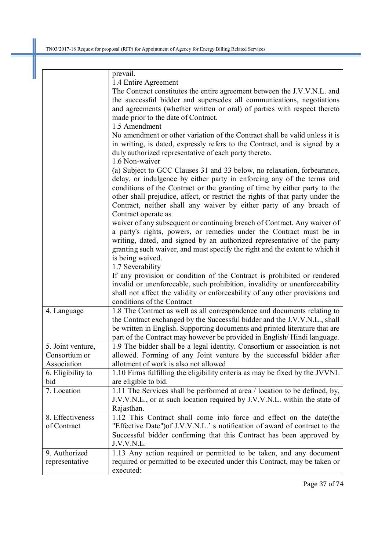|                   | prevail.                                                                      |
|-------------------|-------------------------------------------------------------------------------|
|                   | 1.4 Entire Agreement                                                          |
|                   | The Contract constitutes the entire agreement between the J.V.V.N.L. and      |
|                   | the successful bidder and supersedes all communications, negotiations         |
|                   | and agreements (whether written or oral) of parties with respect thereto      |
|                   | made prior to the date of Contract.                                           |
|                   | 1.5 Amendment                                                                 |
|                   | No amendment or other variation of the Contract shall be valid unless it is   |
|                   | in writing, is dated, expressly refers to the Contract, and is signed by a    |
|                   | duly authorized representative of each party thereto.                         |
|                   | 1.6 Non-waiver                                                                |
|                   | (a) Subject to GCC Clauses 31 and 33 below, no relaxation, forbearance,       |
|                   | delay, or indulgence by either party in enforcing any of the terms and        |
|                   | conditions of the Contract or the granting of time by either party to the     |
|                   | other shall prejudice, affect, or restrict the rights of that party under the |
|                   | Contract, neither shall any waiver by either party of any breach of           |
|                   | Contract operate as                                                           |
|                   | waiver of any subsequent or continuing breach of Contract. Any waiver of      |
|                   | a party's rights, powers, or remedies under the Contract must be in           |
|                   | writing, dated, and signed by an authorized representative of the party       |
|                   | granting such waiver, and must specify the right and the extent to which it   |
|                   | is being waived.                                                              |
|                   | 1.7 Severability                                                              |
|                   | If any provision or condition of the Contract is prohibited or rendered       |
|                   | invalid or unenforceable, such prohibition, invalidity or unenforceability    |
|                   | shall not affect the validity or enforceability of any other provisions and   |
|                   | conditions of the Contract                                                    |
| 4. Language       | 1.8 The Contract as well as all correspondence and documents relating to      |
|                   | the Contract exchanged by the Successful bidder and the J.V.V.N.L., shall     |
|                   | be written in English. Supporting documents and printed literature that are   |
|                   | part of the Contract may however be provided in English/Hindi language.       |
| 5. Joint venture, | 1.9 The bidder shall be a legal identity. Consortium or association is not    |
| Consortium or     | allowed. Forming of any Joint venture by the successful bidder after          |
| Association       | allotment of work is also not allowed                                         |
| 6. Eligibility to | 1.10 Firms fulfilling the eligibility criteria as may be fixed by the JVVNL   |
| bid               | are eligible to bid.                                                          |
| 7. Location       | 1.11 The Services shall be performed at area / location to be defined, by,    |
|                   | J.V.V.N.L., or at such location required by J.V.V.N.L. within the state of    |
|                   | Rajasthan.                                                                    |
| 8. Effectiveness  | 1.12 This Contract shall come into force and effect on the date (the          |
| of Contract       | "Effective Date") of J.V.V.N.L.' s notification of award of contract to the   |
|                   | Successful bidder confirming that this Contract has been approved by          |
|                   | J.V.V.N.L.                                                                    |
| 9. Authorized     | 1.13 Any action required or permitted to be taken, and any document           |
| representative    | required or permitted to be executed under this Contract, may be taken or     |
|                   | executed:                                                                     |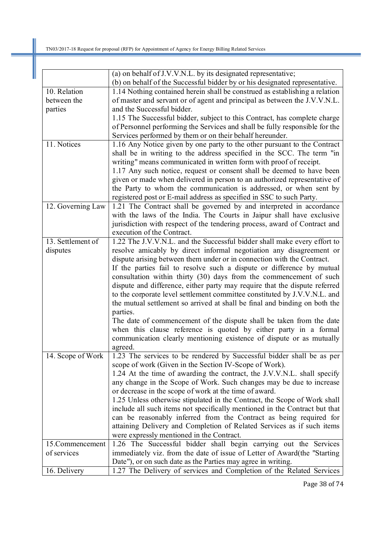|                   | (a) on behalf of J.V.V.N.L. by its designated representative;                                                                     |
|-------------------|-----------------------------------------------------------------------------------------------------------------------------------|
|                   | (b) on behalf of the Successful bidder by or his designated representative.                                                       |
| 10. Relation      | 1.14 Nothing contained herein shall be construed as establishing a relation                                                       |
| between the       | of master and servant or of agent and principal as between the J.V.V.N.L.                                                         |
| parties           | and the Successful bidder.                                                                                                        |
|                   | 1.15 The Successful bidder, subject to this Contract, has complete charge                                                         |
|                   | of Personnel performing the Services and shall be fully responsible for the                                                       |
|                   | Services performed by them or on their behalf hereunder.                                                                          |
| 11. Notices       | 1.16 Any Notice given by one party to the other pursuant to the Contract                                                          |
|                   | shall be in writing to the address specified in the SCC. The term "in                                                             |
|                   | writing" means communicated in written form with proof of receipt.                                                                |
|                   | 1.17 Any such notice, request or consent shall be deemed to have been                                                             |
|                   | given or made when delivered in person to an authorized representative of                                                         |
|                   | the Party to whom the communication is addressed, or when sent by                                                                 |
|                   | registered post or E-mail address as specified in SSC to such Party.                                                              |
| 12. Governing Law | 1.21 The Contract shall be governed by and interpreted in accordance                                                              |
|                   | with the laws of the India. The Courts in Jaipur shall have exclusive                                                             |
|                   | jurisdiction with respect of the tendering process, award of Contract and                                                         |
|                   | execution of the Contract.                                                                                                        |
| 13. Settlement of | 1.22 The J.V.V.N.L. and the Successful bidder shall make every effort to                                                          |
| disputes          | resolve amicably by direct informal negotiation any disagreement or                                                               |
|                   | dispute arising between them under or in connection with the Contract.                                                            |
|                   | If the parties fail to resolve such a dispute or difference by mutual                                                             |
|                   | consultation within thirty (30) days from the commencement of such                                                                |
|                   | dispute and difference, either party may require that the dispute referred                                                        |
|                   | to the corporate level settlement committee constituted by J.V.V.N.L. and                                                         |
|                   | the mutual settlement so arrived at shall be final and binding on both the                                                        |
|                   | parties.                                                                                                                          |
|                   | The date of commencement of the dispute shall be taken from the date                                                              |
|                   | when this clause reference is quoted by either party in a formal                                                                  |
|                   | communication clearly mentioning existence of dispute or as mutually                                                              |
|                   | agreed.                                                                                                                           |
| 14. Scope of Work | 1.23 The services to be rendered by Successful bidder shall be as per                                                             |
|                   | scope of work (Given in the Section IV-Scope of Work).<br>1.24 At the time of awarding the contract, the J.V.V.N.L. shall specify |
|                   | any change in the Scope of Work. Such changes may be due to increase                                                              |
|                   | or decrease in the scope of work at the time of award.                                                                            |
|                   | 1.25 Unless otherwise stipulated in the Contract, the Scope of Work shall                                                         |
|                   | include all such items not specifically mentioned in the Contract but that                                                        |
|                   | can be reasonably inferred from the Contract as being required for                                                                |
|                   | attaining Delivery and Completion of Related Services as if such items                                                            |
|                   | were expressly mentioned in the Contract.                                                                                         |
| 15.Commencement   | 1.26 The Successful bidder shall begin carrying out the Services                                                                  |
| of services       | immediately viz. from the date of issue of Letter of Award (the "Starting                                                         |
|                   | Date"), or on such date as the Parties may agree in writing.                                                                      |
| 16. Delivery      | 1.27 The Delivery of services and Completion of the Related Services                                                              |

Page 38 of 74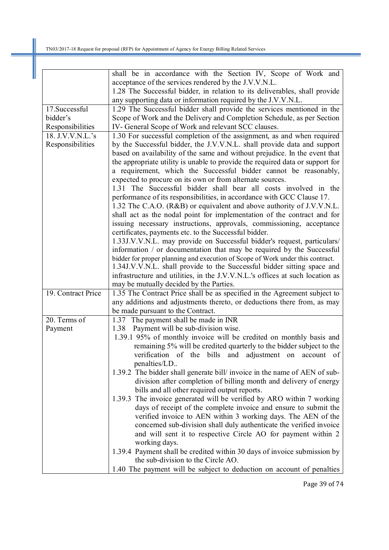|                    | shall be in accordance with the Section IV, Scope of Work and                                                                                           |
|--------------------|---------------------------------------------------------------------------------------------------------------------------------------------------------|
|                    | acceptance of the services rendered by the J.V.V.N.L.                                                                                                   |
|                    | 1.28 The Successful bidder, in relation to its deliverables, shall provide                                                                              |
|                    | any supporting data or information required by the J.V.V.N.L.                                                                                           |
| 17.Successful      | 1.29 The Successful bidder shall provide the services mentioned in the                                                                                  |
| bidder's           | Scope of Work and the Delivery and Completion Schedule, as per Section                                                                                  |
| Responsibilities   | IV- General Scope of Work and relevant SCC clauses.                                                                                                     |
| 18. J.V.V.N.L.'s   | 1.30 For successful completion of the assignment, as and when required                                                                                  |
| Responsibilities   | by the Successful bidder, the J.V.V.N.L. shall provide data and support                                                                                 |
|                    | based on availability of the same and without prejudice. In the event that                                                                              |
|                    | the appropriate utility is unable to provide the required data or support for                                                                           |
|                    | a requirement, which the Successful bidder cannot be reasonably,                                                                                        |
|                    | expected to procure on its own or from alternate sources.                                                                                               |
|                    | 1.31 The Successful bidder shall bear all costs involved in the                                                                                         |
|                    | performance of its responsibilities, in accordance with GCC Clause 17.                                                                                  |
|                    | 1.32 The C.A.O. (R&B) or equivalent and above authority of J.V.V.N.L.                                                                                   |
|                    | shall act as the nodal point for implementation of the contract and for                                                                                 |
|                    | issuing necessary instructions, approvals, commissioning, acceptance                                                                                    |
|                    | certificates, payments etc. to the Successful bidder.                                                                                                   |
|                    | 1.33J.V.V.N.L. may provide on Successful bidder's request, particulars/                                                                                 |
|                    | information / or documentation that may be required by the Successful<br>bidder for proper planning and execution of Scope of Work under this contract. |
|                    | 1.34J.V.V.N.L. shall provide to the Successful bidder sitting space and                                                                                 |
|                    | infrastructure and utilities, in the J.V.V.N.L.'s offices at such location as                                                                           |
|                    | may be mutually decided by the Parties.                                                                                                                 |
| 19. Contract Price | 1.35 The Contract Price shall be as specified in the Agreement subject to                                                                               |
|                    | any additions and adjustments thereto, or deductions there from, as may                                                                                 |
|                    | be made pursuant to the Contract.                                                                                                                       |
| 20. Terms of       | 1.37 The payment shall be made in INR                                                                                                                   |
| Payment            | Payment will be sub-division wise.<br>1.38                                                                                                              |
|                    | 1.39.1 95% of monthly invoice will be credited on monthly basis and                                                                                     |
|                    | remaining 5% will be credited quarterly to the bidder subject to the                                                                                    |
|                    | verification of the bills and adjustment on account of                                                                                                  |
|                    | penalties/LD                                                                                                                                            |
|                    | 1.39.2 The bidder shall generate bill/ invoice in the name of AEN of sub-                                                                               |
|                    | division after completion of billing month and delivery of energy                                                                                       |
|                    | bills and all other required output reports.                                                                                                            |
|                    | 1.39.3 The invoice generated will be verified by ARO within 7 working                                                                                   |
|                    | days of receipt of the complete invoice and ensure to submit the                                                                                        |
|                    | verified invoice to AEN within 3 working days. The AEN of the                                                                                           |
|                    | concerned sub-division shall duly authenticate the verified invoice                                                                                     |
|                    | and will sent it to respective Circle AO for payment within 2                                                                                           |
|                    | working days.                                                                                                                                           |
|                    | 1.39.4 Payment shall be credited within 30 days of invoice submission by                                                                                |
|                    | the sub-division to the Circle AO.                                                                                                                      |
|                    | 1.40 The payment will be subject to deduction on account of penalties                                                                                   |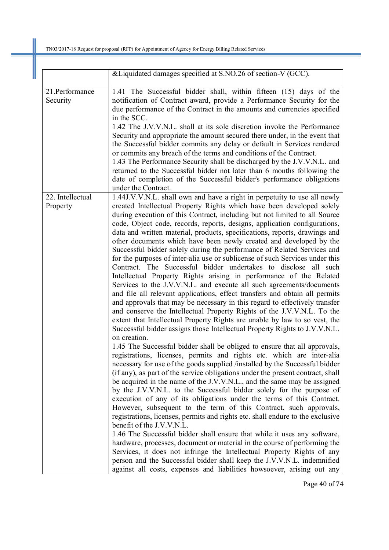|                              | &Liquidated damages specified at S.NO.26 of section-V (GCC).                                                                                                                                                                                                                                                                                                                                                                                                                                                                                                                                                                                                                                                                                                                                                                                                                                                                                                                                                                                                                                                                                                                                                                                                                                                                                                                                                                                                                                                                                                                                                                                                                                                                                                                                                                                                                                                                                                                                                                                                                                                                                                                                                                                                                                                                                                                                  |
|------------------------------|-----------------------------------------------------------------------------------------------------------------------------------------------------------------------------------------------------------------------------------------------------------------------------------------------------------------------------------------------------------------------------------------------------------------------------------------------------------------------------------------------------------------------------------------------------------------------------------------------------------------------------------------------------------------------------------------------------------------------------------------------------------------------------------------------------------------------------------------------------------------------------------------------------------------------------------------------------------------------------------------------------------------------------------------------------------------------------------------------------------------------------------------------------------------------------------------------------------------------------------------------------------------------------------------------------------------------------------------------------------------------------------------------------------------------------------------------------------------------------------------------------------------------------------------------------------------------------------------------------------------------------------------------------------------------------------------------------------------------------------------------------------------------------------------------------------------------------------------------------------------------------------------------------------------------------------------------------------------------------------------------------------------------------------------------------------------------------------------------------------------------------------------------------------------------------------------------------------------------------------------------------------------------------------------------------------------------------------------------------------------------------------------------|
| 21.Performance<br>Security   | 1.41 The Successful bidder shall, within fifteen (15) days of the<br>notification of Contract award, provide a Performance Security for the<br>due performance of the Contract in the amounts and currencies specified<br>in the SCC.<br>1.42 The J.V.V.N.L. shall at its sole discretion invoke the Performance<br>Security and appropriate the amount secured there under, in the event that<br>the Successful bidder commits any delay or default in Services rendered<br>or commits any breach of the terms and conditions of the Contract.<br>1.43 The Performance Security shall be discharged by the J.V.V.N.L. and<br>returned to the Successful bidder not later than 6 months following the<br>date of completion of the Successful bidder's performance obligations<br>under the Contract.                                                                                                                                                                                                                                                                                                                                                                                                                                                                                                                                                                                                                                                                                                                                                                                                                                                                                                                                                                                                                                                                                                                                                                                                                                                                                                                                                                                                                                                                                                                                                                                         |
| 22. Intellectual<br>Property | 1.44J.V.V.N.L. shall own and have a right in perpetuity to use all newly<br>created Intellectual Property Rights which have been developed solely<br>during execution of this Contract, including but not limited to all Source<br>code, Object code, records, reports, designs, application configurations,<br>data and written material, products, specifications, reports, drawings and<br>other documents which have been newly created and developed by the<br>Successful bidder solely during the performance of Related Services and<br>for the purposes of inter-alia use or sublicense of such Services under this<br>Contract. The Successful bidder undertakes to disclose all such<br>Intellectual Property Rights arising in performance of the Related<br>Services to the J.V.V.N.L. and execute all such agreements/documents<br>and file all relevant applications, effect transfers and obtain all permits<br>and approvals that may be necessary in this regard to effectively transfer<br>and conserve the Intellectual Property Rights of the J.V.V.N.L. To the<br>extent that Intellectual Property Rights are unable by law to so vest, the<br>Successful bidder assigns those Intellectual Property Rights to J.V.V.N.L.<br>on creation.<br>1.45 The Successful bidder shall be obliged to ensure that all approvals,<br>registrations, licenses, permits and rights etc. which are inter-alia<br>necessary for use of the goods supplied /installed by the Successful bidder<br>(if any), as part of the service obligations under the present contract, shall<br>be acquired in the name of the J.V.V.N.L., and the same may be assigned<br>by the J.V.V.N.L. to the Successful bidder solely for the purpose of<br>execution of any of its obligations under the terms of this Contract.<br>However, subsequent to the term of this Contract, such approvals,<br>registrations, licenses, permits and rights etc. shall endure to the exclusive<br>benefit of the J.V.V.N.L.<br>1.46 The Successful bidder shall ensure that while it uses any software,<br>hardware, processes, document or material in the course of performing the<br>Services, it does not infringe the Intellectual Property Rights of any<br>person and the Successful bidder shall keep the J.V.V.N.L. indemnified<br>against all costs, expenses and liabilities howsoever, arising out any |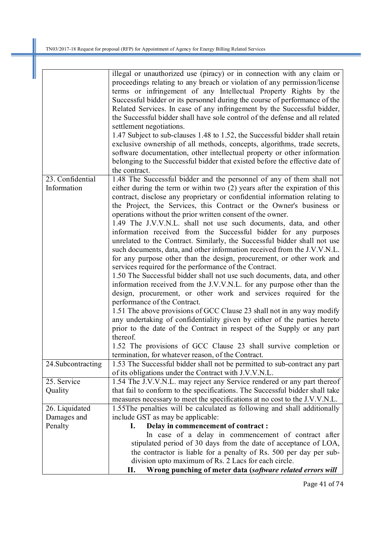|                   | illegal or unauthorized use (piracy) or in connection with any claim or      |
|-------------------|------------------------------------------------------------------------------|
|                   | proceedings relating to any breach or violation of any permission/license    |
|                   | terms or infringement of any Intellectual Property Rights by the             |
|                   | Successful bidder or its personnel during the course of performance of the   |
|                   | Related Services. In case of any infringement by the Successful bidder,      |
|                   | the Successful bidder shall have sole control of the defense and all related |
|                   |                                                                              |
|                   | settlement negotiations.                                                     |
|                   | 1.47 Subject to sub-clauses 1.48 to 1.52, the Successful bidder shall retain |
|                   | exclusive ownership of all methods, concepts, algorithms, trade secrets,     |
|                   | software documentation, other intellectual property or other information     |
|                   | belonging to the Successful bidder that existed before the effective date of |
|                   | the contract.                                                                |
| 23. Confidential  | 1.48 The Successful bidder and the personnel of any of them shall not        |
| Information       | either during the term or within two (2) years after the expiration of this  |
|                   | contract, disclose any proprietary or confidential information relating to   |
|                   | the Project, the Services, this Contract or the Owner's business or          |
|                   | operations without the prior written consent of the owner.                   |
|                   | 1.49 The J.V.V.N.L. shall not use such documents, data, and other            |
|                   | information received from the Successful bidder for any purposes             |
|                   | unrelated to the Contract. Similarly, the Successful bidder shall not use    |
|                   | such documents, data, and other information received from the J.V.V.N.L.     |
|                   |                                                                              |
|                   | for any purpose other than the design, procurement, or other work and        |
|                   | services required for the performance of the Contract.                       |
|                   | 1.50 The Successful bidder shall not use such documents, data, and other     |
|                   | information received from the J.V.V.N.L. for any purpose other than the      |
|                   | design, procurement, or other work and services required for the             |
|                   | performance of the Contract.                                                 |
|                   | 1.51 The above provisions of GCC Clause 23 shall not in any way modify       |
|                   | any undertaking of confidentiality given by either of the parties hereto     |
|                   | prior to the date of the Contract in respect of the Supply or any part       |
|                   | thereof.                                                                     |
|                   | 1.52 The provisions of GCC Clause 23 shall survive completion or             |
|                   | termination, for whatever reason, of the Contract.                           |
| 24.Subcontracting | 1.53 The Successful bidder shall not be permitted to sub-contract any part   |
|                   | of its obligations under the Contract with J.V.V.N.L.                        |
| 25. Service       | 1.54 The J.V.V.N.L. may reject any Service rendered or any part thereof      |
| Quality           | that fail to conform to the specifications. The Successful bidder shall take |
|                   | measures necessary to meet the specifications at no cost to the J.V.V.N.L.   |
| 26. Liquidated    | 1.55The penalties will be calculated as following and shall additionally     |
| Damages and       | include GST as may be applicable:                                            |
| Penalty           | Delay in commencement of contract :<br>I.                                    |
|                   | In case of a delay in commencement of contract after                         |
|                   | stipulated period of 30 days from the date of acceptance of LOA,             |
|                   | the contractor is liable for a penalty of Rs. 500 per day per sub-           |
|                   | division upto maximum of Rs. 2 Lacs for each circle.                         |
|                   | Wrong punching of meter data (software related errors will<br>П.             |
|                   |                                                                              |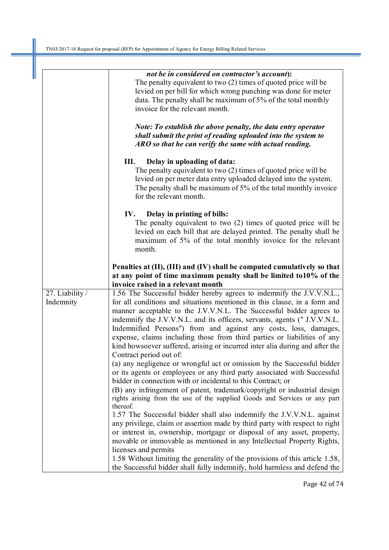|                 | not be in considered on contractor's account):                                                                                                                                                                                                                         |
|-----------------|------------------------------------------------------------------------------------------------------------------------------------------------------------------------------------------------------------------------------------------------------------------------|
|                 | The penalty equivalent to two (2) times of quoted price will be                                                                                                                                                                                                        |
|                 | levied on per bill for which wrong punching was done for meter                                                                                                                                                                                                         |
|                 | data. The penalty shall be maximum of 5% of the total monthly                                                                                                                                                                                                          |
|                 | invoice for the relevant month.                                                                                                                                                                                                                                        |
|                 |                                                                                                                                                                                                                                                                        |
|                 | Note: To establish the above penalty, the data entry operator<br>shall submit the print of reading uploaded into the system to<br>$\overline{ARO}$ so that he can verify the same with actual reading.                                                                 |
|                 | Delay in uploading of data:<br>Ш.<br>The penalty equivalent to two (2) times of quoted price will be<br>levied on per meter data entry uploaded delayed into the system.<br>The penalty shall be maximum of 5% of the total monthly invoice<br>for the relevant month. |
|                 | Delay in printing of bills:<br>IV.                                                                                                                                                                                                                                     |
|                 | The penalty equivalent to two (2) times of quoted price will be<br>levied on each bill that are delayed printed. The penalty shall be<br>maximum of 5% of the total monthly invoice for the relevant                                                                   |
|                 | month.                                                                                                                                                                                                                                                                 |
|                 | Penalties at (II), (III) and (IV) shall be computed cumulatively so that                                                                                                                                                                                               |
|                 | at any point of time maximum penalty shall be limited to 10% of the                                                                                                                                                                                                    |
|                 | invoice raised in a relevant month                                                                                                                                                                                                                                     |
| 27. Liability / | 1.56 The Successful bidder hereby agrees to indemnify the J.V.V.N.L.,                                                                                                                                                                                                  |
| Indemnity       | for all conditions and situations mentioned in this clause, in a form and                                                                                                                                                                                              |
|                 | manner acceptable to the J.V.V.N.L. The Successful bidder agrees to                                                                                                                                                                                                    |
|                 | indemnify the J.V.V.N.L. and its officers, servants, agents (" J.V.V.N.L.                                                                                                                                                                                              |
|                 | Indemnified Persons") from and against any costs, loss, damages,                                                                                                                                                                                                       |
|                 | expense, claims including those from third parties or liabilities of any                                                                                                                                                                                               |
|                 | kind howsoever suffered, arising or incurred inter alia during and after the                                                                                                                                                                                           |
|                 | Contract period out of:                                                                                                                                                                                                                                                |
|                 | (a) any negligence or wrongful act or omission by the Successful bidder                                                                                                                                                                                                |
|                 | or its agents or employees or any third party associated with Successful<br>bidder in connection with or incidental to this Contract; or                                                                                                                               |
|                 | (B) any infringement of patent, trademark/copyright or industrial design<br>rights arising from the use of the supplied Goods and Services or any part                                                                                                                 |
|                 | thereof.                                                                                                                                                                                                                                                               |
|                 | 1.57 The Successful bidder shall also indemnify the J.V.V.N.L. against                                                                                                                                                                                                 |
|                 | any privilege, claim or assertion made by third party with respect to right                                                                                                                                                                                            |
|                 | or interest in, ownership, mortgage or disposal of any asset, property,                                                                                                                                                                                                |
|                 | movable or immovable as mentioned in any Intellectual Property Rights,                                                                                                                                                                                                 |
|                 | licenses and permits                                                                                                                                                                                                                                                   |
|                 | 1.58 Without limiting the generality of the provisions of this article 1.58,<br>the Successful bidder shall fully indemnify, hold harmless and defend the                                                                                                              |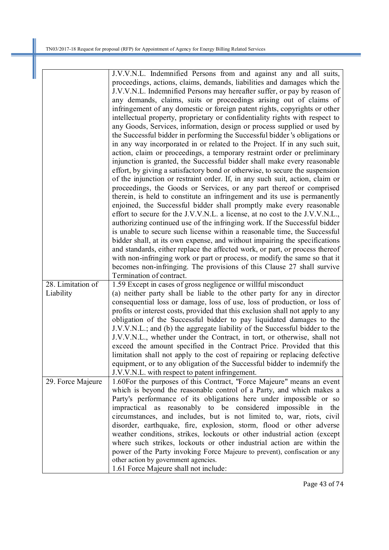|                   | J.V.V.N.L. Indemnified Persons from and against any and all suits,                                                                                |
|-------------------|---------------------------------------------------------------------------------------------------------------------------------------------------|
|                   | proceedings, actions, claims, demands, liabilities and damages which the                                                                          |
|                   | J.V.V.N.L. Indemnified Persons may hereafter suffer, or pay by reason of                                                                          |
|                   | any demands, claims, suits or proceedings arising out of claims of                                                                                |
|                   | infringement of any domestic or foreign patent rights, copyrights or other                                                                        |
|                   | intellectual property, proprietary or confidentiality rights with respect to                                                                      |
|                   | any Goods, Services, information, design or process supplied or used by                                                                           |
|                   | the Successful bidder in performing the Successful bidder 's obligations or                                                                       |
|                   | in any way incorporated in or related to the Project. If in any such suit,                                                                        |
|                   | action, claim or proceedings, a temporary restraint order or preliminary                                                                          |
|                   | injunction is granted, the Successful bidder shall make every reasonable                                                                          |
|                   | effort, by giving a satisfactory bond or otherwise, to secure the suspension                                                                      |
|                   | of the injunction or restraint order. If, in any such suit, action, claim or                                                                      |
|                   | proceedings, the Goods or Services, or any part thereof or comprised                                                                              |
|                   | therein, is held to constitute an infringement and its use is permanently                                                                         |
|                   | enjoined, the Successful bidder shall promptly make every reasonable                                                                              |
|                   | effort to secure for the J.V.V.N.L. a license, at no cost to the J.V.V.N.L.,                                                                      |
|                   | authorizing continued use of the infringing work. If the Successful bidder                                                                        |
|                   | is unable to secure such license within a reasonable time, the Successful                                                                         |
|                   | bidder shall, at its own expense, and without impairing the specifications                                                                        |
|                   | and standards, either replace the affected work, or part, or process thereof                                                                      |
|                   | with non-infringing work or part or process, or modify the same so that it                                                                        |
|                   | becomes non-infringing. The provisions of this Clause 27 shall survive                                                                            |
|                   | Termination of contract.                                                                                                                          |
| 28. Limitation of | 1.59 Except in cases of gross negligence or willful misconduct                                                                                    |
| Liability         | (a) neither party shall be liable to the other party for any in director                                                                          |
|                   | consequential loss or damage, loss of use, loss of production, or loss of                                                                         |
|                   | profits or interest costs, provided that this exclusion shall not apply to any                                                                    |
|                   | obligation of the Successful bidder to pay liquidated damages to the                                                                              |
|                   | J.V.V.N.L.; and (b) the aggregate liability of the Successful bidder to the                                                                       |
|                   | J.V.V.N.L., whether under the Contract, in tort, or otherwise, shall not<br>exceed the amount specified in the Contract Price. Provided that this |
|                   | limitation shall not apply to the cost of repairing or replacing defective                                                                        |
|                   | equipment, or to any obligation of the Successful bidder to indemnify the                                                                         |
|                   | J.V.V.N.L. with respect to patent infringement.                                                                                                   |
| 29. Force Majeure | 1.60For the purposes of this Contract, "Force Majeure" means an event                                                                             |
|                   | which is beyond the reasonable control of a Party, and which makes a                                                                              |
|                   | Party's performance of its obligations here under impossible or so                                                                                |
|                   | impractical as reasonably to be considered impossible in the                                                                                      |
|                   | circumstances, and includes, but is not limited to, war, riots, civil                                                                             |
|                   | disorder, earthquake, fire, explosion, storm, flood or other adverse                                                                              |
|                   | weather conditions, strikes, lockouts or other industrial action (except                                                                          |
|                   | where such strikes, lockouts or other industrial action are within the                                                                            |
|                   | power of the Party invoking Force Majeure to prevent), confiscation or any                                                                        |
|                   | other action by government agencies.                                                                                                              |
|                   | 1.61 Force Majeure shall not include:                                                                                                             |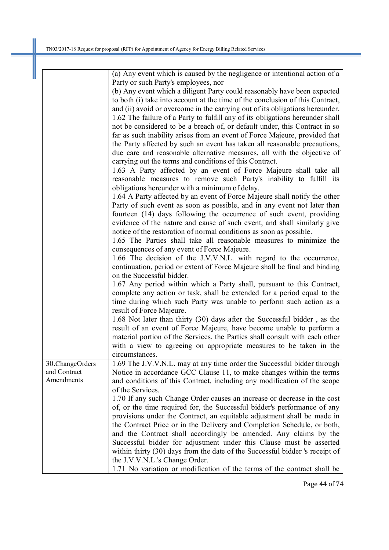|                 | (a) Any event which is caused by the negligence or intentional action of a    |
|-----------------|-------------------------------------------------------------------------------|
|                 | Party or such Party's employees, nor                                          |
|                 | (b) Any event which a diligent Party could reasonably have been expected      |
|                 | to both (i) take into account at the time of the conclusion of this Contract, |
|                 | and (ii) avoid or overcome in the carrying out of its obligations hereunder.  |
|                 | 1.62 The failure of a Party to fulfill any of its obligations hereunder shall |
|                 | not be considered to be a breach of, or default under, this Contract in so    |
|                 | far as such inability arises from an event of Force Majeure, provided that    |
|                 | the Party affected by such an event has taken all reasonable precautions,     |
|                 | due care and reasonable alternative measures, all with the objective of       |
|                 | carrying out the terms and conditions of this Contract.                       |
|                 | 1.63 A Party affected by an event of Force Majeure shall take all             |
|                 | reasonable measures to remove such Party's inability to fulfill its           |
|                 | obligations hereunder with a minimum of delay.                                |
|                 |                                                                               |
|                 | 1.64 A Party affected by an event of Force Majeure shall notify the other     |
|                 | Party of such event as soon as possible, and in any event not later than      |
|                 | fourteen (14) days following the occurrence of such event, providing          |
|                 | evidence of the nature and cause of such event, and shall similarly give      |
|                 | notice of the restoration of normal conditions as soon as possible.           |
|                 | 1.65 The Parties shall take all reasonable measures to minimize the           |
|                 | consequences of any event of Force Majeure.                                   |
|                 | 1.66 The decision of the J.V.V.N.L. with regard to the occurrence,            |
|                 | continuation, period or extent of Force Majeure shall be final and binding    |
|                 | on the Successful bidder.                                                     |
|                 | 1.67 Any period within which a Party shall, pursuant to this Contract,        |
|                 | complete any action or task, shall be extended for a period equal to the      |
|                 | time during which such Party was unable to perform such action as a           |
|                 | result of Force Majeure.                                                      |
|                 | 1.68 Not later than thirty (30) days after the Successful bidder, as the      |
|                 | result of an event of Force Majeure, have become unable to perform a          |
|                 | material portion of the Services, the Parties shall consult with each other   |
|                 | with a view to agreeing on appropriate measures to be taken in the            |
|                 | circumstances.                                                                |
| 30.ChangeOrders | 1.69 The J.V.V.N.L. may at any time order the Successful bidder through       |
| and Contract    | Notice in accordance GCC Clause 11, to make changes within the terms          |
| Amendments      | and conditions of this Contract, including any modification of the scope      |
|                 | of the Services.                                                              |
|                 | 1.70 If any such Change Order causes an increase or decrease in the cost      |
|                 | of, or the time required for, the Successful bidder's performance of any      |
|                 | provisions under the Contract, an equitable adjustment shall be made in       |
|                 | the Contract Price or in the Delivery and Completion Schedule, or both,       |
|                 | and the Contract shall accordingly be amended. Any claims by the              |
|                 | Successful bidder for adjustment under this Clause must be asserted           |
|                 | within thirty (30) days from the date of the Successful bidder 's receipt of  |
|                 | the J.V.V.N.L.'s Change Order.                                                |
|                 | 1.71 No variation or modification of the terms of the contract shall be       |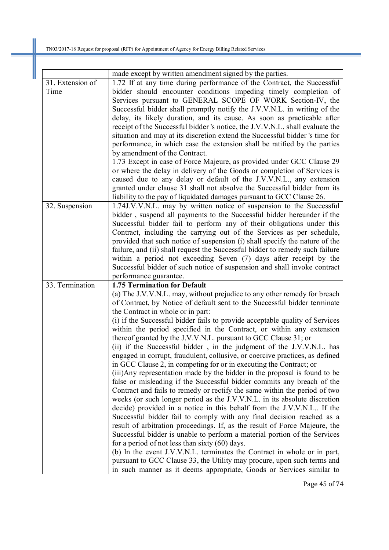|                  | made except by written amendment signed by the parties.                                                                                               |
|------------------|-------------------------------------------------------------------------------------------------------------------------------------------------------|
| 31. Extension of | 1.72 If at any time during performance of the Contract, the Successful                                                                                |
| Time             | bidder should encounter conditions impeding timely completion of                                                                                      |
|                  | Services pursuant to GENERAL SCOPE OF WORK Section-IV, the                                                                                            |
|                  | Successful bidder shall promptly notify the J.V.V.N.L. in writing of the                                                                              |
|                  | delay, its likely duration, and its cause. As soon as practicable after                                                                               |
|                  | receipt of the Successful bidder 's notice, the J.V.V.N.L. shall evaluate the                                                                         |
|                  | situation and may at its discretion extend the Successful bidder 's time for                                                                          |
|                  | performance, in which case the extension shall be ratified by the parties                                                                             |
|                  | by amendment of the Contract.                                                                                                                         |
|                  | 1.73 Except in case of Force Majeure, as provided under GCC Clause 29                                                                                 |
|                  | or where the delay in delivery of the Goods or completion of Services is                                                                              |
|                  | caused due to any delay or default of the J.V.V.N.L., any extension                                                                                   |
|                  | granted under clause 31 shall not absolve the Successful bidder from its                                                                              |
|                  | liability to the pay of liquidated damages pursuant to GCC Clause 26.                                                                                 |
| 32. Suspension   | 1.74J.V.V.N.L. may by written notice of suspension to the Successful                                                                                  |
|                  | bidder, suspend all payments to the Successful bidder hereunder if the                                                                                |
|                  | Successful bidder fail to perform any of their obligations under this                                                                                 |
|                  | Contract, including the carrying out of the Services as per schedule,                                                                                 |
|                  | provided that such notice of suspension (i) shall specify the nature of the                                                                           |
|                  | failure, and (ii) shall request the Successful bidder to remedy such failure                                                                          |
|                  | within a period not exceeding Seven (7) days after receipt by the                                                                                     |
|                  |                                                                                                                                                       |
|                  | Successful bidder of such notice of suspension and shall invoke contract                                                                              |
|                  | performance guarantee.<br><b>1.75 Termination for Default</b>                                                                                         |
| 33. Termination  |                                                                                                                                                       |
|                  | (a) The J.V.V.N.L. may, without prejudice to any other remedy for breach<br>of Contract, by Notice of default sent to the Successful bidder terminate |
|                  |                                                                                                                                                       |
|                  | the Contract in whole or in part:                                                                                                                     |
|                  | (i) if the Successful bidder fails to provide acceptable quality of Services                                                                          |
|                  | within the period specified in the Contract, or within any extension                                                                                  |
|                  | thereof granted by the J.V.V.N.L. pursuant to GCC Clause 31; or                                                                                       |
|                  | (ii) if the Successful bidder, in the judgment of the J.V.V.N.L. has                                                                                  |
|                  | engaged in corrupt, fraudulent, collusive, or coercive practices, as defined                                                                          |
|                  | in GCC Clause 2, in competing for or in executing the Contract; or                                                                                    |
|                  | (iii) Any representation made by the bidder in the proposal is found to be                                                                            |
|                  | false or misleading if the Successful bidder commits any breach of the                                                                                |
|                  | Contract and fails to remedy or rectify the same within the period of two                                                                             |
|                  | weeks (or such longer period as the J.V.V.N.L. in its absolute discretion                                                                             |
|                  | decide) provided in a notice in this behalf from the J.V.V.N.L If the                                                                                 |
|                  | Successful bidder fail to comply with any final decision reached as a                                                                                 |
|                  | result of arbitration proceedings. If, as the result of Force Majeure, the                                                                            |
|                  | Successful bidder is unable to perform a material portion of the Services                                                                             |
|                  | for a period of not less than sixty $(60)$ days.                                                                                                      |
|                  | (b) In the event J.V.V.N.L. terminates the Contract in whole or in part,                                                                              |
|                  |                                                                                                                                                       |
|                  | pursuant to GCC Clause 33, the Utility may procure, upon such terms and<br>in such manner as it deems appropriate, Goods or Services similar to       |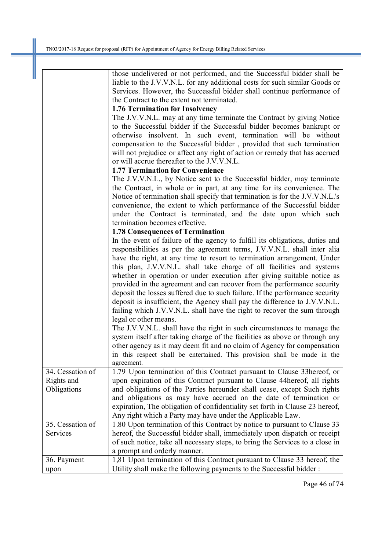|                  | those undelivered or not performed, and the Successful bidder shall be        |
|------------------|-------------------------------------------------------------------------------|
|                  | liable to the J.V.V.N.L. for any additional costs for such similar Goods or   |
|                  | Services. However, the Successful bidder shall continue performance of        |
|                  | the Contract to the extent not terminated.                                    |
|                  | 1.76 Termination for Insolvency                                               |
|                  | The J.V.V.N.L. may at any time terminate the Contract by giving Notice        |
|                  | to the Successful bidder if the Successful bidder becomes bankrupt or         |
|                  | otherwise insolvent. In such event, termination will be without               |
|                  | compensation to the Successful bidder, provided that such termination         |
|                  | will not prejudice or affect any right of action or remedy that has accrued   |
|                  | or will accrue thereafter to the J.V.V.N.L.                                   |
|                  | <b>1.77 Termination for Convenience</b>                                       |
|                  | The J.V.V.N.L., by Notice sent to the Successful bidder, may terminate        |
|                  | the Contract, in whole or in part, at any time for its convenience. The       |
|                  | Notice of termination shall specify that termination is for the J.V.V.N.L.'s  |
|                  | convenience, the extent to which performance of the Successful bidder         |
|                  | under the Contract is terminated, and the date upon which such                |
|                  | termination becomes effective.                                                |
|                  | <b>1.78 Consequences of Termination</b>                                       |
|                  | In the event of failure of the agency to fulfill its obligations, duties and  |
|                  | responsibilities as per the agreement terms, J.V.V.N.L. shall inter alia      |
|                  | have the right, at any time to resort to termination arrangement. Under       |
|                  |                                                                               |
|                  | this plan, J.V.V.N.L. shall take charge of all facilities and systems         |
|                  | whether in operation or under execution after giving suitable notice as       |
|                  | provided in the agreement and can recover from the performance security       |
|                  | deposit the losses suffered due to such failure. If the performance security  |
|                  | deposit is insufficient, the Agency shall pay the difference to J.V.V.N.L.    |
|                  | failing which J.V.V.N.L. shall have the right to recover the sum through      |
|                  | legal or other means.                                                         |
|                  | The J.V.V.N.L. shall have the right in such circumstances to manage the       |
|                  | system itself after taking charge of the facilities as above or through any   |
|                  | other agency as it may deem fit and no claim of Agency for compensation       |
|                  | in this respect shall be entertained. This provision shall be made in the     |
|                  | agreement.                                                                    |
| 34. Cessation of | 1.79 Upon termination of this Contract pursuant to Clause 33hereof, or        |
| Rights and       | upon expiration of this Contract pursuant to Clause 44hereof, all rights      |
| Obligations      | and obligations of the Parties hereunder shall cease, except Such rights      |
|                  | and obligations as may have accrued on the date of termination or             |
|                  | expiration, The obligation of confidentiality set forth in Clause 23 hereof,  |
|                  | Any right which a Party may have under the Applicable Law.                    |
| 35. Cessation of | 1.80 Upon termination of this Contract by notice to pursuant to Clause 33     |
| Services         | hereof, the Successful bidder shall, immediately upon dispatch or receipt     |
|                  | of such notice, take all necessary steps, to bring the Services to a close in |
|                  | a prompt and orderly manner.                                                  |
| 36. Payment      | 1,81 Upon termination of this Contract pursuant to Clause 33 hereof, the      |
| upon             | Utility shall make the following payments to the Successful bidder:           |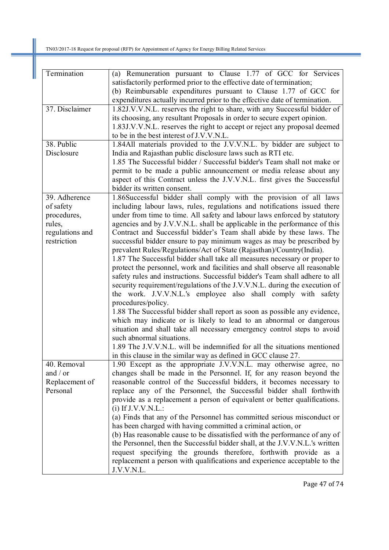| Termination             | (a) Remuneration pursuant to Clause 1.77 of GCC for Services                                                                               |
|-------------------------|--------------------------------------------------------------------------------------------------------------------------------------------|
|                         | satisfactorily performed prior to the effective date of termination;                                                                       |
|                         | (b) Reimbursable expenditures pursuant to Clause 1.77 of GCC for                                                                           |
|                         | expenditures actually incurred prior to the effective date of termination.                                                                 |
| 37. Disclaimer          | 1.82J.V.V.N.L. reserves the right to share, with any Successful bidder of                                                                  |
|                         | its choosing, any resultant Proposals in order to secure expert opinion.                                                                   |
|                         | 1.83J.V.V.N.L. reserves the right to accept or reject any proposal deemed                                                                  |
|                         | to be in the best interest of J.V.V.N.L.                                                                                                   |
| 38. Public              | 1.84All materials provided to the J.V.V.N.L. by bidder are subject to                                                                      |
| Disclosure              | India and Rajasthan public disclosure laws such as RTI etc.                                                                                |
|                         | 1.85 The Successful bidder / Successful bidder's Team shall not make or                                                                    |
|                         | permit to be made a public announcement or media release about any                                                                         |
|                         | aspect of this Contract unless the J.V.V.N.L. first gives the Successful                                                                   |
|                         | bidder its written consent.                                                                                                                |
| 39. Adherence           | 1.86Successful bidder shall comply with the provision of all laws                                                                          |
| of safety               | including labour laws, rules, regulations and notifications issued there                                                                   |
| procedures,             | under from time to time. All safety and labour laws enforced by statutory                                                                  |
| rules,                  | agencies and by J.V.V.N.L. shall be applicable in the performance of this                                                                  |
| regulations and         | Contract and Successful bidder's Team shall abide by these laws. The                                                                       |
| restriction             | successful bidder ensure to pay minimum wages as may be prescribed by                                                                      |
|                         | prevalent Rules/Regulations/Act of State (Rajasthan)/Country(India).                                                                       |
|                         | 1.87 The Successful bidder shall take all measures necessary or proper to                                                                  |
|                         | protect the personnel, work and facilities and shall observe all reasonable                                                                |
|                         | safety rules and instructions. Successful bidder's Team shall adhere to all                                                                |
|                         | security requirement/regulations of the J.V.V.N.L. during the execution of                                                                 |
|                         | the work. J.V.V.N.L.'s employee also shall comply with safety                                                                              |
|                         | procedures/policy.                                                                                                                         |
|                         | 1.88 The Successful bidder shall report as soon as possible any evidence,                                                                  |
|                         | which may indicate or is likely to lead to an abnormal or dangerous                                                                        |
|                         | situation and shall take all necessary emergency control steps to avoid<br>such abnormal situations.                                       |
|                         | 1.89 The J.V.V.N.L. will be indemnified for all the situations mentioned                                                                   |
|                         |                                                                                                                                            |
|                         | in this clause in the similar way as defined in GCC clause 27.                                                                             |
| 40. Removal<br>and / or | 1.90 Except as the appropriate J.V.V.N.L. may otherwise agree, no<br>changes shall be made in the Personnel. If, for any reason beyond the |
| Replacement of          | reasonable control of the Successful bidders, it becomes necessary to                                                                      |
| Personal                | replace any of the Personnel, the Successful bidder shall forthwith                                                                        |
|                         | provide as a replacement a person of equivalent or better qualifications.                                                                  |
|                         | $(i)$ If J.V.V.N.L.:                                                                                                                       |
|                         | (a) Finds that any of the Personnel has committed serious misconduct or                                                                    |
|                         | has been charged with having committed a criminal action, or                                                                               |
|                         | (b) Has reasonable cause to be dissatisfied with the performance of any of                                                                 |
|                         | the Personnel, then the Successful bidder shall, at the J.V.V.N.L.'s written                                                               |
|                         | request specifying the grounds therefore, forthwith provide as a                                                                           |
|                         | replacement a person with qualifications and experience acceptable to the                                                                  |
|                         | J.V.V.N.L.                                                                                                                                 |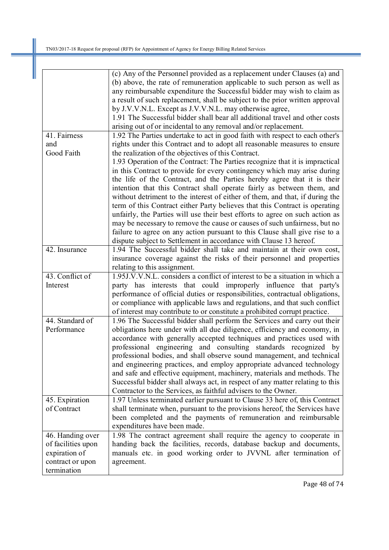Ш

|                    | (c) Any of the Personnel provided as a replacement under Clauses (a) and      |
|--------------------|-------------------------------------------------------------------------------|
|                    | (b) above, the rate of remuneration applicable to such person as well as      |
|                    | any reimbursable expenditure the Successful bidder may wish to claim as       |
|                    | a result of such replacement, shall be subject to the prior written approval  |
|                    | by J.V.V.N.L. Except as J.V.V.N.L. may otherwise agree,                       |
|                    | 1.91 The Successful bidder shall bear all additional travel and other costs   |
|                    | arising out of or incidental to any removal and/or replacement.               |
| 41. Fairness       | 1.92 The Parties undertake to act in good faith with respect to each other's  |
|                    |                                                                               |
| and                | rights under this Contract and to adopt all reasonable measures to ensure     |
| Good Faith         | the realization of the objectives of this Contract.                           |
|                    | 1.93 Operation of the Contract: The Parties recognize that it is impractical  |
|                    | in this Contract to provide for every contingency which may arise during      |
|                    | the life of the Contract, and the Parties hereby agree that it is their       |
|                    | intention that this Contract shall operate fairly as between them, and        |
|                    | without detriment to the interest of either of them, and that, if during the  |
|                    | term of this Contract either Party believes that this Contract is operating   |
|                    | unfairly, the Parties will use their best efforts to agree on such action as  |
|                    | may be necessary to remove the cause or causes of such unfairness, but no     |
|                    | failure to agree on any action pursuant to this Clause shall give rise to a   |
|                    | dispute subject to Settlement in accordance with Clause 13 hereof.            |
| 42. Insurance      | 1.94 The Successful bidder shall take and maintain at their own cost,         |
|                    | insurance coverage against the risks of their personnel and properties        |
|                    | relating to this assignment.                                                  |
| 43. Conflict of    | 1.95J.V.V.N.L. considers a conflict of interest to be a situation in which a  |
| Interest           | party has interests that could improperly influence that party's              |
|                    | performance of official duties or responsibilities, contractual obligations,  |
|                    | or compliance with applicable laws and regulations, and that such conflict    |
|                    | of interest may contribute to or constitute a prohibited corrupt practice.    |
| 44. Standard of    | 1.96 The Successful bidder shall perform the Services and carry out their     |
| Performance        | obligations here under with all due diligence, efficiency and economy, in     |
|                    | accordance with generally accepted techniques and practices used with         |
|                    | professional engineering and consulting standards recognized by               |
|                    | professional bodies, and shall observe sound management, and technical        |
|                    | and engineering practices, and employ appropriate advanced technology         |
|                    | and safe and effective equipment, machinery, materials and methods. The       |
|                    | Successful bidder shall always act, in respect of any matter relating to this |
|                    | Contractor to the Services, as faithful advisers to the Owner.                |
| 45. Expiration     | 1.97 Unless terminated earlier pursuant to Clause 33 here of, this Contract   |
| of Contract        | shall terminate when, pursuant to the provisions hereof, the Services have    |
|                    | been completed and the payments of remuneration and reimbursable              |
|                    | expenditures have been made.                                                  |
|                    |                                                                               |
| 46. Handing over   | 1.98 The contract agreement shall require the agency to cooperate in          |
| of facilities upon | handing back the facilities, records, database backup and documents,          |
| expiration of      | manuals etc. in good working order to JVVNL after termination of              |
| contract or upon   | agreement.                                                                    |
| termination        |                                                                               |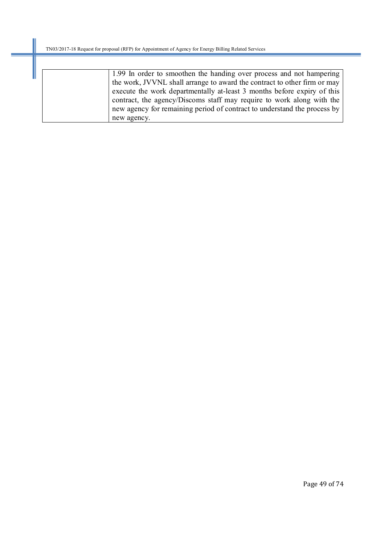| 1.99 In order to smoothen the handing over process and not hampering     |
|--------------------------------------------------------------------------|
| the work, JVVNL shall arrange to award the contract to other firm or may |
| execute the work departmentally at-least 3 months before expiry of this  |
| contract, the agency/Discoms staff may require to work along with the    |
| new agency for remaining period of contract to understand the process by |
| new agency.                                                              |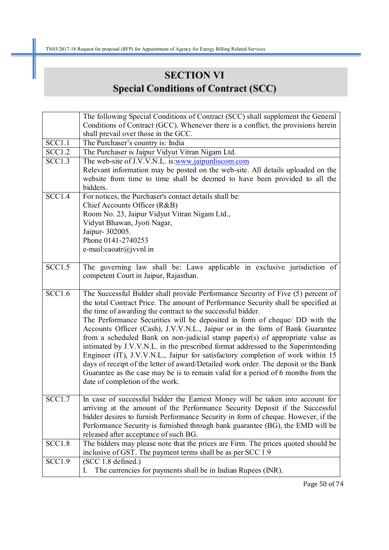# **SECTION VI Special Conditions of Contract (SCC)**

|               | The following Special Conditions of Contract (SCC) shall supplement the General     |
|---------------|-------------------------------------------------------------------------------------|
|               | Conditions of Contract (GCC). Whenever there is a conflict, the provisions herein   |
|               | shall prevail over those in the GCC.                                                |
| SCC1.1        | The Purchaser's country is: India                                                   |
| <b>SCC1.2</b> | The Purchaser is Jaipur Vidyut Vitran Nigam Ltd.                                    |
| <b>SCC1.3</b> | The web-site of J.V.V.N.L. is www.jaipurdiscom.com                                  |
|               | Relevant information may be posted on the web-site. All details uploaded on the     |
|               | website from time to time shall be deemed to have been provided to all the          |
|               | bidders.                                                                            |
| SCC1.4        | For notices, the Purchaser's contact details shall be:                              |
|               | Chief Accounts Officer (R&B)                                                        |
|               | Room No. 23, Jaipur Vidyut Vitran Nigam Ltd.,                                       |
|               | Vidyut Bhawan, Jyoti Nagar,                                                         |
|               | Jaipur- 302005.                                                                     |
|               | Phone 0141-2740253                                                                  |
|               | e-mail: $\text{caotr}(\hat{a})$ jvvnl.in                                            |
|               |                                                                                     |
| SCC1.5        | The governing law shall be: Laws applicable in exclusive jurisdiction of            |
|               | competent Court in Jaipur, Rajasthan.                                               |
|               |                                                                                     |
| SCC1.6        | The Successful Bidder shall provide Performance Security of Five (5) percent of     |
|               | the total Contract Price. The amount of Performance Security shall be specified at  |
|               | the time of awarding the contract to the successful bidder.                         |
|               | The Performance Securities will be deposited in form of cheque/ DD with the         |
|               | Accounts Officer (Cash), J.V.V.N.L., Jaipur or in the form of Bank Guarantee        |
|               | from a scheduled Bank on non-judicial stamp paper(s) of appropriate value as        |
|               | intimated by J.V.V.N.L. in the prescribed format addressed to the Superintending    |
|               | Engineer (IT), J.V.V.N.L., Jaipur for satisfactory completion of work within 15     |
|               | days of receipt of the letter of award/Detailed work order. The deposit or the Bank |
|               | Guarantee as the case may be is to remain valid for a period of 6 months from the   |
|               | date of completion of the work.                                                     |
|               |                                                                                     |
| SCC1.7        | In case of successful bidder the Earnest Money will be taken into account for       |
|               | arriving at the amount of the Performance Security Deposit if the Successful        |
|               | bidder desires to furnish Performance Security in form of cheque. However, if the   |
|               | Performance Security is furnished through bank guarantee (BG), the EMD will be      |
|               | released after acceptance of such BG.                                               |
| SCC1.8        | The bidders may please note that the prices are Firm. The prices quoted should be   |
|               | inclusive of GST. The payment terms shall be as per SCC 1.9                         |
| <b>SCC1.9</b> | (SCC 1.8 defined.)                                                                  |
|               | The currencies for payments shall be in Indian Rupees (INR).<br>I.                  |

Page 50 of 74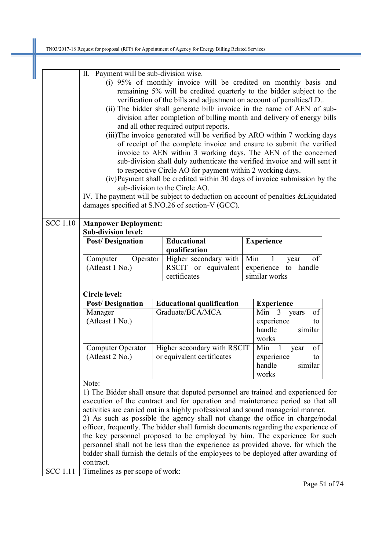Ш

|                       | II. Payment will be sub-division wise.<br>(i) 95% of monthly invoice will be credited on monthly basis and<br>remaining 5% will be credited quarterly to the bidder subject to the<br>verification of the bills and adjustment on account of penalties/LD.<br>(ii) The bidder shall generate bill/ invoice in the name of AEN of sub-<br>division after completion of billing month and delivery of energy bills<br>and all other required output reports.<br>(iii) The invoice generated will be verified by ARO within 7 working days<br>of receipt of the complete invoice and ensure to submit the verified<br>invoice to AEN within 3 working days. The AEN of the concerned<br>sub-division shall duly authenticate the verified invoice and will sent it<br>to respective Circle AO for payment within 2 working days.<br>(iv) Payment shall be credited within 30 days of invoice submission by the<br>sub-division to the Circle AO.<br>IV. The payment will be subject to deduction on account of penalties & Liquidated<br>damages specified at S.NO.26 of section-V (GCC). |                                                                                                   |                                                                                  |  |                                                                                                                                                                                                                                                                                                                                                                                                                                                                                                                                                                                                    |  |  |  |
|-----------------------|----------------------------------------------------------------------------------------------------------------------------------------------------------------------------------------------------------------------------------------------------------------------------------------------------------------------------------------------------------------------------------------------------------------------------------------------------------------------------------------------------------------------------------------------------------------------------------------------------------------------------------------------------------------------------------------------------------------------------------------------------------------------------------------------------------------------------------------------------------------------------------------------------------------------------------------------------------------------------------------------------------------------------------------------------------------------------------------|---------------------------------------------------------------------------------------------------|----------------------------------------------------------------------------------|--|----------------------------------------------------------------------------------------------------------------------------------------------------------------------------------------------------------------------------------------------------------------------------------------------------------------------------------------------------------------------------------------------------------------------------------------------------------------------------------------------------------------------------------------------------------------------------------------------------|--|--|--|
| $\overline{SCC}$ 1.10 | <b>Manpower Deployment:</b>                                                                                                                                                                                                                                                                                                                                                                                                                                                                                                                                                                                                                                                                                                                                                                                                                                                                                                                                                                                                                                                            |                                                                                                   |                                                                                  |  |                                                                                                                                                                                                                                                                                                                                                                                                                                                                                                                                                                                                    |  |  |  |
|                       | <b>Sub-division level:</b><br><b>Post/Designation</b>                                                                                                                                                                                                                                                                                                                                                                                                                                                                                                                                                                                                                                                                                                                                                                                                                                                                                                                                                                                                                                  |                                                                                                   | <b>Educational</b><br>qualification                                              |  | <b>Experience</b>                                                                                                                                                                                                                                                                                                                                                                                                                                                                                                                                                                                  |  |  |  |
|                       | Computer<br>Operator<br>(Atleast 1 No.)                                                                                                                                                                                                                                                                                                                                                                                                                                                                                                                                                                                                                                                                                                                                                                                                                                                                                                                                                                                                                                                |                                                                                                   | Higher secondary with<br>RSCIT or equivalent<br>certificates                     |  | Min<br>of<br>$\mathbf{1}$<br>year<br>experience to handle<br>similar works                                                                                                                                                                                                                                                                                                                                                                                                                                                                                                                         |  |  |  |
|                       | Circle level:                                                                                                                                                                                                                                                                                                                                                                                                                                                                                                                                                                                                                                                                                                                                                                                                                                                                                                                                                                                                                                                                          |                                                                                                   |                                                                                  |  |                                                                                                                                                                                                                                                                                                                                                                                                                                                                                                                                                                                                    |  |  |  |
|                       | <b>Post/Designation</b>                                                                                                                                                                                                                                                                                                                                                                                                                                                                                                                                                                                                                                                                                                                                                                                                                                                                                                                                                                                                                                                                | <b>Educational qualification</b>                                                                  |                                                                                  |  | <b>Experience</b>                                                                                                                                                                                                                                                                                                                                                                                                                                                                                                                                                                                  |  |  |  |
|                       | Manager<br>(Atleast 1 No.)                                                                                                                                                                                                                                                                                                                                                                                                                                                                                                                                                                                                                                                                                                                                                                                                                                                                                                                                                                                                                                                             |                                                                                                   | Graduate/BCA/MCA                                                                 |  | Min<br>of<br>$\overline{3}$<br>years<br>experience<br>to<br>handle<br>similar<br>works                                                                                                                                                                                                                                                                                                                                                                                                                                                                                                             |  |  |  |
|                       | Computer Operator<br>(Atleast 2 No.)                                                                                                                                                                                                                                                                                                                                                                                                                                                                                                                                                                                                                                                                                                                                                                                                                                                                                                                                                                                                                                                   | Higher secondary with RSCIT<br>Min<br>or equivalent certificates<br>experience<br>handle<br>works |                                                                                  |  |                                                                                                                                                                                                                                                                                                                                                                                                                                                                                                                                                                                                    |  |  |  |
|                       | Note:                                                                                                                                                                                                                                                                                                                                                                                                                                                                                                                                                                                                                                                                                                                                                                                                                                                                                                                                                                                                                                                                                  |                                                                                                   | activities are carried out in a highly professional and sound managerial manner. |  | 1) The Bidder shall ensure that deputed personnel are trained and experienced for<br>execution of the contract and for operation and maintenance period so that all<br>2) As such as possible the agency shall not change the office in charge/nodal<br>officer, frequently. The bidder shall furnish documents regarding the experience of<br>the key personnel proposed to be employed by him. The experience for such<br>personnel shall not be less than the experience as provided above, for which the<br>bidder shall furnish the details of the employees to be deployed after awarding of |  |  |  |
|                       | contract.                                                                                                                                                                                                                                                                                                                                                                                                                                                                                                                                                                                                                                                                                                                                                                                                                                                                                                                                                                                                                                                                              |                                                                                                   |                                                                                  |  |                                                                                                                                                                                                                                                                                                                                                                                                                                                                                                                                                                                                    |  |  |  |
| <b>SCC 1.11</b>       | Timelines as per scope of work:                                                                                                                                                                                                                                                                                                                                                                                                                                                                                                                                                                                                                                                                                                                                                                                                                                                                                                                                                                                                                                                        |                                                                                                   |                                                                                  |  |                                                                                                                                                                                                                                                                                                                                                                                                                                                                                                                                                                                                    |  |  |  |

Page 51 of 74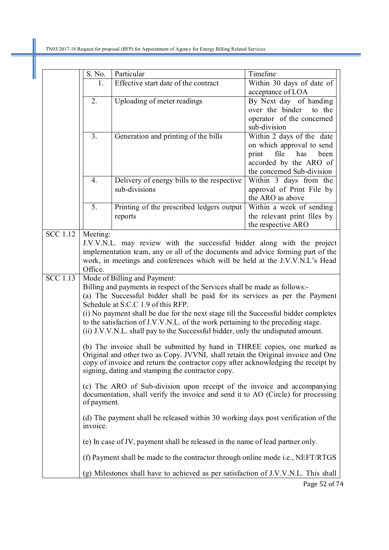|                 | S. No.                                                                                                     | Particular                                                                                                                                                           | Timeline                                               |  |  |  |  |  |  |  |
|-----------------|------------------------------------------------------------------------------------------------------------|----------------------------------------------------------------------------------------------------------------------------------------------------------------------|--------------------------------------------------------|--|--|--|--|--|--|--|
|                 | 1.                                                                                                         | Effective start date of the contract                                                                                                                                 | Within 30 days of date of                              |  |  |  |  |  |  |  |
|                 |                                                                                                            |                                                                                                                                                                      | acceptance of LOA                                      |  |  |  |  |  |  |  |
|                 | 2.                                                                                                         | Uploading of meter readings                                                                                                                                          | By Next day of handing                                 |  |  |  |  |  |  |  |
|                 |                                                                                                            |                                                                                                                                                                      | over the binder<br>to the                              |  |  |  |  |  |  |  |
|                 |                                                                                                            |                                                                                                                                                                      | operator of the concerned                              |  |  |  |  |  |  |  |
|                 |                                                                                                            |                                                                                                                                                                      | sub-division                                           |  |  |  |  |  |  |  |
|                 | 3 <sub>1</sub>                                                                                             | Generation and printing of the bills                                                                                                                                 | Within 2 days of the date<br>on which approval to send |  |  |  |  |  |  |  |
|                 |                                                                                                            |                                                                                                                                                                      | file<br>has<br>been<br>print                           |  |  |  |  |  |  |  |
|                 |                                                                                                            |                                                                                                                                                                      | accorded by the ARO of                                 |  |  |  |  |  |  |  |
|                 |                                                                                                            |                                                                                                                                                                      | the concerned Sub-division                             |  |  |  |  |  |  |  |
|                 | 4.                                                                                                         | Delivery of energy bills to the respective                                                                                                                           | Within 3 days from the                                 |  |  |  |  |  |  |  |
|                 |                                                                                                            | sub-divisions                                                                                                                                                        | approval of Print File by                              |  |  |  |  |  |  |  |
|                 |                                                                                                            |                                                                                                                                                                      | the ARO as above                                       |  |  |  |  |  |  |  |
|                 | 5.                                                                                                         | Printing of the prescribed ledgers output                                                                                                                            | Within a week of sending                               |  |  |  |  |  |  |  |
|                 |                                                                                                            | reports                                                                                                                                                              | the relevant print files by                            |  |  |  |  |  |  |  |
|                 |                                                                                                            |                                                                                                                                                                      | the respective ARO                                     |  |  |  |  |  |  |  |
| <b>SCC</b> 1.12 | Meeting:                                                                                                   |                                                                                                                                                                      |                                                        |  |  |  |  |  |  |  |
|                 |                                                                                                            | J.V.V.N.L. may review with the successful bidder along with the project                                                                                              |                                                        |  |  |  |  |  |  |  |
|                 |                                                                                                            | implementation team, any or all of the documents and advice forming part of the                                                                                      |                                                        |  |  |  |  |  |  |  |
|                 | Office.                                                                                                    | work, in meetings and conferences which will be held at the J.V.V.N.L's Head                                                                                         |                                                        |  |  |  |  |  |  |  |
| <b>SCC 1.13</b> |                                                                                                            |                                                                                                                                                                      |                                                        |  |  |  |  |  |  |  |
|                 | Mode of Billing and Payment:<br>Billing and payments in respect of the Services shall be made as follows:- |                                                                                                                                                                      |                                                        |  |  |  |  |  |  |  |
|                 | (a) The Successful bidder shall be paid for its services as per the Payment                                |                                                                                                                                                                      |                                                        |  |  |  |  |  |  |  |
|                 | Schedule at S.C.C 1.9 of this RFP.                                                                         |                                                                                                                                                                      |                                                        |  |  |  |  |  |  |  |
|                 | (i) No payment shall be due for the next stage till the Successful bidder completes                        |                                                                                                                                                                      |                                                        |  |  |  |  |  |  |  |
|                 | to the satisfaction of J.V.V.N.L. of the work pertaining to the preceding stage.                           |                                                                                                                                                                      |                                                        |  |  |  |  |  |  |  |
|                 | (ii) J.V.V.N.L. shall pay to the Successful bidder, only the undisputed amount.                            |                                                                                                                                                                      |                                                        |  |  |  |  |  |  |  |
|                 |                                                                                                            |                                                                                                                                                                      |                                                        |  |  |  |  |  |  |  |
|                 | (b) The invoice shall be submitted by hand in THREE copies, one marked as                                  |                                                                                                                                                                      |                                                        |  |  |  |  |  |  |  |
|                 |                                                                                                            | Original and other two as Copy. JVVNL shall retain the Original invoice and One<br>copy of invoice and return the contractor copy after acknowledging the receipt by |                                                        |  |  |  |  |  |  |  |
|                 |                                                                                                            | signing, dating and stamping the contractor copy.                                                                                                                    |                                                        |  |  |  |  |  |  |  |
|                 |                                                                                                            |                                                                                                                                                                      |                                                        |  |  |  |  |  |  |  |
|                 |                                                                                                            | (c) The ARO of Sub-division upon receipt of the invoice and accompanying<br>documentation, shall verify the invoice and send it to AO (Circle) for processing        |                                                        |  |  |  |  |  |  |  |
|                 | of payment.                                                                                                |                                                                                                                                                                      |                                                        |  |  |  |  |  |  |  |
|                 |                                                                                                            |                                                                                                                                                                      |                                                        |  |  |  |  |  |  |  |
|                 |                                                                                                            | (d) The payment shall be released within 30 working days post verification of the                                                                                    |                                                        |  |  |  |  |  |  |  |
|                 | invoice.                                                                                                   |                                                                                                                                                                      |                                                        |  |  |  |  |  |  |  |
|                 |                                                                                                            | (e) In case of JV, payment shall be released in the name of lead partner only.                                                                                       |                                                        |  |  |  |  |  |  |  |
|                 |                                                                                                            | (f) Payment shall be made to the contractor through online mode <i>i.e.</i> , NEFT/RTGS                                                                              |                                                        |  |  |  |  |  |  |  |
|                 |                                                                                                            | (g) Milestones shall have to achieved as per satisfaction of J.V.V.N.L. This shall                                                                                   |                                                        |  |  |  |  |  |  |  |
|                 |                                                                                                            |                                                                                                                                                                      | Page 52 of 74                                          |  |  |  |  |  |  |  |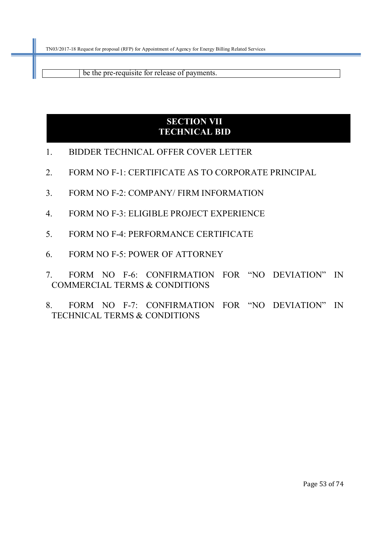be the pre-requisite for release of payments.

### **SECTION VII TECHNICAL BID**

- 1. BIDDER TECHNICAL OFFER COVER LETTER
- 2. FORM NO F-1: CERTIFICATE AS TO CORPORATE PRINCIPAL
- 3. FORM NO F-2: COMPANY/ FIRM INFORMATION
- 4. FORM NO F-3: ELIGIBLE PROJECT EXPERIENCE
- 5. FORM NO F-4: PERFORMANCE CERTIFICATE
- 6. FORM NO F-5: POWER OF ATTORNEY
- 7. FORM NO F-6: CONFIRMATION FOR "NO DEVIATION" IN COMMERCIAL TERMS & CONDITIONS
- 8. FORM NO F-7: CONFIRMATION FOR "NO DEVIATION" IN TECHNICAL TERMS & CONDITIONS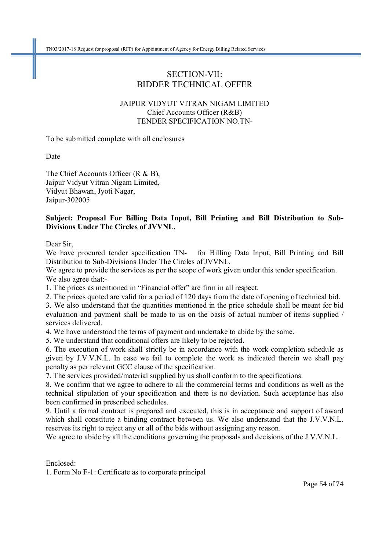### SECTION-VII: BIDDER TECHNICAL OFFER

### JAIPUR VIDYUT VITRAN NIGAM LIMITED Chief Accounts Officer (R&B) TENDER SPECIFICATION NO.TN-

To be submitted complete with all enclosures

Date

The Chief Accounts Officer (R & B), Jaipur Vidyut Vitran Nigam Limited, Vidyut Bhawan, Jyoti Nagar, Jaipur-302005

#### **Subject: Proposal For Billing Data Input, Bill Printing and Bill Distribution to Sub-Divisions Under The Circles of JVVNL.**

Dear Sir,

We have procured tender specification TN- for Billing Data Input, Bill Printing and Bill Distribution to Sub-Divisions Under The Circles of JVVNL.

We agree to provide the services as per the scope of work given under this tender specification. We also agree that:-

1. The prices as mentioned in "Financial offer" are firm in all respect.

2. The prices quoted are valid for a period of 120 days from the date of opening of technical bid.

3. We also understand that the quantities mentioned in the price schedule shall be meant for bid evaluation and payment shall be made to us on the basis of actual number of items supplied / services delivered.

4. We have understood the terms of payment and undertake to abide by the same.

5. We understand that conditional offers are likely to be rejected.

6. The execution of work shall strictly be in accordance with the work completion schedule as given by J.V.V.N.L. In case we fail to complete the work as indicated therein we shall pay penalty as per relevant GCC clause of the specification.

7. The services provided/material supplied by us shall conform to the specifications.

8. We confirm that we agree to adhere to all the commercial terms and conditions as well as the technical stipulation of your specification and there is no deviation. Such acceptance has also been confirmed in prescribed schedules.

9. Until a formal contract is prepared and executed, this is in acceptance and support of award which shall constitute a binding contract between us. We also understand that the J.V.V.N.L. reserves its right to reject any or all of the bids without assigning any reason.

We agree to abide by all the conditions governing the proposals and decisions of the J.V.V.N.L.

Enclosed:

1. Form No F-1: Certificate as to corporate principal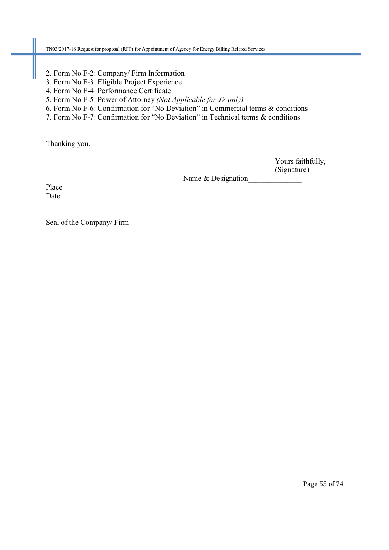- 2. Form No F-2: Company/ Firm Information
- 3. Form No F-3: Eligible Project Experience
- 4. Form No F-4: Performance Certificate
- 5. Form No F-5: Power of Attorney *(Not Applicable for JV only)*
- 6. Form No F-6: Confirmation for "No Deviation" in Commercial terms & conditions
- 7. Form No F-7: Confirmation for "No Deviation" in Technical terms & conditions

Thanking you.

 Yours faithfully, (Signature)

Name & Designation

Place Date

Seal of the Company/ Firm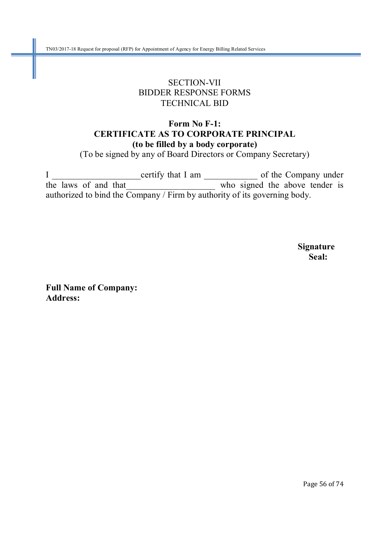### SECTION-VII BIDDER RESPONSE FORMS TECHNICAL BID

### **Form No F-1: CERTIFICATE AS TO CORPORATE PRINCIPAL (to be filled by a body corporate)**

(To be signed by any of Board Directors or Company Secretary)

I \_\_\_\_\_\_\_\_\_\_\_\_\_\_\_\_\_\_\_\_certify that I am \_\_\_\_\_\_\_\_\_\_\_\_ of the Company under the laws of and that who signed the above tender is authorized to bind the Company / Firm by authority of its governing body.

 **Signature Seal:** 

**Full Name of Company: Address:** 

Page 56 of 74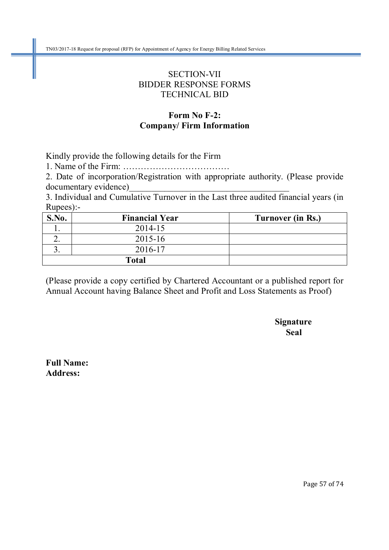### SECTION-VII BIDDER RESPONSE FORMS TECHNICAL BID

### **Form No F-2: Company/ Firm Information**

Kindly provide the following details for the Firm

1. Name of the Firm: ………………………………

2. Date of incorporation/Registration with appropriate authority. (Please provide documentary evidence)

3. Individual and Cumulative Turnover in the Last three audited financial years (in Rupees):-

| S.No. | <b>Financial Year</b> | Turnover (in Rs.) |
|-------|-----------------------|-------------------|
|       | 2014-15               |                   |
|       | 2015-16               |                   |
|       | 2016-17               |                   |
|       | <b>Total</b>          |                   |

(Please provide a copy certified by Chartered Accountant or a published report for Annual Account having Balance Sheet and Profit and Loss Statements as Proof)

 **Signature Seal** 

**Full Name: Address:**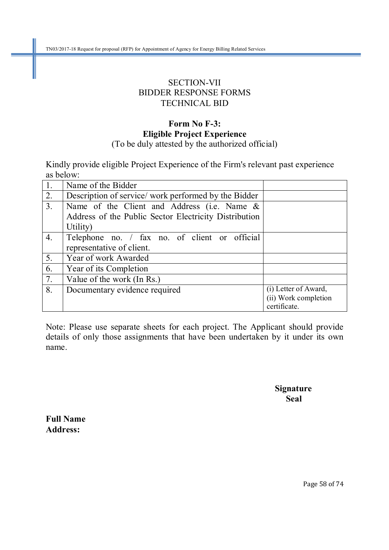TN03/2017-18 Request for proposal (RFP) for Appointment of Agency for Energy Billing Related Services

### SECTION-VII BIDDER RESPONSE FORMS TECHNICAL BID

### **Form No F-3: Eligible Project Experience**  (To be duly attested by the authorized official)

Kindly provide eligible Project Experience of the Firm's relevant past experience as below:

| $\overline{1}$ . | Name of the Bidder                                    |                      |
|------------------|-------------------------------------------------------|----------------------|
| $\overline{2}$ . | Description of service/work performed by the Bidder   |                      |
| $\overline{3}$ . | Name of the Client and Address (i.e. Name $\&$        |                      |
|                  | Address of the Public Sector Electricity Distribution |                      |
|                  | Utility)                                              |                      |
| $\overline{4}$ . | Telephone no. / fax no. of client or official         |                      |
|                  | representative of client.                             |                      |
| $\overline{5}$ . | Year of work Awarded                                  |                      |
| 6.               | Year of its Completion                                |                      |
| $\overline{7}$ . | Value of the work (In Rs.)                            |                      |
| $\overline{8}$ . | Documentary evidence required                         | (i) Letter of Award, |
|                  |                                                       | (ii) Work completion |
|                  |                                                       | certificate.         |

Note: Please use separate sheets for each project. The Applicant should provide details of only those assignments that have been undertaken by it under its own name.

 **Signature Seal** 

**Full Name Address:**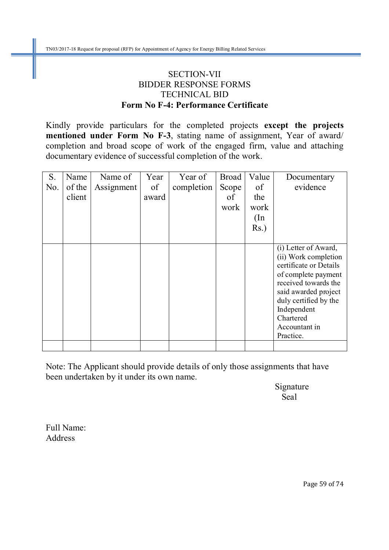### SECTION-VII BIDDER RESPONSE FORMS TECHNICAL BID **Form No F-4: Performance Certificate**

Kindly provide particulars for the completed projects **except the projects mentioned under Form No F-3**, stating name of assignment, Year of award/ completion and broad scope of work of the engaged firm, value and attaching documentary evidence of successful completion of the work.

| S.  | Name   | Name of    | Year  | Year of    | <b>Broad</b> | Value         | Documentary                                                                                                                                                                                                                      |
|-----|--------|------------|-------|------------|--------------|---------------|----------------------------------------------------------------------------------------------------------------------------------------------------------------------------------------------------------------------------------|
| No. | of the | Assignment | of    | completion | Scope        | of            | evidence                                                                                                                                                                                                                         |
|     | client |            | award |            | of           | the           |                                                                                                                                                                                                                                  |
|     |        |            |       |            | work         | work          |                                                                                                                                                                                                                                  |
|     |        |            |       |            |              | $(\text{In})$ |                                                                                                                                                                                                                                  |
|     |        |            |       |            |              | $Rs.$ )       |                                                                                                                                                                                                                                  |
|     |        |            |       |            |              |               |                                                                                                                                                                                                                                  |
|     |        |            |       |            |              |               | (i) Letter of Award,<br>(ii) Work completion<br>certificate or Details<br>of complete payment<br>received towards the<br>said awarded project<br>duly certified by the<br>Independent<br>Chartered<br>Accountant in<br>Practice. |
|     |        |            |       |            |              |               |                                                                                                                                                                                                                                  |

Note: The Applicant should provide details of only those assignments that have been undertaken by it under its own name.

 Signature **Seal** 

Full Name: Address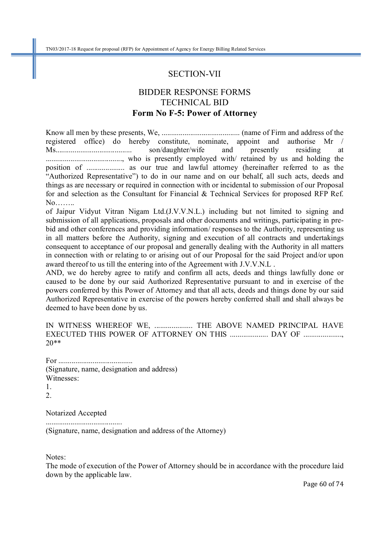#### SECTION-VII

### BIDDER RESPONSE FORMS TECHNICAL BID **Form No F-5: Power of Attorney**

Know all men by these presents, We, ......................................... (name of Firm and address of the registered office) do hereby constitute, nominate, appoint and authorise Mr / Ms........................................ son/daughter/wife and presently residing at ........................................, who is presently employed with/ retained by us and holding the position of .................... as our true and lawful attorney (hereinafter referred to as the "Authorized Representative") to do in our name and on our behalf, all such acts, deeds and things as are necessary or required in connection with or incidental to submission of our Proposal for and selection as the Consultant for Financial & Technical Services for proposed RFP Ref. No……..

of Jaipur Vidyut Vitran Nigam Ltd.(J.V.V.N.L.) including but not limited to signing and submission of all applications, proposals and other documents and writings, participating in prebid and other conferences and providing information/ responses to the Authority, representing us in all matters before the Authority, signing and execution of all contracts and undertakings consequent to acceptance of our proposal and generally dealing with the Authority in all matters in connection with or relating to or arising out of our Proposal for the said Project and/or upon award thereof to us till the entering into of the Agreement with J.V.V.N.L .

AND, we do hereby agree to ratify and confirm all acts, deeds and things lawfully done or caused to be done by our said Authorized Representative pursuant to and in exercise of the powers conferred by this Power of Attorney and that all acts, deeds and things done by our said Authorized Representative in exercise of the powers hereby conferred shall and shall always be deemed to have been done by us.

IN WITNESS WHEREOF WE, ..................... THE ABOVE NAMED PRINCIPAL HAVE EXECUTED THIS POWER OF ATTORNEY ON THIS ..................... DAY OF ..................... 20\*\*

For ....................................... (Signature, name, designation and address) Witnesses: 1.

2.

Notarized Accepted

........................................ (Signature, name, designation and address of the Attorney)

Notes:

The mode of execution of the Power of Attorney should be in accordance with the procedure laid down by the applicable law.

Page 60 of 74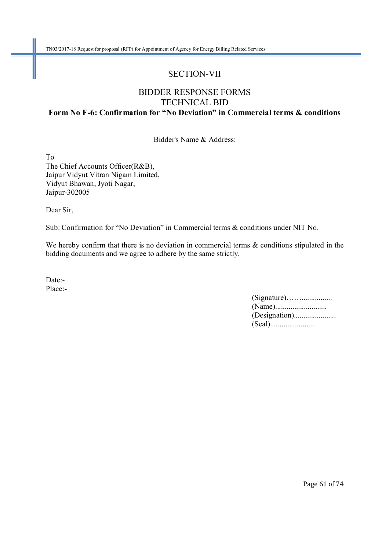### SECTION-VII

### BIDDER RESPONSE FORMS TECHNICAL BID **Form No F-6: Confirmation for "No Deviation" in Commercial terms & conditions**

Bidder's Name & Address:

To The Chief Accounts Officer(R&B), Jaipur Vidyut Vitran Nigam Limited, Vidyut Bhawan, Jyoti Nagar, Jaipur-302005

Dear Sir,

Sub: Confirmation for "No Deviation" in Commercial terms & conditions under NIT No.

We hereby confirm that there is no deviation in commercial terms  $\&$  conditions stipulated in the bidding documents and we agree to adhere by the same strictly.

Date:- Place:-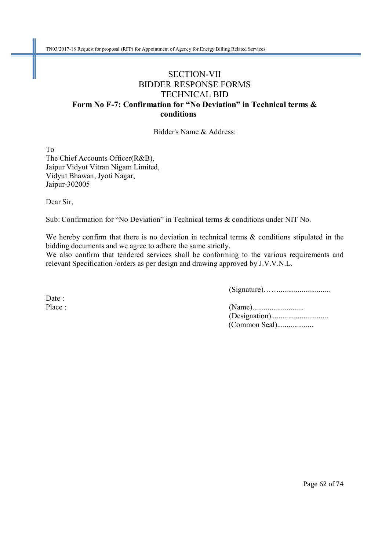### SECTION-VII BIDDER RESPONSE FORMS TECHNICAL BID **Form No F-7: Confirmation for "No Deviation" in Technical terms &**  conditions

Bidder's Name & Address:

To The Chief Accounts Officer(R&B), Jaipur Vidyut Vitran Nigam Limited, Vidyut Bhawan, Jyoti Nagar, Jaipur-302005

Dear Sir,

Sub: Confirmation for "No Deviation" in Technical terms & conditions under NIT No.

We hereby confirm that there is no deviation in technical terms & conditions stipulated in the bidding documents and we agree to adhere the same strictly.

We also confirm that tendered services shall be conforming to the various requirements and relevant Specification /orders as per design and drawing approved by J.V.V.N.L.

(Signature)……...........................

Date:

Place : (Name)........................... (Designation).............................. (Common Seal)...................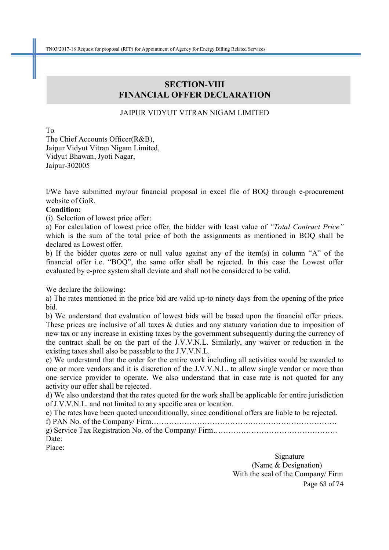### **SECTION-VIII FINANCIAL OFFER DECLARATION**

#### JAIPUR VIDYUT VITRAN NIGAM LIMITED

To

The Chief Accounts Officer(R&B), Jaipur Vidyut Vitran Nigam Limited, Vidyut Bhawan, Jyoti Nagar, Jaipur-302005

I/We have submitted my/our financial proposal in excel file of BOQ through e-procurement website of GoR.

#### **Condition:**

(i). Selection of lowest price offer:

a) For calculation of lowest price offer, the bidder with least value of *"Total Contract Price"* which is the sum of the total price of both the assignments as mentioned in BOQ shall be declared as Lowest offer.

b) If the bidder quotes zero or null value against any of the item(s) in column "A" of the financial offer i.e. "BOQ", the same offer shall be rejected. In this case the Lowest offer evaluated by e-proc system shall deviate and shall not be considered to be valid.

We declare the following:

a) The rates mentioned in the price bid are valid up-to ninety days from the opening of the price bid.

b) We understand that evaluation of lowest bids will be based upon the financial offer prices. These prices are inclusive of all taxes & duties and any statuary variation due to imposition of new tax or any increase in existing taxes by the government subsequently during the currency of the contract shall be on the part of the J.V.V.N.L. Similarly, any waiver or reduction in the existing taxes shall also be passable to the J.V.V.N.L.

c) We understand that the order for the entire work including all activities would be awarded to one or more vendors and it is discretion of the J.V.V.N.L. to allow single vendor or more than one service provider to operate. We also understand that in case rate is not quoted for any activity our offer shall be rejected.

d) We also understand that the rates quoted for the work shall be applicable for entire jurisdiction of J.V.V.N.L. and not limited to any specific area or location.

e) The rates have been quoted unconditionally, since conditional offers are liable to be rejected.

f) PAN No. of the Company/ Firm……………………………………………………………….

g) Service Tax Registration No. of the Company/ Firm…………………………………………. Date:

Place:

Page 63 of 74 Signature Signature (Name & Designation) With the seal of the Company/ Firm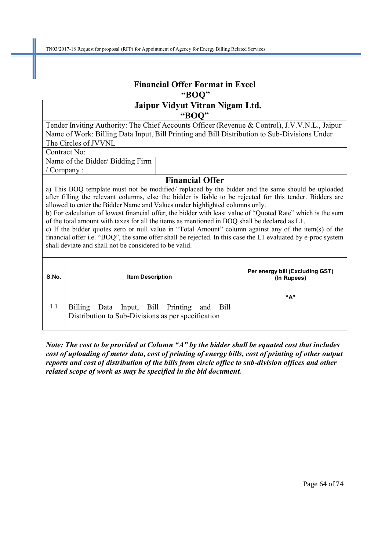# **Financial Offer Format in Excel "BOQ"**

### **Jaipur Vidyut Vitran Nigam Ltd. "BOQ"**

Tender Inviting Authority: The Chief Accounts Officer (Revenue & Control), J.V.V.N.L., Jaipur Name of Work: Billing Data Input, Bill Printing and Bill Distribution to Sub-Divisions Under The Circles of JVVNL

Contract No:

Name of the Bidder/ Bidding Firm / Company :

#### **Financial Offer**

a) This BOQ template must not be modified/ replaced by the bidder and the same should be uploaded after filling the relevant columns, else the bidder is liable to be rejected for this tender. Bidders are allowed to enter the Bidder Name and Values under highlighted columns only.

b) For calculation of lowest financial offer, the bidder with least value of "Quoted Rate" which is the sum of the total amount with taxes for all the items as mentioned in BOQ shall be declared as L1.

c) If the bidder quotes zero or null value in "Total Amount" column against any of the item(s) of the financial offer i.e. "BOQ", the same offer shall be rejected. In this case the L1 evaluated by e-proc system shall deviate and shall not be considered to be valid.

| S.No. | <b>Item Description</b>                                                                                       | Per energy bill (Excluding GST)<br>(In Rupees) |  |  |  |
|-------|---------------------------------------------------------------------------------------------------------------|------------------------------------------------|--|--|--|
|       |                                                                                                               | "А"                                            |  |  |  |
| 1.1   | <b>Billing</b><br>and Bill<br>Data Input, Bill Printing<br>Distribution to Sub-Divisions as per specification |                                                |  |  |  |

*Note: The cost to be provided at Column "A" by the bidder shall be equated cost that includes cost of uploading of meter data, cost of printing of energy bills, cost of printing of other output reports and cost of distribution of the bills from circle office to sub-division offices and other related scope of work as may be specified in the bid document.*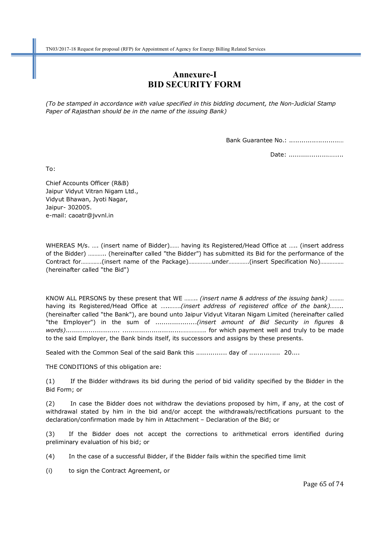### **Annexure-I BID SECURITY FORM**

*(To be stamped in accordance with value specified in this bidding document, the Non-Judicial Stamp Paper of Rajasthan should be in the name of the issuing Bank)* 

Bank Guarantee No.: ........................…

Date: ............................

To:

Chief Accounts Officer (R&B) Jaipur Vidyut Vitran Nigam Ltd., Vidyut Bhawan, Jyoti Nagar, Jaipur- 302005. e-mail: caoatr@jvvnl.in

WHEREAS M/s. …. (insert name of Bidder)…… having its Registered/Head Office at ….. (insert address of the Bidder) ……….. (hereinafter called "the Bidder") has submitted its Bid for the performance of the Contract for………….(insert name of the Package)……………under………….(insert Specification No)…………… (hereinafter called "the Bid")

KNOW ALL PERSONS by these present that WE …….. *(insert name & address of the issuing bank)* ……… having its Registered/Head Office at …..…….*(insert address of registered office of the bank)*…….. (hereinafter called "the Bank"), are bound unto Jaipur Vidyut Vitaran Nigam Limited (hereinafter called "the Employer") in the sum of ....................*(insert amount of Bid Security in figures & words)*.......................... ............................……………. for which payment well and truly to be made to the said Employer, the Bank binds itself, its successors and assigns by these presents.

Sealed with the Common Seal of the said Bank this ................ day of ................ 20....

THE CONDITIONS of this obligation are:

(1) If the Bidder withdraws its bid during the period of bid validity specified by the Bidder in the Bid Form; or

(2) In case the Bidder does not withdraw the deviations proposed by him, if any, at the cost of withdrawal stated by him in the bid and/or accept the withdrawals/rectifications pursuant to the declaration/confirmation made by him in Attachment – Declaration of the Bid; or

(3) If the Bidder does not accept the corrections to arithmetical errors identified during preliminary evaluation of his bid; or

(4) In the case of a successful Bidder, if the Bidder fails within the specified time limit

(i) to sign the Contract Agreement, or

Page 65 of 74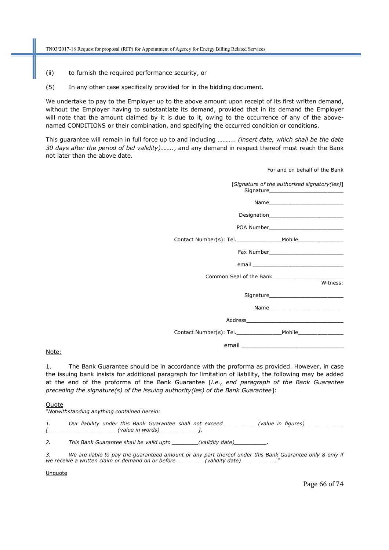- (ii) to furnish the required performance security, or
- (5) In any other case specifically provided for in the bidding document.

We undertake to pay to the Employer up to the above amount upon receipt of its first written demand, without the Employer having to substantiate its demand, provided that in its demand the Employer will note that the amount claimed by it is due to it, owing to the occurrence of any of the abovenamed CONDITIONS or their combination, and specifying the occurred condition or conditions.

This guarantee will remain in full force up to and including ……….. *(insert date, which shall be the date 30 days after the period of bid validity)……..*, and any demand in respect thereof must reach the Bank not later than the above date.

| For and on behalf of the Bank                |
|----------------------------------------------|
| [Signature of the authorised signatory(ies)] |
|                                              |
|                                              |
| POA Number__________________________         |
|                                              |
|                                              |
|                                              |
|                                              |
| Witness:                                     |
|                                              |
|                                              |
|                                              |
|                                              |
|                                              |

Note:

1. The Bank Guarantee should be in accordance with the proforma as provided. However, in case the issuing bank insists for additional paragraph for limitation of liability, the following may be added at the end of the proforma of the Bank Guarantee [*i.e., end paragraph of the Bank Guarantee preceding the signature(s) of the issuing authority(ies) of the Bank Guarantee*]:

#### **Quote**

*"Notwithstanding anything contained herein:* 

1. Our liability under this Bank Guarantee shall not exceed \_\_\_\_\_\_\_\_\_\_ (value in figures)\_ *[\_\_\_\_\_\_\_\_\_\_\_\_\_\_\_\_\_\_\_\_\_ (value in words)\_\_\_\_\_\_\_\_\_\_\_\_].* 

2. This Bank Guarantee shall be valid upto \_\_\_\_\_\_\_\_\_(validity date)\_\_\_\_\_\_\_\_\_\_\_\_\_\_

*3. We are liable to pay the guaranteed amount or any part thereof under this Bank Guarantee only & only if*  we receive a written claim or demand on or before \_\_\_\_\_\_\_\_ (validity date) \_\_\_\_\_\_\_\_\_\_.

**Unquote** 

Page 66 of 74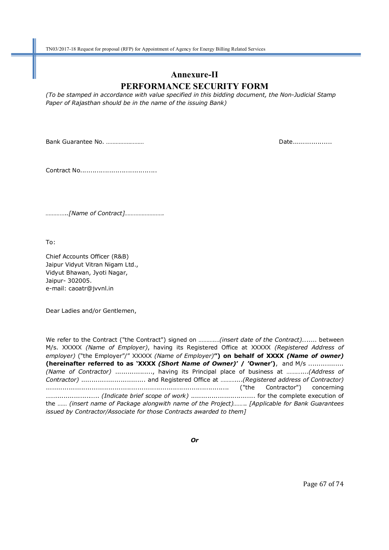## **Annexure-II PERFORMANCE SECURITY FORM**

*(To be stamped in accordance with value specified in this bidding document, the Non-Judicial Stamp Paper of Rajasthan should be in the name of the issuing Bank)* 

Bank Guarantee No. …………………… Date...................

Contract No.....................................

*…………..[Name of Contract]…………………….* 

To:

Chief Accounts Officer (R&B) Jaipur Vidyut Vitran Nigam Ltd., Vidyut Bhawan, Jyoti Nagar, Jaipur- 302005. e-mail: caoatr@jvvnl.in

Dear Ladies and/or Gentlemen,

We refer to the Contract ("the Contract") signed on ……….…*(insert date of the Contract)…*..... between M/s. XXXXX *(Name of Employer)*, having its Registered Office at XXXXX *(Registered Address of employer)* ("the Employer"/" XXXXX *(Name of Employer)***") on behalf of XXXX** *(Name of owner)* **(hereinafter referred to as 'XXXX** *(Short Name of Owner)***' / 'Owner')**, and M/s ................. *(Name of Contractor)* .................., having its Principal place of business at ………....*(Address of Contractor)* ............................... and Registered Office at ………....*(Registered address of Contractor)* ........................................................................................ ("the Contractor") concerning …….................….. *(Indicate brief scope of work)* ............................... for the complete execution of the …… *(insert name of Package alongwith name of the Project)……*.. *[Applicable for Bank Guarantees issued by Contractor/Associate for those Contracts awarded to them]*

*Or* 

Page 67 of 74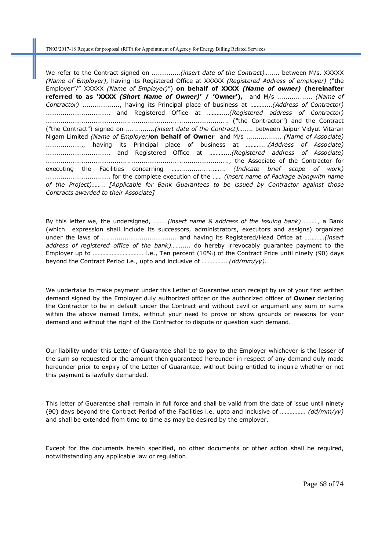We refer to the Contract signed on ..............*(insert date of the Contract)…*..... between M/s. XXXXX *(Name of Employer)*, having its Registered Office at XXXXX *(Registered Address of employer)* ("the Employer"/" XXXXX *(Name of Employer)*") **on behalf of XXXX** *(Name of owner)* **(hereinafter referred to as 'XXXX** *(Short Name of Owner)***' / 'Owner'),** and M/s ................. *(Name of Contractor)* .................., having its Principal place of business at ………....*(Address of Contractor)*  ............................... and Registered Office at ………....*(Registered address of Contractor)* ........................................................................................ ("the Contractor") and the Contract ("the Contract") signed on ..............*(insert date of the Contract)…*..... between Jaipur Vidyut Vitaran Nigam Limited *(Name of Employer)***on behalf of Owner** and M/s ................. *(Name of Associate)* .................., having its Principal place of business at ………....*(Address of Associate)*  ............................... and Registered Office at ………....*(Registered address of Associate)* ........................................................................................, the Associate of the Contractor for executing the Facilities concerning …….................….. *(Indicate brief scope of work)* ............................... for the complete execution of the …… *(insert name of Package alongwith name of the Project)……*.. *[Applicable for Bank Guarantees to be issued by Contractor against those Contracts awarded to their Associate]*

By this letter we, the undersigned, ………*(insert name & address of the issuing bank)* ………, a Bank (which expression shall include its successors, administrators, executors and assigns) organized under the laws of .................................... and having its Registered/Head Office at …..…….*(insert address of registered office of the bank)*……..... do hereby irrevocably guarantee payment to the Employer up to ………………………….. i.e., Ten percent (10%) of the Contract Price until ninety (90) days beyond the Contract Period i.e., upto and inclusive of ……………. *(dd/mm/yy)*.

We undertake to make payment under this Letter of Guarantee upon receipt by us of your first written demand signed by the Employer duly authorized officer or the authorized officer of **Owner** declaring the Contractor to be in default under the Contract and without cavil or argument any sum or sums within the above named limits, without your need to prove or show grounds or reasons for your demand and without the right of the Contractor to dispute or question such demand.

Our liability under this Letter of Guarantee shall be to pay to the Employer whichever is the lesser of the sum so requested or the amount then guaranteed hereunder in respect of any demand duly made hereunder prior to expiry of the Letter of Guarantee, without being entitled to inquire whether or not this payment is lawfully demanded.

This letter of Guarantee shall remain in full force and shall be valid from the date of issue until ninety (90) days beyond the Contract Period of the Facilities i.e. upto and inclusive of ……………. *(dd/mm/yy)* and shall be extended from time to time as may be desired by the employer.

Except for the documents herein specified, no other documents or other action shall be required, notwithstanding any applicable law or regulation.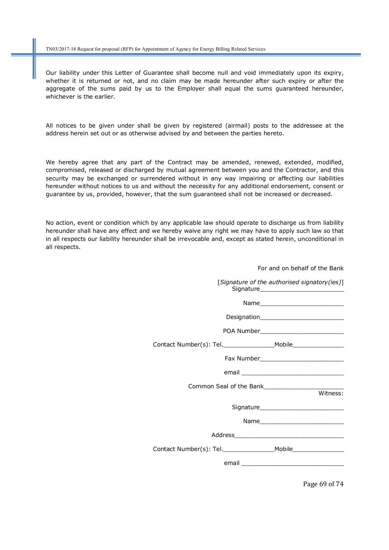Our liability under this Letter of Guarantee shall become null and void immediately upon its expiry, whether it is returned or not, and no claim may be made hereunder after such expiry or after the aggregate of the sums paid by us to the Employer shall equal the sums guaranteed hereunder, whichever is the earlier.

All notices to be given under shall be given by registered (airmail) posts to the addressee at the address herein set out or as otherwise advised by and between the parties hereto.

We hereby agree that any part of the Contract may be amended, renewed, extended, modified, compromised, released or discharged by mutual agreement between you and the Contractor, and this security may be exchanged or surrendered without in any way impairing or affecting our liabilities hereunder without notices to us and without the necessity for any additional endorsement, consent or guarantee by us, provided, however, that the sum guaranteed shall not be increased or decreased.

No action, event or condition which by any applicable law should operate to discharge us from liability hereunder shall have any effect and we hereby waive any right we may have to apply such law so that in all respects our liability hereunder shall be irrevocable and, except as stated herein, unconditional in all respects.

| i vi anu vii benan vi the bank                                                   |          |
|----------------------------------------------------------------------------------|----------|
| [Signature of the authorised signatory(ies)]                                     |          |
| Name                                                                             |          |
|                                                                                  |          |
| POA Number________________________________                                       |          |
| Contact Number(s): Tel.________________________Mobile___________________________ |          |
|                                                                                  |          |
|                                                                                  |          |
|                                                                                  |          |
|                                                                                  | Witness: |
|                                                                                  |          |
|                                                                                  |          |
|                                                                                  |          |
|                                                                                  |          |
|                                                                                  |          |
|                                                                                  |          |

Page 69 of 74

For and on behalf of the Bank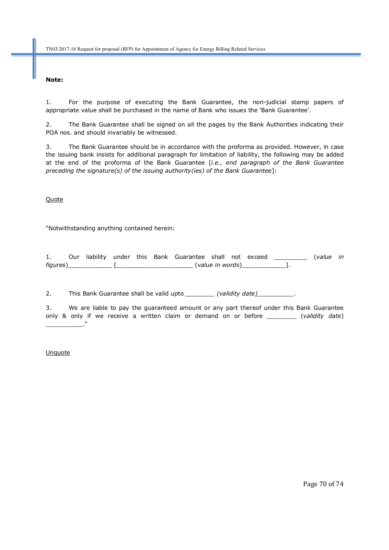#### **Note:**

1. For the purpose of executing the Bank Guarantee, the non-judicial stamp papers of appropriate value shall be purchased in the name of Bank who issues the 'Bank Guarantee'.

2. The Bank Guarantee shall be signed on all the pages by the Bank Authorities indicating their POA nos. and should invariably be witnessed.

3. The Bank Guarantee should be in accordance with the proforma as provided. However, in case the issuing bank insists for additional paragraph for limitation of liability, the following may be added at the end of the proforma of the Bank Guarantee [*i.e., end paragraph of the Bank Guarantee preceding the signature(s) of the issuing authority(ies) of the Bank Guarantee*]:

**Quote** 

"Notwithstanding anything contained herein:

|          |  |  | Our liability under this Bank Guarantee shall not exceed |                  |  | (value in |  |
|----------|--|--|----------------------------------------------------------|------------------|--|-----------|--|
| figures) |  |  |                                                          | (value in words) |  |           |  |

2. This Bank Guarantee shall be valid upto \_\_\_\_\_\_\_\_ (validity date)\_\_\_\_\_\_\_\_\_\_.

3. We are liable to pay the guaranteed amount or any part thereof under this Bank Guarantee only & only if we receive a written claim or demand on or before \_\_\_\_\_\_\_\_ (*validity date*) \_\_\_\_\_\_\_\_\_\_."

**Unquote**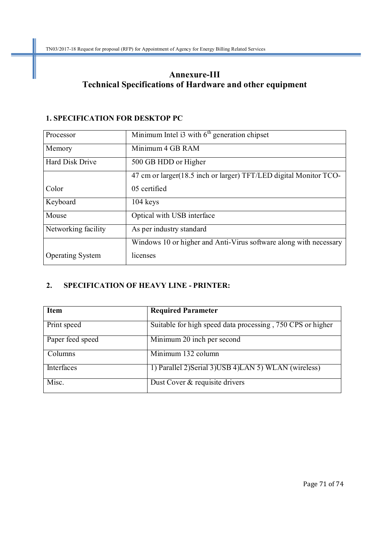### **Annexure-III Technical Specifications of Hardware and other equipment**

#### **1. SPECIFICATION FOR DESKTOP PC**

| Processor               | Minimum Intel i3 with $6th$ generation chipset                     |  |  |  |  |
|-------------------------|--------------------------------------------------------------------|--|--|--|--|
| Memory                  | Minimum 4 GB RAM                                                   |  |  |  |  |
| Hard Disk Drive         | 500 GB HDD or Higher                                               |  |  |  |  |
|                         | 47 cm or larger (18.5 inch or larger) TFT/LED digital Monitor TCO- |  |  |  |  |
| Color                   | 05 certified                                                       |  |  |  |  |
| Keyboard                | 104 keys                                                           |  |  |  |  |
| Mouse                   | Optical with USB interface                                         |  |  |  |  |
| Networking facility     | As per industry standard                                           |  |  |  |  |
|                         | Windows 10 or higher and Anti-Virus software along with necessary  |  |  |  |  |
| <b>Operating System</b> | licenses                                                           |  |  |  |  |

### **2. SPECIFICATION OF HEAVY LINE - PRINTER:**

| <b>Item</b>      | <b>Required Parameter</b>                                  |
|------------------|------------------------------------------------------------|
| Print speed      | Suitable for high speed data processing, 750 CPS or higher |
| Paper feed speed | Minimum 20 inch per second                                 |
| Columns          | $\overline{\text{Minimum}}$ 132 column                     |
| Interfaces       | 1) Parallel 2) Serial 3) USB 4) LAN 5) WLAN (wireless)     |
| Misc.            | Dust Cover & requisite drivers                             |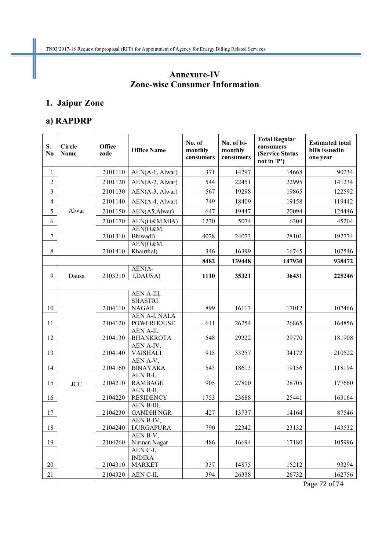### **Annexure-IV Zone-wise Consumer Information**

### **1. Jaipur Zone**

### **a) RAPDRP**

| 2101110<br>AEN(A-1, Alwar)<br>90234<br>371<br>14297<br>14668<br>1<br>$\overline{2}$<br>2101120<br>544<br>22995<br>141234<br>AEN(A-2, Alwar)<br>22451<br>$\overline{3}$<br>2101130<br>AEN(A-3, Alwar)<br>567<br>19298<br>19865<br>122592<br>$\overline{4}$<br>2101140<br>AEN(A-4, Alwar)<br>749<br>18409<br>19158<br>119442<br>Alwar<br>5<br>2101150<br>AEN(A5,Alwar)<br>647<br>19447<br>20094<br>124446<br>6<br>2101170<br>AEN(O&M,MIA)<br>1230<br>5074<br>6304<br>45204<br>AEN(O&M,<br>$\boldsymbol{7}$<br>2101310<br>Bhiwadi)<br>4028<br>28101<br>192774<br>24073<br>AEN(O&M,<br>$\,8\,$<br>2101410<br>Khairthal)<br>346<br>16399<br>16745<br>102546<br>8482<br>147930<br>139448<br>938472<br>$AEN(A-$<br>9<br>2103210<br>1,DAUSA)<br>1110<br>36431<br>225246<br>Dausa<br>35321<br>AEN A-III,<br><b>SHASTRI</b><br><b>NAGAR</b><br>10<br>899<br>16113<br>17012<br>107466<br>2104110<br>AEN A-I, NALA<br>11<br>611<br>26865<br>164856<br>2104120<br><b>POWERHOUSE</b><br>26254<br>AEN A-II,<br>12<br><b>BHANKROTA</b><br>548<br>29770<br>181908<br>2104130<br>29222<br>AEN A-IV,<br>13<br>2104140<br><b>VAISHALI</b><br>915<br>33257<br>34172<br>210522<br>AEN A-V,<br>14<br>2104160<br><b>BINAYAKA</b><br>543<br>18613<br>19156<br>118194<br>AEN B-I,<br>15<br><b>RAMBAGH</b><br>905<br>27800<br>28705<br>177660<br>2104210<br><b>JCC</b><br>AEN B-II,<br>16<br><b>RESIDENCY</b><br>163164<br>2104220<br>1753<br>23688<br>25441<br>AEN B-III,<br><b>GANDHINGR</b><br>17<br>427<br>14164<br>87546<br>2104230<br>13737<br>AEN B-IV,<br>$18\,$<br>2104240   DURGAPURA<br>790<br>23132<br>22342<br>143532<br>AEN B-V,<br>105996<br>19<br>Nirman Nagar<br>486<br>16694<br>17180<br>2104260<br>AEN C-I,<br><b>INDIRA</b><br><b>MARKET</b><br>15212<br>93294<br>20<br>2104310<br>337<br>14875<br>21<br>2104320<br>AEN C-II,<br>394<br>26338<br>26732<br>162756 | S.<br>No | <b>Circle</b><br>Name | <b>Office</b><br>code | <b>Office Name</b> | No. of<br>monthly<br>consumers | No. of bi-<br>monthly<br>consumers | <b>Total Regular</b><br>consumers<br>(Service Status<br>not in 'P') | <b>Estimated total</b><br>bills issuedin<br>one year |
|-----------------------------------------------------------------------------------------------------------------------------------------------------------------------------------------------------------------------------------------------------------------------------------------------------------------------------------------------------------------------------------------------------------------------------------------------------------------------------------------------------------------------------------------------------------------------------------------------------------------------------------------------------------------------------------------------------------------------------------------------------------------------------------------------------------------------------------------------------------------------------------------------------------------------------------------------------------------------------------------------------------------------------------------------------------------------------------------------------------------------------------------------------------------------------------------------------------------------------------------------------------------------------------------------------------------------------------------------------------------------------------------------------------------------------------------------------------------------------------------------------------------------------------------------------------------------------------------------------------------------------------------------------------------------------------------------------------------------------------------------------------------------------------------------------------------------------------------------------------|----------|-----------------------|-----------------------|--------------------|--------------------------------|------------------------------------|---------------------------------------------------------------------|------------------------------------------------------|
|                                                                                                                                                                                                                                                                                                                                                                                                                                                                                                                                                                                                                                                                                                                                                                                                                                                                                                                                                                                                                                                                                                                                                                                                                                                                                                                                                                                                                                                                                                                                                                                                                                                                                                                                                                                                                                                           |          |                       |                       |                    |                                |                                    |                                                                     |                                                      |
|                                                                                                                                                                                                                                                                                                                                                                                                                                                                                                                                                                                                                                                                                                                                                                                                                                                                                                                                                                                                                                                                                                                                                                                                                                                                                                                                                                                                                                                                                                                                                                                                                                                                                                                                                                                                                                                           |          |                       |                       |                    |                                |                                    |                                                                     |                                                      |
|                                                                                                                                                                                                                                                                                                                                                                                                                                                                                                                                                                                                                                                                                                                                                                                                                                                                                                                                                                                                                                                                                                                                                                                                                                                                                                                                                                                                                                                                                                                                                                                                                                                                                                                                                                                                                                                           |          |                       |                       |                    |                                |                                    |                                                                     |                                                      |
|                                                                                                                                                                                                                                                                                                                                                                                                                                                                                                                                                                                                                                                                                                                                                                                                                                                                                                                                                                                                                                                                                                                                                                                                                                                                                                                                                                                                                                                                                                                                                                                                                                                                                                                                                                                                                                                           |          |                       |                       |                    |                                |                                    |                                                                     |                                                      |
|                                                                                                                                                                                                                                                                                                                                                                                                                                                                                                                                                                                                                                                                                                                                                                                                                                                                                                                                                                                                                                                                                                                                                                                                                                                                                                                                                                                                                                                                                                                                                                                                                                                                                                                                                                                                                                                           |          |                       |                       |                    |                                |                                    |                                                                     |                                                      |
|                                                                                                                                                                                                                                                                                                                                                                                                                                                                                                                                                                                                                                                                                                                                                                                                                                                                                                                                                                                                                                                                                                                                                                                                                                                                                                                                                                                                                                                                                                                                                                                                                                                                                                                                                                                                                                                           |          |                       |                       |                    |                                |                                    |                                                                     |                                                      |
|                                                                                                                                                                                                                                                                                                                                                                                                                                                                                                                                                                                                                                                                                                                                                                                                                                                                                                                                                                                                                                                                                                                                                                                                                                                                                                                                                                                                                                                                                                                                                                                                                                                                                                                                                                                                                                                           |          |                       |                       |                    |                                |                                    |                                                                     |                                                      |
|                                                                                                                                                                                                                                                                                                                                                                                                                                                                                                                                                                                                                                                                                                                                                                                                                                                                                                                                                                                                                                                                                                                                                                                                                                                                                                                                                                                                                                                                                                                                                                                                                                                                                                                                                                                                                                                           |          |                       |                       |                    |                                |                                    |                                                                     |                                                      |
|                                                                                                                                                                                                                                                                                                                                                                                                                                                                                                                                                                                                                                                                                                                                                                                                                                                                                                                                                                                                                                                                                                                                                                                                                                                                                                                                                                                                                                                                                                                                                                                                                                                                                                                                                                                                                                                           |          |                       |                       |                    |                                |                                    |                                                                     |                                                      |
|                                                                                                                                                                                                                                                                                                                                                                                                                                                                                                                                                                                                                                                                                                                                                                                                                                                                                                                                                                                                                                                                                                                                                                                                                                                                                                                                                                                                                                                                                                                                                                                                                                                                                                                                                                                                                                                           |          |                       |                       |                    |                                |                                    |                                                                     |                                                      |
|                                                                                                                                                                                                                                                                                                                                                                                                                                                                                                                                                                                                                                                                                                                                                                                                                                                                                                                                                                                                                                                                                                                                                                                                                                                                                                                                                                                                                                                                                                                                                                                                                                                                                                                                                                                                                                                           |          |                       |                       |                    |                                |                                    |                                                                     |                                                      |
|                                                                                                                                                                                                                                                                                                                                                                                                                                                                                                                                                                                                                                                                                                                                                                                                                                                                                                                                                                                                                                                                                                                                                                                                                                                                                                                                                                                                                                                                                                                                                                                                                                                                                                                                                                                                                                                           |          |                       |                       |                    |                                |                                    |                                                                     |                                                      |
|                                                                                                                                                                                                                                                                                                                                                                                                                                                                                                                                                                                                                                                                                                                                                                                                                                                                                                                                                                                                                                                                                                                                                                                                                                                                                                                                                                                                                                                                                                                                                                                                                                                                                                                                                                                                                                                           |          |                       |                       |                    |                                |                                    |                                                                     |                                                      |
|                                                                                                                                                                                                                                                                                                                                                                                                                                                                                                                                                                                                                                                                                                                                                                                                                                                                                                                                                                                                                                                                                                                                                                                                                                                                                                                                                                                                                                                                                                                                                                                                                                                                                                                                                                                                                                                           |          |                       |                       |                    |                                |                                    |                                                                     |                                                      |
|                                                                                                                                                                                                                                                                                                                                                                                                                                                                                                                                                                                                                                                                                                                                                                                                                                                                                                                                                                                                                                                                                                                                                                                                                                                                                                                                                                                                                                                                                                                                                                                                                                                                                                                                                                                                                                                           |          |                       |                       |                    |                                |                                    |                                                                     |                                                      |
|                                                                                                                                                                                                                                                                                                                                                                                                                                                                                                                                                                                                                                                                                                                                                                                                                                                                                                                                                                                                                                                                                                                                                                                                                                                                                                                                                                                                                                                                                                                                                                                                                                                                                                                                                                                                                                                           |          |                       |                       |                    |                                |                                    |                                                                     |                                                      |
|                                                                                                                                                                                                                                                                                                                                                                                                                                                                                                                                                                                                                                                                                                                                                                                                                                                                                                                                                                                                                                                                                                                                                                                                                                                                                                                                                                                                                                                                                                                                                                                                                                                                                                                                                                                                                                                           |          |                       |                       |                    |                                |                                    |                                                                     |                                                      |
|                                                                                                                                                                                                                                                                                                                                                                                                                                                                                                                                                                                                                                                                                                                                                                                                                                                                                                                                                                                                                                                                                                                                                                                                                                                                                                                                                                                                                                                                                                                                                                                                                                                                                                                                                                                                                                                           |          |                       |                       |                    |                                |                                    |                                                                     |                                                      |
|                                                                                                                                                                                                                                                                                                                                                                                                                                                                                                                                                                                                                                                                                                                                                                                                                                                                                                                                                                                                                                                                                                                                                                                                                                                                                                                                                                                                                                                                                                                                                                                                                                                                                                                                                                                                                                                           |          |                       |                       |                    |                                |                                    |                                                                     |                                                      |
|                                                                                                                                                                                                                                                                                                                                                                                                                                                                                                                                                                                                                                                                                                                                                                                                                                                                                                                                                                                                                                                                                                                                                                                                                                                                                                                                                                                                                                                                                                                                                                                                                                                                                                                                                                                                                                                           |          |                       |                       |                    |                                |                                    |                                                                     |                                                      |
|                                                                                                                                                                                                                                                                                                                                                                                                                                                                                                                                                                                                                                                                                                                                                                                                                                                                                                                                                                                                                                                                                                                                                                                                                                                                                                                                                                                                                                                                                                                                                                                                                                                                                                                                                                                                                                                           |          |                       |                       |                    |                                |                                    |                                                                     |                                                      |
|                                                                                                                                                                                                                                                                                                                                                                                                                                                                                                                                                                                                                                                                                                                                                                                                                                                                                                                                                                                                                                                                                                                                                                                                                                                                                                                                                                                                                                                                                                                                                                                                                                                                                                                                                                                                                                                           |          |                       |                       |                    |                                |                                    |                                                                     |                                                      |
|                                                                                                                                                                                                                                                                                                                                                                                                                                                                                                                                                                                                                                                                                                                                                                                                                                                                                                                                                                                                                                                                                                                                                                                                                                                                                                                                                                                                                                                                                                                                                                                                                                                                                                                                                                                                                                                           |          |                       |                       |                    |                                |                                    |                                                                     |                                                      |

Page 72 of 74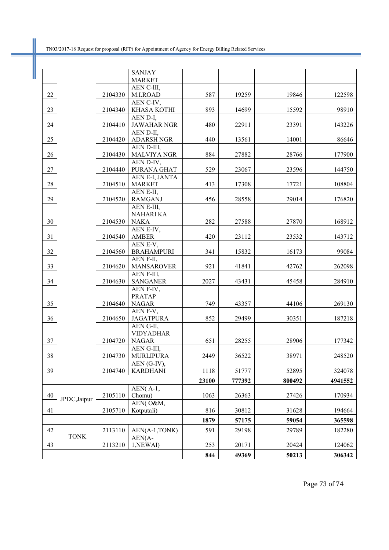П

|        |              |         | <b>SANJAY</b>                     |       |        |        |         |
|--------|--------------|---------|-----------------------------------|-------|--------|--------|---------|
|        |              |         | <b>MARKET</b>                     |       |        |        |         |
| 22     |              |         | AEN C-III,                        | 587   | 19259  | 19846  | 122598  |
|        |              | 2104330 | M.I.ROAD                          |       |        |        |         |
|        |              |         | AEN C-IV,                         |       |        |        |         |
| 23     |              | 2104340 | KHASA KOTHI<br>AEN D-I,           | 893   | 14699  | 15592  | 98910   |
| 24     |              | 2104410 | <b>JAWAHAR NGR</b>                | 480   | 22911  | 23391  | 143226  |
|        |              |         | AEN D-II,                         |       |        |        |         |
| 25     |              | 2104420 | <b>ADARSH NGR</b>                 | 440   | 13561  | 14001  | 86646   |
|        |              |         | AEN D-III.                        |       |        |        |         |
| 26     |              | 2104430 | <b>MALVIYA NGR</b>                | 884   | 27882  | 28766  | 177900  |
|        |              |         | AEN D-IV,                         |       |        |        |         |
| 27     |              | 2104440 | PURANA GHAT                       | 529   | 23067  | 23596  | 144750  |
|        |              |         | AEN E-I, JANTA                    |       |        |        |         |
| 28     |              | 2104510 | <b>MARKET</b>                     | 413   | 17308  | 17721  | 108804  |
|        |              |         | AEN E-II,                         |       |        |        |         |
| 29     |              | 2104520 | <b>RAMGANJ</b>                    | 456   | 28558  | 29014  | 176820  |
|        |              |         | AEN E-III.                        |       |        |        |         |
|        |              |         | NAHARI KA                         |       |        |        |         |
| 30     |              | 2104530 | <b>NAKA</b>                       | 282   | 27588  | 27870  | 168912  |
|        |              |         | AEN E-IV,                         |       |        |        |         |
| 31     |              | 2104540 | <b>AMBER</b>                      | 420   | 23112  | 23532  | 143712  |
|        |              |         | AEN E-V,                          |       |        |        |         |
| 32     |              | 2104560 | <b>BRAHAMPURI</b>                 | 341   | 15832  | 16173  | 99084   |
|        |              |         | AEN F-II,                         |       |        |        |         |
| 33     |              | 2104620 | <b>MANSAROVER</b>                 | 921   | 41841  | 42762  | 262098  |
|        |              |         | AEN F-III,                        |       |        |        |         |
| 34     |              | 2104630 | <b>SANGANER</b>                   | 2027  | 43431  | 45458  | 284910  |
|        |              |         | AEN F-IV,                         |       |        |        |         |
|        |              |         | <b>PRATAP</b>                     |       |        |        |         |
| 35     |              | 2104640 | <b>NAGAR</b>                      | 749   | 43357  | 44106  | 269130  |
|        |              |         | AEN F-V,                          |       |        |        |         |
| 36     |              | 2104650 | <b>JAGATPURA</b>                  | 852   | 29499  | 30351  | 187218  |
|        |              |         | AEN G-II,                         |       |        |        |         |
|        |              |         | <b>VIDYADHAR</b>                  |       |        |        |         |
| 37     |              | 2104720 | <b>NAGAR</b>                      | 651   | 28255  | 28906  | 177342  |
|        |              |         | AEN G-III,<br>2104730   MURLIPURA | 2449  | 36522  |        | 248520  |
| $38\,$ |              |         | AEN (G-IV),                       |       |        | 38971  |         |
| 39     |              | 2104740 | <b>KARDHANI</b>                   | 1118  | 51777  | 52895  | 324078  |
|        |              |         |                                   |       |        |        |         |
|        |              |         |                                   | 23100 | 777392 | 800492 | 4941552 |
|        |              |         | $AEN(A-1,$                        |       |        |        |         |
| 40     | JPDC, Jaipur | 2105110 | Chomu)<br>AEN(O&M,                | 1063  | 26363  | 27426  | 170934  |
| 41     |              | 2105710 | Kotputali)                        | 816   | 30812  | 31628  | 194664  |
|        |              |         |                                   |       |        |        |         |
|        |              |         |                                   | 1879  | 57175  | 59054  | 365598  |
| 42     |              | 2113110 | AEN(A-1,TONK)                     | 591   | 29198  | 29789  | 182280  |
|        | <b>TONK</b>  |         | $AEN(A-$                          |       |        |        |         |
| 43     |              | 2113210 | 1,NEWAI)                          | 253   | 20171  | 20424  | 124062  |
|        |              |         |                                   | 844   | 49369  | 50213  | 306342  |